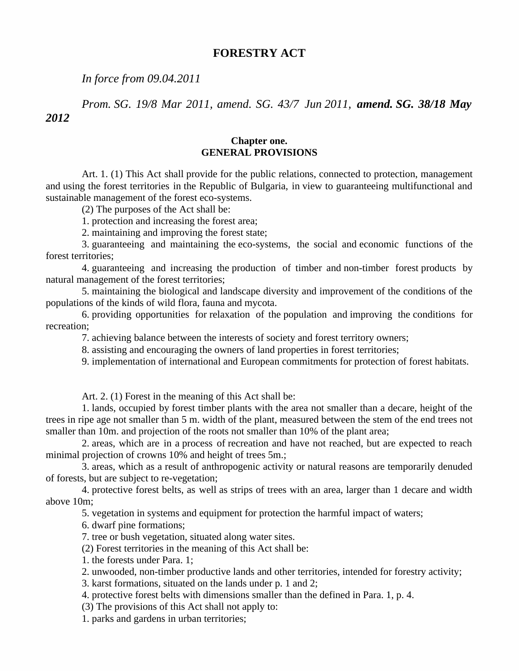# **FORESTRY ACT**

*In force from 09.04.2011*

*Prom. SG. 19/8 Mar 2011, amend. SG. 43/7 Jun 2011, amend. SG. 38/18 May 2012*

## **Chapter one. GENERAL PROVISIONS**

Art. 1. (1) This Act shall provide for the public relations, connected to protection, management and using the forest territories in the Republic of Bulgaria, in view to guaranteeing multifunctional and sustainable management of the forest eco-systems.

(2) The purposes of the Act shall be:

1. protection and increasing the forest area;

2. maintaining and improving the forest state;

3. guaranteeing and maintaining the eco-systems, the social and economic functions of the forest territories;

4. guaranteeing and increasing the production of timber and non-timber forest products by natural management of the forest territories;

5. maintaining the biological and landscape diversity and improvement of the conditions of the populations of the kinds of wild flora, fauna and mycota.

6. providing opportunities for relaxation of the population and improving the conditions for recreation;

7. achieving balance between the interests of society and forest territory owners;

8. assisting and encouraging the owners of land properties in forest territories;

9. implementation of international and European commitments for protection of forest habitats.

Art. 2. (1) Forest in the meaning of this Act shall be:

1. lands, occupied by forest timber plants with the area not smaller than a decare, height of the trees in ripe age not smaller than 5 m. width of the plant, measured between the stem of the end trees not smaller than 10m. and projection of the roots not smaller than 10% of the plant area;

2. areas, which are in a process of recreation and have not reached, but are expected to reach minimal projection of crowns 10% and height of trees 5m.;

3. areas, which as a result of anthropogenic activity or natural reasons are temporarily denuded of forests, but are subject to re-vegetation;

4. protective forest belts, as well as strips of trees with an area, larger than 1 decare and width above 10m;

5. vegetation in systems and equipment for protection the harmful impact of waters;

6. dwarf pine formations;

7. tree or bush vegetation, situated along water sites.

(2) Forest territories in the meaning of this Act shall be:

- 1. the forests under Para. 1;
- 2. unwooded, non-timber productive lands and other territories, intended for forestry activity;
- 3. karst formations, situated on the lands under p. 1 and 2;
- 4. protective forest belts with dimensions smaller than the defined in Para. 1, p. 4.
- (3) The provisions of this Act shall not apply to:

1. parks and gardens in urban territories;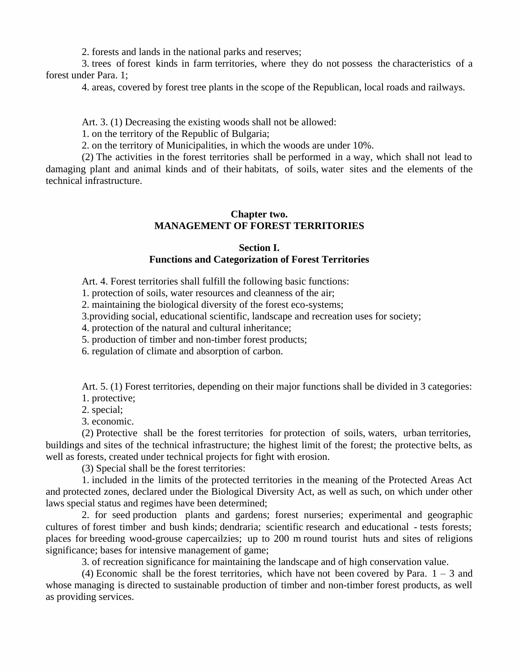2. forests and lands in the national parks and reserves;

3. trees of forest kinds in farm territories, where they do not possess the characteristics of a forest under Para. 1;

4. areas, covered by forest tree plants in the scope of the Republican, local roads and railways.

Art. 3. (1) Decreasing the existing woods shall not be allowed:

1. on the territory of the Republic of Bulgaria;

2. on the territory of Municipalities, in which the woods are under 10%.

(2) The activities in the forest territories shall be performed in a way, which shall not lead to damaging plant and animal kinds and of their habitats, of soils, water sites and the elements of the technical infrastructure.

#### **Chapter two. MANAGEMENT OF FOREST TERRITORIES**

#### **Section I.**

#### **Functions and Categorization of Forest Territories**

Art. 4. Forest territories shall fulfill the following basic functions:

1. protection of soils, water resources and cleanness of the air;

2. maintaining the biological diversity of the forest eco-systems;

3.providing social, educational scientific, landscape and recreation uses for society;

4. protection of the natural and cultural inheritance;

5. production of timber and non-timber forest products;

6. regulation of climate and absorption of carbon.

Art. 5. (1) Forest territories, depending on their major functions shall be divided in 3 categories:

1. protective;

2. special;

3. economic.

(2) Protective shall be the forest territories for protection of soils, waters, urban territories, buildings and sites of the technical infrastructure; the highest limit of the forest; the protective belts, as well as forests, created under technical projects for fight with erosion.

(3) Special shall be the forest territories:

1. included in the limits of the protected territories in the meaning of the Protected Areas Act and protected zones, declared under the Biological Diversity Act, as well as such, on which under other laws special status and regimes have been determined;

2. for seed production plants and gardens; forest nurseries; experimental and geographic cultures of forest timber and bush kinds; dendraria; scientific research and educational - tests forests; places for breeding wood-grouse capercailzies; up to 200 m round tourist huts and sites of religions significance; bases for intensive management of game;

3. of recreation significance for maintaining the landscape and of high conservation value.

(4) Economic shall be the forest territories, which have not been covered by Para.  $1 - 3$  and whose managing is directed to sustainable production of timber and non-timber forest products, as well as providing services.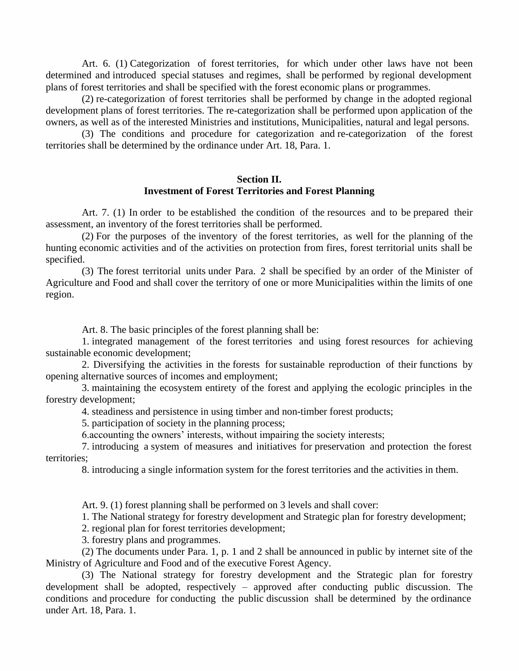Art. 6. (1) Categorization of forest territories, for which under other laws have not been determined and introduced special statuses and regimes, shall be performed by regional development plans of forest territories and shall be specified with the forest economic plans or programmes.

(2) re-categorization of forest territories shall be performed by change in the adopted regional development plans of forest territories. The re-categorization shall be performed upon application of the owners, as well as of the interested Ministries and institutions, Municipalities, natural and legal persons.

(3) The conditions and procedure for categorization and re-categorization of the forest territories shall be determined by the ordinance under Art. 18, Para. 1.

## **Section II. Investment of Forest Territories and Forest Planning**

Art. 7. (1) In order to be established the condition of the resources and to be prepared their assessment, an inventory of the forest territories shall be performed.

 $(2)$  For the purposes of the inventory of the forest territories, as well for the planning of the hunting economic activities and of the activities on protection from fires, forest territorial units shall be specified.

(3) The forest territorial units under Para. 2 shall be specified by an order of the Minister of Agriculture and Food and shall cover the territory of one or more Municipalities within the limits of one region.

Art. 8. The basic principles of the forest planning shall be:

1. integrated management of the forest territories and using forest resources for achieving sustainable economic development;

2. Diversifying the activities in the forests for sustainable reproduction of their functions by opening alternative sources of incomes and employment;

3. maintaining the ecosystem entirety of the forest and applying the ecologic principles in the forestry development;

4. steadiness and persistence in using timber and non-timber forest products;

5. participation of society in the planning process;

6.accounting the owners' interests, without impairing the society interests;

7. introducing a system of measures and initiatives for preservation and protection the forest territories;

8. introducing a single information system for the forest territories and the activities in them.

Art. 9. (1) forest planning shall be performed on 3 levels and shall cover:

1. The National strategy for forestry development and Strategic plan for forestry development;

2. regional plan for forest territories development;

3. forestry plans and programmes.

(2) The documents under Para. 1, p. 1 and 2 shall be announced in public by internet site of the Ministry of Agriculture and Food and of the executive Forest Agency.

(3) The National strategy for forestry development and the Strategic plan for forestry development shall be adopted, respectively  $-$  approved after conducting public discussion. The conditions and procedure for conducting the public discussion shall be determined by the ordinance under Art. 18, Para. 1.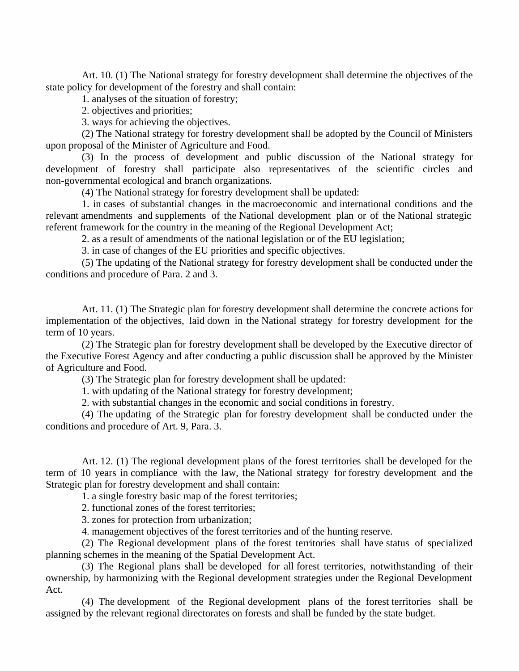Art. 10. (1) The National strategy for forestry development shall determine the objectives of the state policy for development of the forestry and shall contain:

1. analyses of the situation of forestry;

2. objectives and priorities;

3. ways for achieving the objectives.

(2) The National strategy for forestry development shall be adopted by the Council of Ministers upon proposal of the Minister of Agriculture and Food.

(3) In the process of development and public discussion of the National strategy for development of forestry shall participate also representatives of the scientific circles and non-governmental ecological and branch organizations.

(4) The National strategy for forestry development shall be updated:

1. in cases of substantial changes in the macroeconomic and international conditions and the relevant amendments and supplements of the National development plan or of the National strategic referent framework for the country in the meaning of the Regional Development Act;

2. as a result of amendments of the national legislation or of the EU legislation;

3. in case of changes of the EU priorities and specific objectives.

(5) The updating of the National strategy for forestry development shall be conducted under the conditions and procedure of Para. 2 and 3.

Art. 11. (1) The Strategic plan for forestry development shall determine the concrete actions for implementation of the objectives, laid down in the National strategy for forestry development for the term of 10 years.

(2) The Strategic plan for forestry development shall be developed by the Executive director of the Executive Forest Agency and after conducting a public discussion shall be approved by the Minister of Agriculture and Food.

(3) The Strategic plan for forestry development shall be updated:

1. with updating of the National strategy for forestry development;

2. with substantial changes in the economic and social conditions in forestry.

(4) The updating of the Strategic plan for forestry development shall be conducted under the conditions and procedure of Art. 9, Para. 3.

Art. 12. (1) The regional development plans of the forest territories shall be developed for the term of 10 years in compliance with the law, the National strategy for forestry development and the Strategic plan for forestry development and shall contain:

1. a single forestry basic map of the forest territories;

2. functional zones of the forest territories;

3. zones for protection from urbanization;

4. management objectives of the forest territories and of the hunting reserve.

(2) The Regional development plans of the forest territories shall have status of specialized planning schemes in the meaning of the Spatial Development Act.

(3) The Regional plans shall be developed for all forest territories, notwithstanding of their ownership, by harmonizing with the Regional development strategies under the Regional Development Act.

(4) The development of the Regional development plans of the forest territories shall be assigned by the relevant regional directorates on forests and shall be funded by the state budget.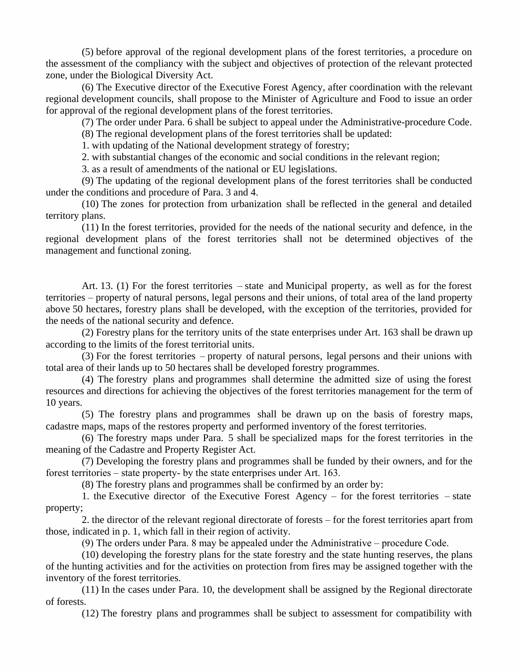(5) before approval of the regional development plans of the forest territories, a procedure on the assessment of the compliancy with the subject and objectives of protection of the relevant protected zone, under the Biological Diversity Act.

(6) The Executive director of the Executive Forest Agency, after coordination with the relevant regional development councils, shall propose to the Minister of Agriculture and Food to issue an order for approval of the regional development plans of the forest territories.

(7) The order under Para. 6 shall be subject to appeal under the Administrative-procedure Code.

(8) The regional development plans of the forest territories shall be updated:

1. with updating of the National development strategy of forestry;

2. with substantial changes of the economic and social conditions in the relevant region;

3. as a result of amendments of the national or EU legislations.

(9) The updating of the regional development plans of the forest territories shall be conducted under the conditions and procedure of Para. 3 and 4.

(10) The zones for protection from urbanization shall be reflected in the general and detailed territory plans.

(11) In the forest territories, provided for the needs of the national security and defence, in the regional development plans of the forest territories shall not be determined objectives of the management and functional zoning.

Art. 13. (1) For the forest territories – state and Municipal property, as well as for the forest territories – property of natural persons, legal persons and their unions, of total area of the land property above 50 hectares, forestry plans shall be developed, with the exception of the territories, provided for the needs of the national security and defence.

(2) Forestry plans for the territory units of the state enterprises under Art. 163 shall be drawn up according to the limits of the forest territorial units.

(3) For the forest territories – property of natural persons, legal persons and their unions with total area of their lands up to 50 hectares shall be developed forestry programmes.

(4) The forestry plans and programmes shall determine the admitted size of using the forest resources and directions for achieving the objectives of the forest territories management for the term of 10 years.

(5) The forestry plans and programmes shall be drawn up on the basis of forestry maps, cadastre maps, maps of the restores property and performed inventory of the forest territories.

(6) The forestry maps under Para. 5 shall be specialized maps for the forest territories in the meaning of the Cadastre and Property Register Act.

(7) Developing the forestry plans and programmes shall be funded by their owners, and for the forest territories – state property- by the state enterprises under Art.  $163$ .

(8) The forestry plans and programmes shall be confirmed by an order by:

1. the Executive director of the Executive Forest Agency – for the forest territories – state property;

2. the director of the relevant regional directorate of forests – for the forest territories apart from those, indicated in p. 1, which fall in their region of activity.

(9) The orders under Para. 8 may be appealed under the Administrative – procedure Code.

(10) developing the forestry plans for the state forestry and the state hunting reserves, the plans of the hunting activities and for the activities on protection from fires may be assigned together with the inventory of the forest territories.

(11) In the cases under Para. 10, the development shall be assigned by the Regional directorate of forests.

(12) The forestry plans and programmes shall be subject to assessment for compatibility with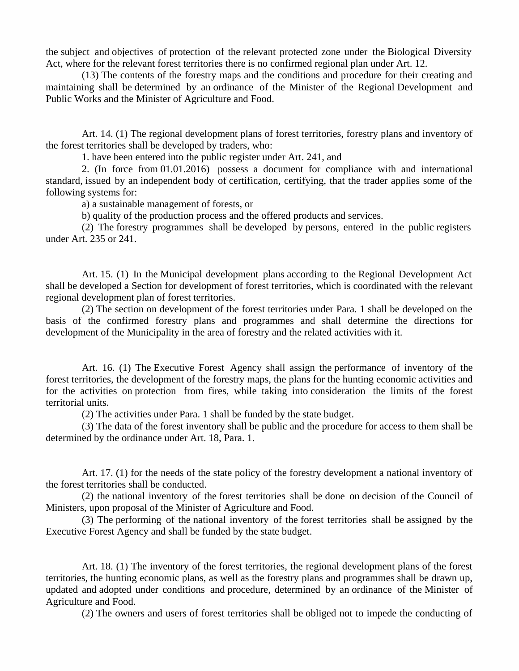the subject and objectives of protection of the relevant protected zone under the Biological Diversity Act, where for the relevant forest territories there is no confirmed regional plan under Art. 12.

(13) The contents of the forestry maps and the conditions and procedure for their creating and maintaining shall be determined by an ordinance of the Minister of the Regional Development and Public Works and the Minister of Agriculture and Food.

Art. 14. (1) The regional development plans of forest territories, forestry plans and inventory of the forest territories shall be developed by traders, who:

1. have been entered into the public register under Art. 241, and

2. (In force from 01.01.2016) possess a document for compliance with and international standard, issued by an independent body of certification, certifying, that the trader applies some of the following systems for:

a) a sustainable management of forests, or

b) quality of the production process and the offered products and services.

(2) The forestry programmes shall be developed by persons, entered in the public registers under Art. 235 or 241.

Art. 15. (1) In the Municipal development plans according to the Regional Development Act shall be developed a Section for development of forest territories, which is coordinated with the relevant regional development plan of forest territories.

(2) The section on development of the forest territories under Para. 1 shall be developed on the basis of the confirmed forestry plans and programmes and shall determine the directions for development of the Municipality in the area of forestry and the related activities with it.

Art. 16. (1) The Executive Forest Agency shall assign the performance of inventory of the forest territories, the development of the forestry maps, the plans for the hunting economic activities and for the activities on protection from fires, while taking into consideration the limits of the forest territorial units.

(2) The activities under Para. 1 shall be funded by the state budget.

(3) The data of the forest inventory shall be public and the procedure for access to them shall be determined by the ordinance under Art. 18, Para. 1.

Art. 17. (1) for the needs of the state policy of the forestry development a national inventory of the forest territories shall be conducted.

(2) the national inventory of the forest territories shall be done on decision of the Council of Ministers, upon proposal of the Minister of Agriculture and Food.

(3) The performing of the national inventory of the forest territories shall be assigned by the Executive Forest Agency and shall be funded by the state budget.

Art. 18. (1) The inventory of the forest territories, the regional development plans of the forest territories, the hunting economic plans, as well as the forestry plans and programmes shall be drawn up, updated and adopted under conditions and procedure, determined by an ordinance of the Minister of Agriculture and Food.

(2) The owners and users of forest territories shall be obliged not to impede the conducting of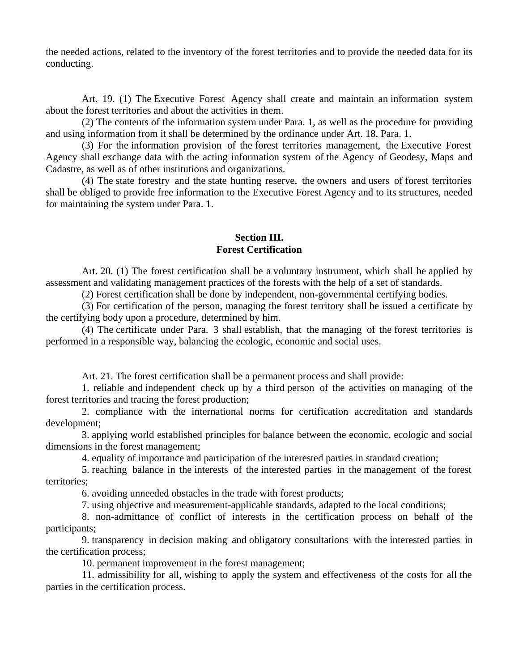the needed actions, related to the inventory of the forest territories and to provide the needed data for its conducting.

Art. 19. (1) The Executive Forest Agency shall create and maintain an information system about the forest territories and about the activities in them.

(2) The contents of the information system under Para. 1, as well as the procedure for providing and using information from it shall be determined by the ordinance under Art. 18, Para. 1.

(3) For the information provision of the forest territories management, the Executive Forest Agency shall exchange data with the acting information system of the Agency of Geodesy, Maps and Cadastre, as well as of other institutions and organizations.

(4) The state forestry and the state hunting reserve, the owners and users of forest territories shall be obliged to provide free information to the Executive Forest Agency and to its structures, needed for maintaining the system under Para. 1.

# **Section III. Forest Certification**

Art. 20. (1) The forest certification shall be a voluntary instrument, which shall be applied by assessment and validating management practices of the forests with the help of a set of standards.

(2) Forest certification shall be done by independent, non-governmental certifying bodies.

(3) For certification of the person, managing the forest territory shall be issued a certificate by the certifying body upon a procedure, determined by him.

(4) The certificate under Para. 3 shall establish, that the managing of the forest territories is performed in a responsible way, balancing the ecologic, economic and social uses.

Art. 21. The forest certification shall be a permanent process and shall provide:

1. reliable and independent check up by a third person of the activities on managing of the forest territories and tracing the forest production;

2. compliance with the international norms for certification accreditation and standards development;

3. applying world established principles for balance between the economic, ecologic and social dimensions in the forest management;

4. equality of importance and participation of the interested parties in standard creation;

5. reaching balance in the interests of the interested parties in the management of the forest territories;

6. avoiding unneeded obstacles in the trade with forest products;

7. using objective and measurement-applicable standards, adapted to the local conditions;

8. non-admittance of conflict of interests in the certification process on behalf of the participants;

9. transparency in decision making and obligatory consultations with the interested parties in the certification process;

10. permanent improvement in the forest management;

11. admissibility for all, wishing to apply the system and effectiveness of the costs for all the parties in the certification process.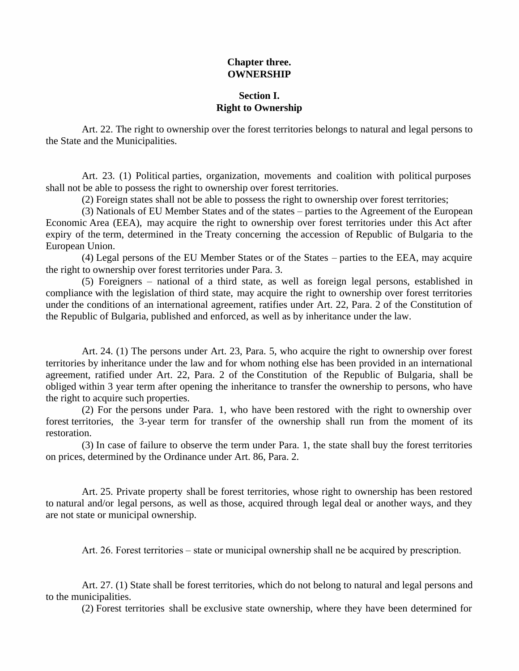# **Chapter three. OWNERSHIP**

# **Section I. Right to Ownership**

Art. 22. The right to ownership over the forest territories belongs to natural and legal persons to the State and the Municipalities.

Art. 23. (1) Political parties, organization, movements and coalition with political purposes shall not be able to possess the right to ownership over forest territories.

(2) Foreign states shall not be able to possess the right to ownership over forest territories;

(3) Nationals of EU Member States and of the states – parties to the Agreement of the European Economic Area (EEA), may acquire the right to ownership over forest territories under this Act after expiry of the term, determined in the Treaty concerning the accession of Republic of Bulgaria to the European Union.

(4) Legal persons of the EU Member States or of the States – parties to the EEA, may acquire the right to ownership over forest territories under Para. 3.

(5) Foreigners –national of a third state, as well as foreign legal persons, established in compliance with the legislation of third state, may acquire the right to ownership over forest territories under the conditions of an international agreement, ratifies under Art. 22, Para. 2 of the Constitution of the Republic of Bulgaria, published and enforced, as well as by inheritance under the law.

Art. 24. (1) The persons under Art. 23, Para. 5, who acquire the right to ownership over forest territories by inheritance under the law and for whom nothing else has been provided in an international agreement, ratified under Art.22, Para. 2 of the Constitution of the Republic of Bulgaria, shall be obliged within 3 year term after opening the inheritance to transfer the ownership to persons, who have the right to acquire such properties.

(2) For the persons under Para. 1, who have been restored with the right to ownership over forest territories, the 3-year term for transfer of the ownership shall run from the moment of its restoration.

(3) In case of failure to observe the term under Para. 1, the state shall buy the forest territories on prices, determined by the Ordinance under Art. 86, Para. 2.

Art. 25. Private property shall be forest territories, whose right to ownership has been restored to natural and/or legal persons, as well as those, acquired through legal deal or another ways, and they are not state or municipal ownership.

Art. 26. Forest territories – state or municipal ownership shall ne be acquired by prescription.

Art. 27. (1) State shall be forest territories, which do not belong to natural and legal persons and to the municipalities.

(2) Forest territories shall be exclusive state ownership, where they have been determined for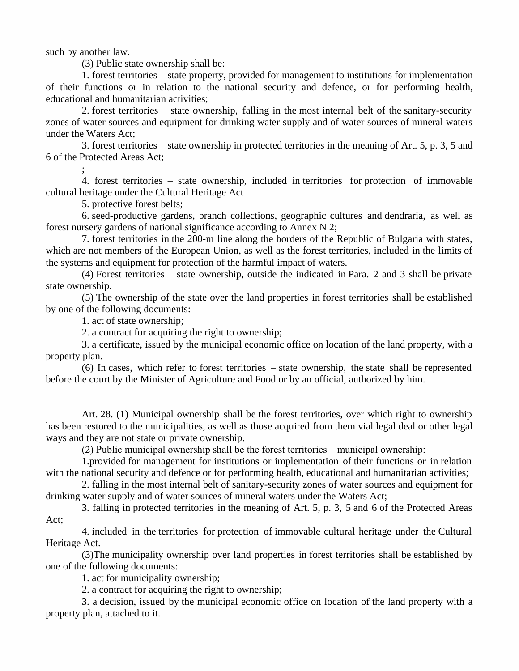such by another law.

(3) Public state ownership shall be:

1. forest territories – state property, provided for management to institutions for implementation of their functions or in relation to the national security and defence, or for performing health, educational and humanitarian activities;

2. forest territories – state ownership, falling in the most internal belt of the sanitary-security zones of water sources and equipment for drinking water supply and of water sources of mineral waters under the Waters Act;

3. forest territories – state ownership in protected territories in the meaning of Art. 5, p. 3, 5 and 6 of the Protected Areas Act;

; 4. forest territories – state ownership, included in territories for protection of immovable cultural heritage under the Cultural Heritage Act

5. protective forest belts;

6. seed-productive gardens, branch collections, geographic cultures and dendraria, as well as forest nursery gardens of national significance according to Annex N 2;

7. forest territories in the 200-m line along the borders of the Republic of Bulgaria with states, which are not members of the European Union, as well as the forest territories, included in the limits of the systems and equipment for protection of the harmful impact of waters.

(4) Forest territories – state ownership, outside the indicated in Para. 2 and 3 shall be private state ownership.

(5) The ownership of the state over the land properties in forest territories shall be established by one of the following documents:

1. act of state ownership;

2. a contract for acquiring the right to ownership;

3. a certificate, issued by the municipal economic office on location of the land property, with a property plan.

(6) In cases, which refer to forest territories – state ownership, the state shall be represented before the court by the Minister of Agriculture and Food or by an official, authorized by him.

Art. 28. (1) Municipal ownership shall be the forest territories, over which right to ownership has been restored to the municipalities, as well as those acquired from them vial legal deal or other legal ways and they are not state or private ownership.

 $(2)$  Public municipal ownership shall be the forest territories – municipal ownership:

1.provided for management for institutions or implementation of their functions or in relation with the national security and defence or for performing health, educational and humanitarian activities;

2. falling in the most internal belt of sanitary-security zones of water sources and equipment for drinking water supply and of water sources of mineral waters under the Waters Act;

3. falling in protected territories in the meaning of Art. 5, p. 3, 5 and 6 of the Protected Areas Act;

4. included in the territories for protection of immovable cultural heritage under the Cultural Heritage Act.

(3)The municipality ownership over land properties in forest territories shall be established by one of the following documents:

1. act for municipality ownership;

2. a contract for acquiring the right to ownership;

3. a decision, issued by the municipal economic office on location of the land property with a property plan, attached to it.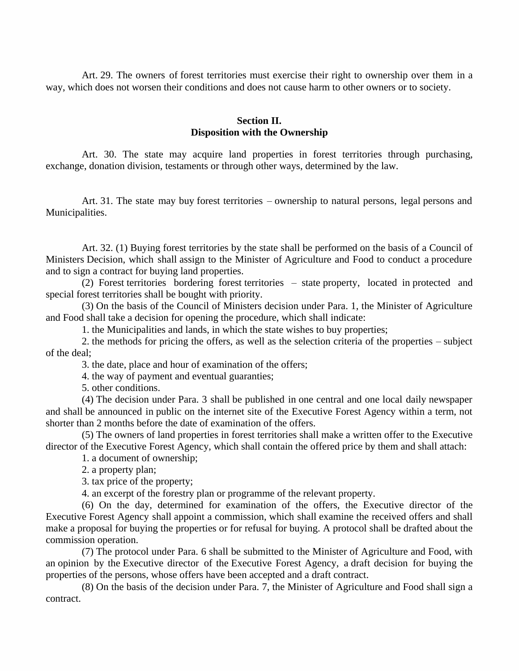Art. 29. The owners of forest territories must exercise their right to ownership over them in a way, which does not worsen their conditions and does not cause harm to other owners or to society.

## **Section II. Disposition with the Ownership**

Art. 30. The state may acquire land properties in forest territories through purchasing, exchange, donation division, testaments or through other ways, determined by the law.

Art. 31. The state may buy forest territories – ownership to natural persons, legal persons and Municipalities.

Art. 32. (1) Buying forest territories by the state shall be performed on the basis of a Council of Ministers Decision, which shall assign to the Minister of Agriculture and Food to conduct a procedure and to sign a contract for buying land properties.

(2) Forest territories bordering forest territories – state property, located in protected and special forest territories shall be bought with priority.

(3) On the basis of the Council of Ministers decision under Para. 1, the Minister of Agriculture and Food shall take a decision for opening the procedure, which shall indicate:

1. the Municipalities and lands, in which the state wishes to buy properties;

2. the methods for pricing the offers, as well as the selection criteria of the properties – subject of the deal;

3. the date, place and hour of examination of the offers;

4. the way of payment and eventual guaranties;

5. other conditions.

(4) The decision under Para. 3 shall be published in one central and one local daily newspaper and shall be announced in public on the internet site of the Executive Forest Agency within a term, not shorter than 2 months before the date of examination of the offers.

(5) The owners of land properties in forest territories shall make a written offer to the Executive director of the Executive Forest Agency, which shall contain the offered price by them and shall attach:

1. a document of ownership;

2. a property plan;

3. tax price of the property;

4. an excerpt of the forestry plan or programme of the relevant property.

(6) On the day, determined for examination of the offers, the Executive director of the Executive Forest Agency shall appoint a commission, which shall examine the received offers and shall make a proposal for buying the properties or for refusal for buying. A protocol shall be drafted about the commission operation.

(7) The protocol under Para. 6 shall be submitted to the Minister of Agriculture and Food, with an opinion by the Executive director of the Executive Forest Agency, a draft decision for buying the properties of the persons, whose offers have been accepted and a draft contract.

(8) On the basis of the decision under Para. 7, the Minister of Agriculture and Food shall sign a contract.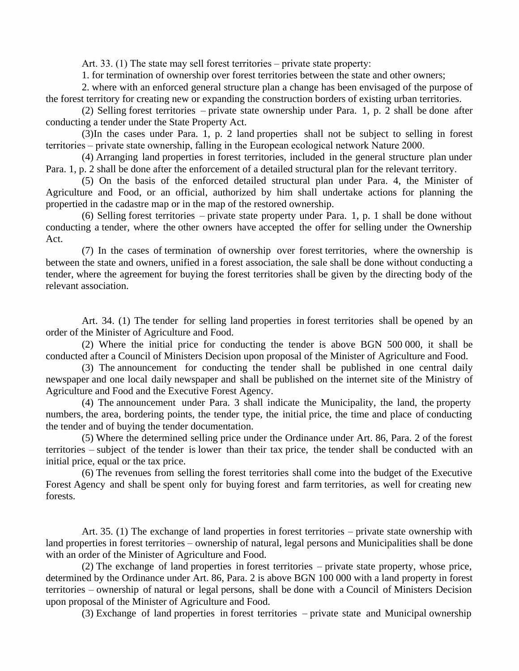Art. 33. (1) The state may sell forest territories – private state property:

1. for termination of ownership over forest territories between the state and other owners;

2. where with an enforced general structure plan a change has been envisaged of the purpose of the forest territory for creating new or expanding the construction borders of existing urban territories.

(2) Selling forest territories – private state ownership under Para. 1, p. 2 shall be done after conducting a tender under the State Property Act.

(3)In the cases under Para. 1, p. 2 land properties shall not be subject to selling in forest territories – private state ownership, falling in the European ecological network Nature 2000.

(4) Arranging land properties in forest territories, included in the general structure plan under Para. 1, p. 2 shall be done after the enforcement of a detailed structural plan for the relevant territory.

(5) On the basis of the enforced detailed structural plan under Para. 4, the Minister of Agriculture and Food, or an official, authorized by him shall undertake actions for planning the propertied in the cadastre map or in the map of the restored ownership.

(6) Selling forest territories – private state property under Para. 1, p. 1 shall be done without conducting a tender, where the other owners have accepted the offer for selling under the Ownership Act.

(7) In the cases of termination of ownership over forest territories, where the ownership is between the state and owners, unified in a forest association, the sale shall be done without conducting a tender, where the agreement for buying the forest territories shall be given by the directing body of the relevant association.

Art. 34. (1) The tender for selling land properties in forest territories shall be opened by an order of the Minister of Agriculture and Food.

(2) Where the initial price for conducting the tender is above BGN 500 000, it shall be conducted after a Council of Ministers Decision upon proposal of the Minister of Agriculture and Food.

(3) The announcement for conducting the tender shall be published in one central daily newspaper and one local daily newspaper and shall be published on the internet site of the Ministry of Agriculture and Food and the Executive Forest Agency.

(4) The announcement under Para. 3 shall indicate the Municipality, the land, the property numbers, the area, bordering points, the tender type, the initial price, the time and place of conducting the tender and of buying the tender documentation.

(5) Where the determined selling price under the Ordinance under Art. 86, Para. 2 of the forest territories – subject of the tender is lower than their tax price, the tender shall be conducted with an initial price, equal or the tax price.

(6) The revenues from selling the forest territories shall come into the budget of the Executive Forest Agency and shall be spent only for buying forest and farm territories, as well for creating new forests.

Art. 35. (1) The exchange of land properties in forest territories – private state ownership with land properties in forest territories – ownership of natural, legal persons and Municipalities shall be done with an order of the Minister of Agriculture and Food.

(2) The exchange of land properties in forest territories – private state property, whose price, determined by the Ordinance under Art. 86, Para. 2 is above BGN 100 000 with a land property in forest territories – ownership of natural or legal persons, shall be done with a Council of Ministers Decision upon proposal of the Minister of Agriculture and Food.

(3) Exchange of land properties in forest territories – private state and Municipal ownership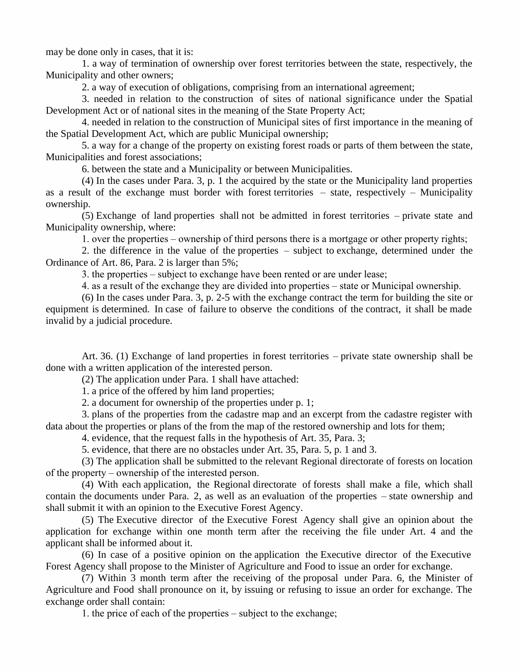may be done only in cases, that it is:

1. a way of termination of ownership over forest territories between the state, respectively, the Municipality and other owners;

2. a way of execution of obligations, comprising from an international agreement;

3. needed in relation to the construction of sites of national significance under the Spatial Development Act or of national sites in the meaning of the State Property Act;

4. needed in relation to the construction of Municipal sites of first importance in the meaning of the Spatial Development Act, which are public Municipal ownership;

5. a way for a change of the property on existing forest roads or parts of them between the state, Municipalities and forest associations;

6. between the state and a Municipality or between Municipalities.

(4) In the cases under Para. 3, p. 1 the acquired by the state or the Municipality land properties as a result of the exchange must border with forest territories – state, respectively – Municipality ownership.

(5) Exchange of land properties shall not be admitted in forest territories – private state and Municipality ownership, where:

1. over the properties – ownership of third persons there is a mortgage or other property rights;

2. the difference in the value of the properties  $-$  subject to exchange, determined under the Ordinance of Art. 86, Para. 2 is larger than 5%;

3. the properties – subject to exchange have been rented or are under lease;

4. as a result of the exchange they are divided into properties – state or Municipal ownership.

(6) In the cases under Para. 3, p. 2-5 with the exchange contract the term for building the site or equipment is determined. In case of failure to observe the conditions of the contract, it shall be made invalid by a judicial procedure.

Art. 36. (1) Exchange of land properties in forest territories – private state ownership shall be done with a written application of the interested person.

(2) The application under Para. 1 shall have attached:

1. a price of the offered by him land properties;

2. a document for ownership of the properties under p. 1;

3. plans of the properties from the cadastre map and an excerpt from the cadastre register with data about the properties or plans of the from the map of the restored ownership and lots for them;

4. evidence, that the request falls in the hypothesis of Art. 35, Para. 3;

5. evidence, that there are no obstacles under Art. 35, Para. 5, p. 1 and 3.

(3) The application shall be submitted to the relevant Regional directorate of forests on location of the property – ownership of the interested person.

(4) With each application, the Regional directorate of forests shall make a file, which shall contain the documents under Para. 2, as well as an evaluation of the properties – state ownership and shall submit it with an opinion to the Executive Forest Agency.

(5) The Executive director of the Executive Forest Agency shall give an opinion about the application for exchange within one month term after the receiving the file under Art. 4 and the applicant shall be informed about it.

(6) In case of a positive opinion on the application the Executive director of the Executive Forest Agency shall propose to the Minister of Agriculture and Food to issue an order for exchange.

(7) Within 3 month term after the receiving of the proposal under Para. 6, the Minister of Agriculture and Food shall pronounce on it, by issuing or refusing to issue an order for exchange. The exchange order shall contain:

1. the price of each of the properties – subject to the exchange;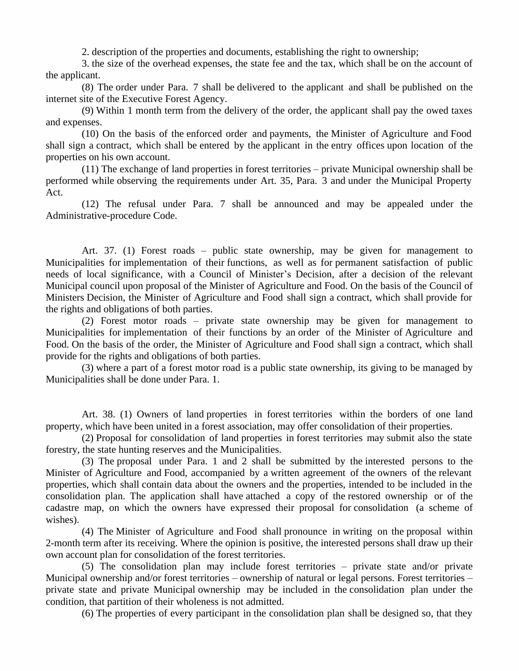2. description of the properties and documents, establishing the right to ownership;

3. the size of the overhead expenses, the state fee and the tax, which shall be on the account of the applicant.

(8) The order under Para. 7 shall be delivered to the applicant and shall be published on the internet site of the Executive Forest Agency.

(9) Within 1 month term from the delivery of the order, the applicant shall pay the owed taxes and expenses.

(10) On the basis of the enforced order and payments, the Minister of Agriculture and Food shall sign a contract, which shall be entered by the applicant in the entry offices upon location of the properties on his own account.

(11) The exchange of land properties in forest territories – private Municipal ownership shall be performed while observing the requirements under Art. 35, Para. 3 and under the Municipal Property Act.

(12) The refusal under Para. 7 shall be announced and may be appealed under the Administrative-procedure Code.

Art. 37. (1) Forest roads – public state ownership, may be given for management to Municipalities for implementation of their functions, as well as for permanent satisfaction of public needs of local significance, with a Council of Minister's Decision, after a decision of the relevant Municipal council upon proposal of the Minister of Agriculture and Food. On the basis of the Council of Ministers Decision, the Minister of Agriculture and Food shall sign a contract, which shall provide for the rights and obligations of both parties.

(2) Forest motor roads – private state ownership may be given for management to Municipalities for implementation of their functions by an order of the Minister of Agriculture and Food. On the basis of the order, the Minister of Agriculture and Food shall sign a contract, which shall provide for the rights and obligations of both parties.

(3) where a part of a forest motor road is a public state ownership, its giving to be managed by Municipalities shall be done under Para. 1.

Art. 38. (1) Owners of land properties in forest territories within the borders of one land property, which have been united in a forest association, may offer consolidation of their properties.

(2) Proposal for consolidation of land properties in forest territories may submit also the state forestry, the state hunting reserves and the Municipalities.

(3) The proposal under Para. 1 and 2 shall be submitted by the interested persons to the Minister of Agriculture and Food, accompanied by a written agreement of the owners of the relevant properties, which shall contain data about the owners and the properties, intended to be included in the consolidation plan. The application shall have attached a copy of the restored ownership or of the cadastre map, on which the owners have expressed their proposal for consolidation (a scheme of wishes).

(4) The Minister of Agriculture and Food shall pronounce in writing on the proposal within 2-month term after its receiving. Where the opinion is positive, the interested persons shall draw up their own account plan for consolidation of the forest territories.

 $(5)$  The consolidation plan may include forest territories – private state and/or private Municipal ownership and/or forest territories – ownership of natural or legal persons. Forest territories – private state and private Municipal ownership may be included in the consolidation plan under the condition, that partition of their wholeness is not admitted.

(6) The properties of every participant in the consolidation plan shall be designed so, that they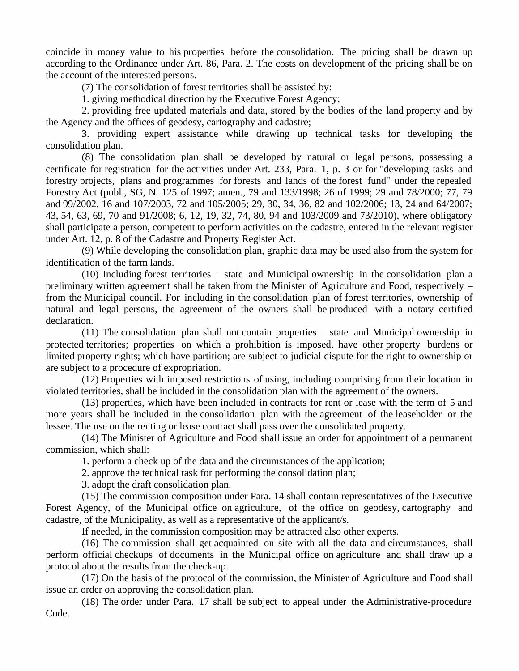coincide in money value to his properties before the consolidation. The pricing shall be drawn up according to the Ordinance under Art. 86, Para. 2. The costs on development of the pricing shall be on the account of the interested persons.

(7) The consolidation of forest territories shall be assisted by:

1. giving methodical direction by the Executive Forest Agency;

2. providing free updated materials and data, stored by the bodies of the land property and by the Agency and the offices of geodesy, cartography and cadastre;

3. providing expert assistance while drawing up technical tasks for developing the consolidation plan.

(8) The consolidation plan shall be developed by natural or legal persons, possessing a certificate for registration for the activities under Art. 233, Para. 1, p. 3 or for "developing tasks and forestry projects, plans and programmes for forests and lands of the forest fund" under the repealed Forestry Act (publ., SG, N. 125 of 1997; amen., 79 and 133/1998; 26 of 1999; 29 and 78/2000; 77, 79 and 99/2002, 16 and 107/2003, 72 and 105/2005; 29, 30, 34, 36, 82 and 102/2006; 13, 24 and 64/2007; 43, 54, 63, 69, 70 and 91/2008; 6, 12, 19, 32, 74, 80, 94 and 103/2009 and 73/2010), where obligatory shall participate a person, competent to perform activities on the cadastre, entered in the relevant register under Art. 12, p. 8 of the Cadastre and Property Register Act.

(9) While developing the consolidation plan, graphic data may be used also from the system for identification of the farm lands.

(10) Including forest territories – state and Municipal ownership in the consolidation plan a preliminary written agreement shall be taken from the Minister of Agriculture and Food, respectively – from the Municipal council. For including in the consolidation plan of forest territories, ownership of natural and legal persons, the agreement of the owners shall be produced with a notary certified declaration.

(11) The consolidation plan shall not contain properties – state and Municipal ownership in protected territories; properties on which a prohibition is imposed, have other property burdens or limited property rights; which have partition; are subject to judicial dispute for the right to ownership or are subject to a procedure of expropriation.

(12) Properties with imposed restrictions of using, including comprising from their location in violated territories, shall be included in the consolidation plan with the agreement of the owners.

(13) properties, which have been included in contracts for rent or lease with the term of 5 and more years shall be included in the consolidation plan with the agreement of the leaseholder or the lessee. The use on the renting or lease contract shall pass over the consolidated property.

(14) The Minister of Agriculture and Food shall issue an order for appointment of a permanent commission, which shall:

1. perform a check up of the data and the circumstances of the application;

2. approve the technical task for performing the consolidation plan;

3. adopt the draft consolidation plan.

(15) The commission composition under Para. 14 shall contain representatives of the Executive Forest Agency, of the Municipal office on agriculture, of the office on geodesy, cartography and cadastre, of the Municipality, as well as a representative of the applicant/s.

If needed, in the commission composition may be attracted also other experts.

(16) The commission shall get acquainted on site with all the data and circumstances, shall perform official checkups of documents in the Municipal office on agriculture and shall draw up a protocol about the results from the check-up.

(17) On the basis of the protocol of the commission, the Minister of Agriculture and Food shall issue an order on approving the consolidation plan.

(18) The order under Para. 17 shall be subject to appeal under the Administrative-procedure Code.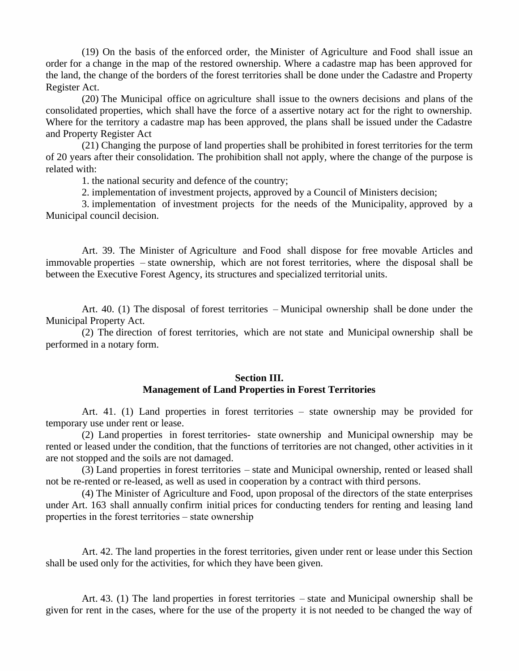(19) On the basis of the enforced order, the Minister of Agriculture and Food shall issue an order for a change in the map of the restored ownership. Where a cadastre map has been approved for the land, the change of the borders of the forest territories shall be done under the Cadastre and Property Register Act.

(20) The Municipal office on agriculture shall issue to the owners decisions and plans of the consolidated properties, which shall have the force of a assertive notary act for the right to ownership. Where for the territory a cadastre map has been approved, the plans shall be issued under the Cadastre and Property Register Act

(21) Changing the purpose of land properties shall be prohibited in forest territories for the term of 20 years after their consolidation. The prohibition shall not apply, where the change of the purpose is related with:

1. the national security and defence of the country;

2. implementation of investment projects, approved by a Council of Ministers decision;

3. implementation of investment projects for the needs of the Municipality, approved by a Municipal council decision.

Art. 39. The Minister of Agriculture and Food shall dispose for free movable Articles and immovable properties – state ownership, which are not forest territories, where the disposal shall be between the Executive Forest Agency, its structures and specialized territorial units.

Art. 40. (1) The disposal of forest territories – Municipal ownership shall be done under the Municipal Property Act.

(2) The direction of forest territories, which are not state and Municipal ownership shall be performed in a notary form.

# **Section III.**

## **Management of Land Properties in Forest Territories**

Art. 41. (1) Land properties in forest territories  $-$  state ownership may be provided for temporary use under rent or lease.

(2) Land properties in forest territories- state ownership and Municipal ownership may be rented or leased under the condition, that the functions of territories are not changed, other activities in it are not stopped and the soils are not damaged.

(3) Land properties in forest territories – state and Municipal ownership, rented or leased shall not be re-rented or re-leased, as well as used in cooperation by a contract with third persons.

(4) The Minister of Agriculture and Food, upon proposal of the directors of the state enterprises under Art. 163 shall annually confirm initial prices for conducting tenders for renting and leasing land properties in the forest territories – state ownership

Art. 42. The land properties in the forest territories, given under rent or lease under this Section shall be used only for the activities, for which they have been given.

Art. 43. (1) The land properties in forest territories – state and Municipal ownership shall be given for rent in the cases, where for the use of the property it is not needed to be changed the way of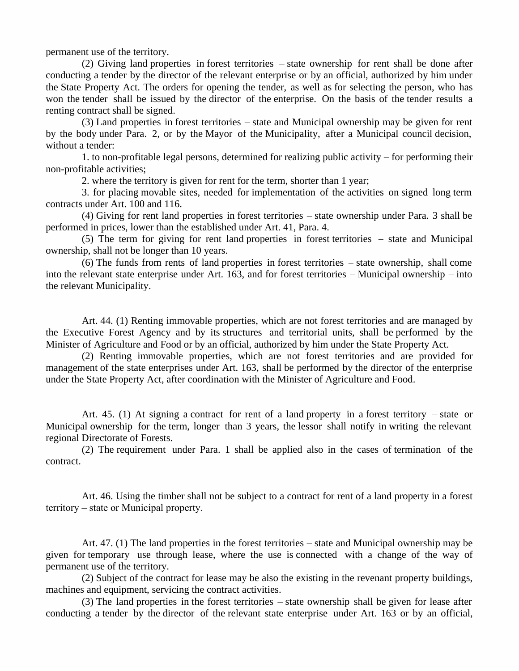permanent use of the territory.

(2) Giving land properties in forest territories – state ownership for rent shall be done after conducting a tender by the director of the relevant enterprise or by an official, authorized by him under the State Property Act. The orders for opening the tender, as well as for selecting the person, who has won the tender shall be issued by the director of the enterprise. On the basis of the tender results a renting contract shall be signed.

(3) Land properties in forest territories – state and Municipal ownership may be given for rent by the body under Para. 2, or by the Mayor of the Municipality, after a Municipal council decision, without a tender:

1. to non-profitable legal persons, determined for realizing public activity – for performing their non-profitable activities;

2. where the territory is given for rent for the term, shorter than 1 year;

3. for placing movable sites, needed for implementation of the activities on signed long term contracts under Art. 100 and 116.

(4) Giving for rent land properties in forest territories – state ownership under Para. 3 shall be performed in prices, lower than the established under Art. 41, Para. 4.

 $(5)$  The term for giving for rent land properties in forest territories – state and Municipal ownership, shall not be longer than 10 years.

(6) The funds from rents of land properties in forest territories – state ownership, shall come into the relevant state enterprise under Art. 163, and for forest territories – Municipal ownership – into the relevant Municipality.

Art. 44. (1) Renting immovable properties, which are not forest territories and are managed by the Executive Forest Agency and by its structures and territorial units, shall be performed by the Minister of Agriculture and Food or by an official, authorized by him under the State Property Act.

(2) Renting immovable properties, which are not forest territories and are provided for management of the state enterprises under Art. 163, shall be performed by the director of the enterprise under the State Property Act, after coordination with the Minister of Agriculture and Food.

Art. 45. (1) At signing a contract for rent of a land property in a forest territory – state or Municipal ownership for the term, longer than 3 years, the lessor shall notify in writing the relevant regional Directorate of Forests.

(2) The requirement under Para. 1 shall be applied also in the cases of termination of the contract.

Art. 46. Using the timber shall not be subject to a contract for rent of a land property in a forest territory – state or Municipal property.

Art. 47. (1) The land properties in the forest territories – state and Municipal ownership may be given for temporary use through lease, where the use is connected with a change of the way of permanent use of the territory.

(2) Subject of the contract for lease may be also the existing in the revenant property buildings, machines and equipment, servicing the contract activities.

(3) The land properties in the forest territories – state ownership shall be given for lease after conducting a tender by the director of the relevant state enterprise under Art. 163 or by an official,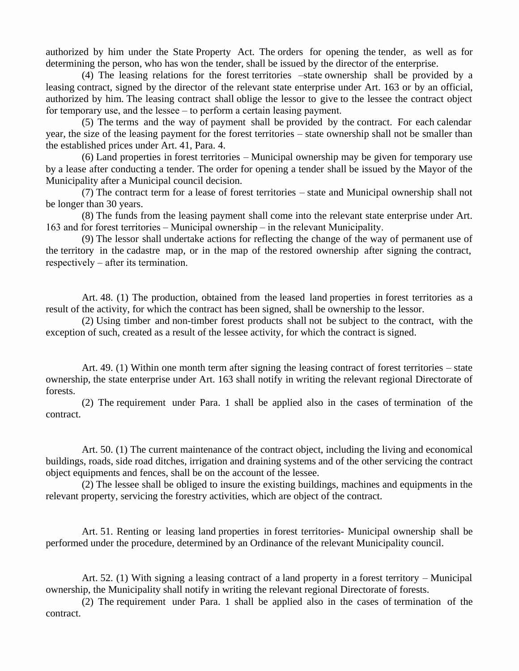authorized by him under the State Property Act. The orders for opening the tender, as well as for determining the person, who has won the tender, shall be issued by the director of the enterprise.

(4) The leasing relations for the forest territories –state ownership shall be provided by a leasing contract, signed by the director of the relevant state enterprise under Art. 163 or by an official, authorized by him. The leasing contract shall oblige the lessor to give to the lessee the contract object for temporary use, and the lessee  $-$  to perform a certain leasing payment.

(5) The terms and the way of payment shall be provided by the contract. For each calendar year, the size of the leasing payment for the forest territories – state ownership shall not be smaller than the established prices under Art. 41, Para. 4.

(6) Land properties in forest territories – Municipal ownership may be given for temporary use by a lease after conducting a tender. The order for opening a tender shall be issued by the Mayor of the Municipality after a Municipal council decision.

(7) The contract term for a lease of forest territories – state and Municipal ownership shall not be longer than 30 years.

(8) The funds from the leasing payment shall come into the relevant state enterprise under Art. 163 and for forest territories – Municipal ownership – in the relevant Municipality.

(9) The lessor shall undertake actions for reflecting the change of the way of permanent use of the territory in the cadastre map, or in the map of the restored ownership after signing the contract, respectively – after its termination.

Art. 48. (1) The production, obtained from the leased land properties in forest territories as a result of the activity, for which the contract has been signed, shall be ownership to the lessor.

(2) Using timber and non-timber forest products shall not be subject to the contract, with the exception of such, created as a result of the lessee activity, for which the contract is signed.

Art. 49. (1) Within one month term after signing the leasing contract of forest territories – state ownership, the state enterprise under Art. 163 shall notify in writing the relevant regional Directorate of forests.

(2) The requirement under Para. 1 shall be applied also in the cases of termination of the contract.

Art. 50. (1) The current maintenance of the contract object, including the living and economical buildings, roads, side road ditches, irrigation and draining systems and of the other servicing the contract object equipments and fences, shall be on the account of the lessee.

(2) The lessee shall be obliged to insure the existing buildings, machines and equipments in the relevant property, servicing the forestry activities, which are object of the contract.

Art. 51. Renting or leasing land properties in forest territories- Municipal ownership shall be performed under the procedure, determined by an Ordinance of the relevant Municipality council.

Art. 52. (1) With signing a leasing contract of a land property in a forest territory – Municipal ownership, the Municipality shall notify in writing the relevant regional Directorate of forests.

(2) The requirement under Para. 1 shall be applied also in the cases of termination of the contract.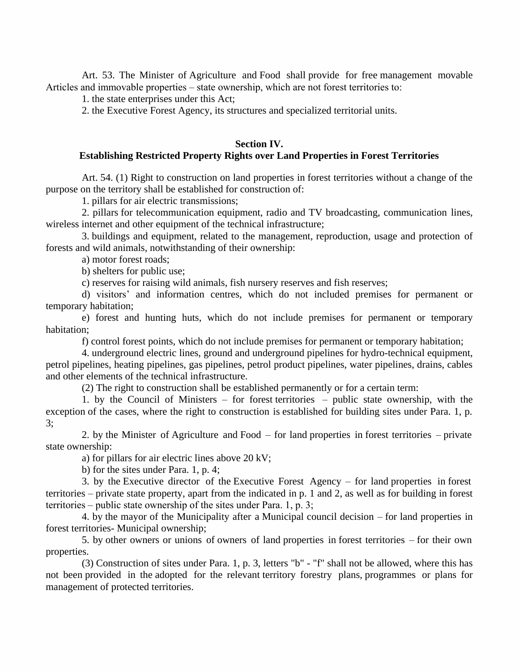Art. 53. The Minister of Agriculture and Food shall provide for free management movable Articles and immovable properties – state ownership, which are not forest territories to:

1. the state enterprises under this Act;

2. the Executive Forest Agency, its structures and specialized territorial units.

#### **Section IV.**

## **Establishing Restricted Property Rights over Land Properties in Forest Territories**

Art. 54. (1) Right to construction on land properties in forest territories without a change of the purpose on the territory shall be established for construction of:

1. pillars for air electric transmissions;

2. pillars for telecommunication equipment, radio and TV broadcasting, communication lines, wireless internet and other equipment of the technical infrastructure;

3. buildings and equipment, related to the management, reproduction, usage and protection of forests and wild animals, notwithstanding of their ownership:

a) motor forest roads;

b) shelters for public use;

c) reserves for raising wild animals, fish nursery reserves and fish reserves;

d) visitors'and information centres, which do not included premises for permanent or temporary habitation;

e) forest and hunting huts, which do not include premises for permanent or temporary habitation;

f) control forest points, which do not include premises for permanent or temporary habitation;

4. underground electric lines, ground and underground pipelines for hydro-technical equipment, petrol pipelines, heating pipelines, gas pipelines, petrol product pipelines, water pipelines, drains, cables and other elements of the technical infrastructure.

(2) The right to construction shall be established permanently or for a certain term:

1. by the Council of Ministers – for forest territories – public state ownership, with the exception of the cases, where the right to construction is established for building sites under Para. 1, p. 3;

2. by the Minister of Agriculture and Food  $-$  for land properties in forest territories  $-$  private state ownership:

a) for pillars for air electric lines above 20 kV;

b) for the sites under Para. 1, p. 4;

3. by the Executive director of the Executive Forest Agency  $-$  for land properties in forest territories – private state property, apart from the indicated in p. 1 and 2, as well as for building in forest territories – public state ownership of the sites under Para. 1, p. 3;

4. by the mayor of the Municipality after a Municipal council decision – for land properties in forest territories- Municipal ownership;

5. by other owners or unions of owners of land properties in forest territories – for their own properties.

(3) Construction of sites under Para. 1, p. 3, letters "b" - "f" shall not be allowed, where this has not been provided in the adopted for the relevant territory forestry plans, programmes or plans for management of protected territories.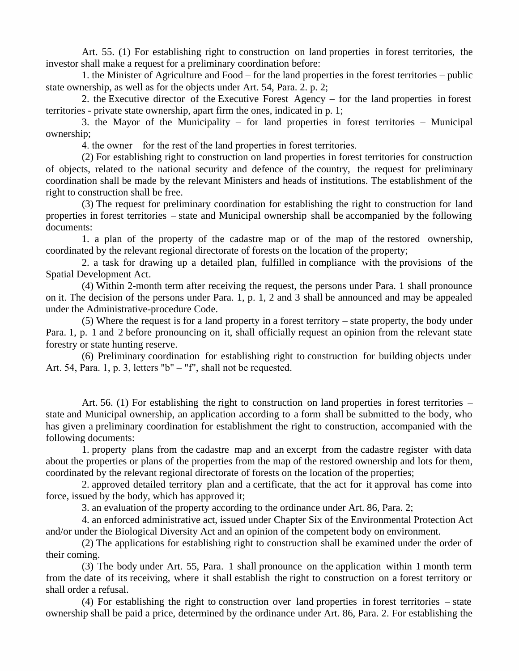Art. 55. (1) For establishing right to construction on land properties in forest territories, the investor shall make a request for a preliminary coordination before:

1. the Minister of Agriculture and Food – for the land properties in the forest territories – public state ownership, as well as for the objects under Art. 54, Para. 2. p. 2;

2. the Executive director of the Executive Forest Agency  $-$  for the land properties in forest territories - private state ownership, apart firm the ones, indicated in p. 1;

3. the Mayor of the Municipality – for land properties in forest territories – Municipal ownership;

4. the owner – for the rest of the land properties in forest territories.

(2) For establishing right to construction on land properties in forest territories for construction of objects, related to the national security and defence of the country, the request for preliminary coordination shall be made by the relevant Ministers and heads of institutions. The establishment of the right to construction shall be free.

(3) The request for preliminary coordination for establishing the right to construction for land properties in forest territories – state and Municipal ownership shall be accompanied by the following documents:

1. a plan of the property of the cadastre map or of the map of the restored ownership, coordinated by the relevant regional directorate of forests on the location of the property;

2. a task for drawing up a detailed plan, fulfilled in compliance with the provisions of the Spatial Development Act.

(4) Within 2-month term after receiving the request, the persons under Para. 1 shall pronounce on it. The decision of the persons under Para. 1, p. 1, 2 and 3 shall be announced and may be appealed under the Administrative-procedure Code.

(5) Where the request is for a land property in a forest territory – state property, the body under Para. 1, p. 1 and 2 before pronouncing on it, shall officially request an opinion from the relevant state forestry or state hunting reserve.

(6) Preliminary coordination for establishing right to construction for building objects under Art. 54, Para. 1, p. 3, letters " $b$ " – "f", shall not be requested.

Art. 56. (1) For establishing the right to construction on land properties in forest territories – state and Municipal ownership, an application according to a form shall be submitted to the body, who has given a preliminary coordination for establishment the right to construction, accompanied with the following documents:

1. property plans from the cadastre map and an excerpt from the cadastre register with data about the properties or plans of the properties from the map of the restored ownership and lots for them, coordinated by the relevant regional directorate of forests on the location of the properties;

2. approved detailed territory plan and a certificate, that the act for it approval has come into force, issued by the body, which has approved it;

3. an evaluation of the property according to the ordinance under Art. 86, Para. 2;

4. an enforced administrative act, issued under Chapter Six of the Environmental Protection Act and/or under the Biological Diversity Act and an opinion of the competent body on environment.

(2) The applications for establishing right to construction shall be examined under the order of their coming.

(3) The body under Art. 55, Para. 1 shall pronounce on the application within 1 month term from the date of its receiving, where it shall establish the right to construction on a forest territory or shall order a refusal.

(4) For establishing the right to construction over land properties in forest territories – state ownership shall be paid a price, determined by the ordinance under Art. 86, Para. 2. For establishing the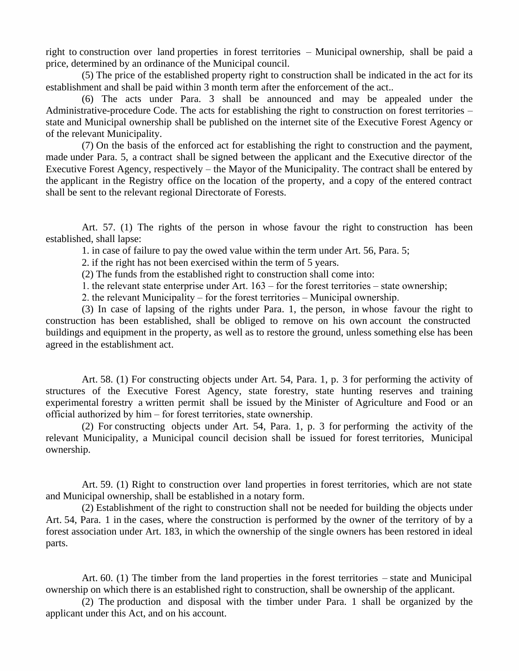right to construction over land properties in forest territories – Municipal ownership, shall be paid a price, determined by an ordinance of the Municipal council.

(5) The price of the established property right to construction shall be indicated in the act for its establishment and shall be paid within 3 month term after the enforcement of the act..

(6) The acts under Para. 3 shall be announced and may be appealed under the Administrative-procedure Code. The acts for establishing the right to construction on forest territories – state and Municipal ownership shall be published on the internet site of the Executive Forest Agency or of the relevant Municipality.

(7) On the basis of the enforced act for establishing the right to construction and the payment, made under Para. 5, a contract shall be signed between the applicant and the Executive director of the Executive Forest Agency, respectively – the Mayor of the Municipality. The contract shall be entered by the applicant in the Registry office on the location of the property, and a copy of the entered contract shall be sent to the relevant regional Directorate of Forests.

Art. 57. (1) The rights of the person in whose favour the right to construction has been established, shall lapse:

1. in case of failure to pay the owed value within the term under Art. 56, Para. 5;

2. if the right has not been exercised within the term of 5 years.

(2) The funds from the established right to construction shall come into:

1. the relevant state enterprise under Art.  $163$  – for the forest territories – state ownership;

2. the relevant Municipality – for the forest territories – Municipal ownership.

(3) In case of lapsing of the rights under Para. 1, the person, in whose favour the right to construction has been established, shall be obliged to remove on his own account the constructed buildings and equipment in the property, as well as to restore the ground, unless something else has been agreed in the establishment act.

Art. 58. (1) For constructing objects under Art. 54, Para. 1, p. 3 for performing the activity of structures of the Executive Forest Agency, state forestry, state hunting reserves and training experimental forestry a written permit shall be issued by the Minister of Agriculture and Food or an official authorized by  $him$ – for forest territories, state ownership.

(2) For constructing objects under Art. 54, Para. 1, p. 3 for performing the activity of the relevant Municipality, a Municipal council decision shall be issued for forest territories, Municipal ownership.

Art. 59. (1) Right to construction over land properties in forest territories, which are not state and Municipal ownership, shall be established in a notary form.

(2) Establishment of the right to construction shall not be needed for building the objects under Art. 54, Para. 1 in the cases, where the construction is performed by the owner of the territory of by a forest association under Art. 183, in which the ownership of the single owners has been restored in ideal parts.

Art. 60. (1) The timber from the land properties in the forest territories – state and Municipal ownership on which there is an established right to construction, shall be ownership of the applicant.

(2) The production and disposal with the timber under Para. 1 shall be organized by the applicant under this Act, and on his account.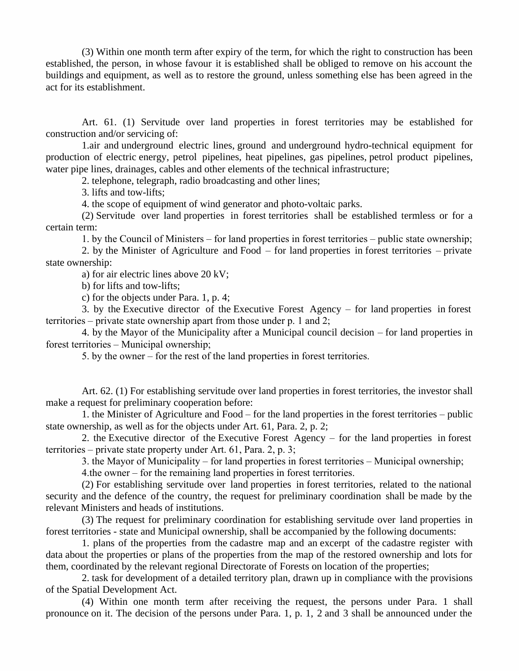(3) Within one month term after expiry of the term, for which the right to construction has been established, the person, in whose favour it is established shall be obliged to remove on his account the buildings and equipment, as well as to restore the ground, unless something else has been agreed in the act for its establishment.

Art. 61. (1) Servitude over land properties in forest territories may be established for construction and/or servicing of:

1.air and underground electric lines, ground and underground hydro-technical equipment for production of electric energy, petrol pipelines, heat pipelines, gas pipelines, petrol product pipelines, water pipe lines, drainages, cables and other elements of the technical infrastructure;

2. telephone, telegraph, radio broadcasting and other lines;

3. lifts and tow-lifts;

4. the scope of equipment of wind generator and photo-voltaic parks.

(2) Servitude over land properties in forest territories shall be established termless or for a certain term:

1. by the Council of Ministers – for land properties in forest territories – public state ownership;

2. by the Minister of Agriculture and Food  $-$  for land properties in forest territories  $-$  private state ownership:

a) for air electric lines above 20 kV;

b) for lifts and tow-lifts;

c) for the objects under Para. 1, p. 4;

3. by the Executive director of the Executive Forest Agency  $-$  for land properties in forest territories – private state ownership apart from those under  $p$ . 1 and 2;

4. by the Mayor of the Municipality after a Municipal council decision – for land properties in forest territories – Municipal ownership;

5. by the owner – for the rest of the land properties in forest territories.

Art. 62. (1) For establishing servitude over land properties in forest territories, the investor shall make a request for preliminary cooperation before:

1. the Minister of Agriculture and Food – for the land properties in the forest territories – public state ownership, as well as for the objects under Art. 61, Para. 2, p. 2;

2. the Executive director of the Executive Forest Agency – for the land properties in forest territories – private state property under Art. 61, Para. 2, p. 3;

3. the Mayor of Municipality – for land properties in forest territories – Municipal ownership;

 $4.$ the owner – for the remaining land properties in forest territories.

(2) For establishing servitude over land properties in forest territories, related to the national security and the defence of the country, the request for preliminary coordination shall be made by the relevant Ministers and heads of institutions.

(3) The request for preliminary coordination for establishing servitude over land properties in forest territories - state and Municipal ownership, shall be accompanied by the following documents:

1. plans of the properties from the cadastre map and an excerpt of the cadastre register with data about the properties or plans of the properties from the map of the restored ownership and lots for them, coordinated by the relevant regional Directorate of Forests on location of the properties;

2. task for development of a detailed territory plan, drawn up in compliance with the provisions of the Spatial Development Act.

 $(4)$  Within one month term after receiving the request, the persons under Para. 1 shall pronounce on it. The decision of the persons under Para. 1, p. 1, 2 and 3 shall be announced under the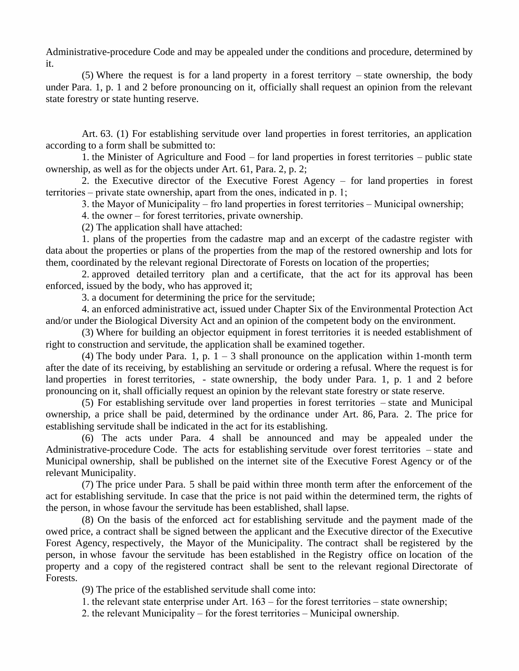Administrative-procedure Code and may be appealed under the conditions and procedure, determined by it.

(5) Where the request is for a land property in a forest territory – state ownership, the body under Para. 1, p. 1 and 2 before pronouncing on it, officially shall request an opinion from the relevant state forestry or state hunting reserve.

Art. 63. (1) For establishing servitude over land properties in forest territories, an application according to a form shall be submitted to:

1. the Minister of Agriculture and Food – for land properties in forest territories – public state ownership, as well as for the objects under Art. 61, Para. 2, p. 2;

2. the Executive director of the Executive Forest Agency – for land properties in forest territories – private state ownership, apart from the ones, indicated in p. 1;

3. the Mayor of Municipality – fro land properties in forest territories – Municipal ownership;

4. the owner – for forest territories, private ownership.

(2) The application shall have attached:

1. plans of the properties from the cadastre map and an excerpt of the cadastre register with data about the properties or plans of the properties from the map of the restored ownership and lots for them, coordinated by the relevant regional Directorate of Forests on location of the properties;

2. approved detailed territory plan and a certificate, that the act for its approval has been enforced, issued by the body, who has approved it;

3. a document for determining the price for the servitude;

4. an enforced administrative act, issued under Chapter Six of the Environmental Protection Act and/or under the Biological Diversity Act and an opinion of the competent body on the environment.

(3) Where for building an objector equipment in forest territories it is needed establishment of right to construction and servitude, the application shall be examined together.

(4) The body under Para. 1, p.  $1 - 3$  shall pronounce on the application within 1-month term after the date of its receiving, by establishing an servitude or ordering a refusal. Where the request is for land properties in forest territories, - state ownership, the body under Para. 1, p. 1 and 2 before pronouncing on it, shall officially request an opinion by the relevant state forestry or state reserve.

(5) For establishing servitude over land properties in forest territories – state and Municipal ownership, a price shall be paid, determined by the ordinance under Art. 86, Para. 2. The price for establishing servitude shall be indicated in the act for its establishing.

(6) The acts under Para. 4 shall be announced and may be appealed under the Administrative-procedure Code. The acts for establishing servitude over forest territories – state and Municipal ownership, shall be published on the internet site of the Executive Forest Agency or of the relevant Municipality.

(7) The price under Para. 5 shall be paid within three month term after the enforcement of the act for establishing servitude. In case that the price is not paid within the determined term, the rights of the person, in whose favour the servitude has been established, shall lapse.

(8) On the basis of the enforced act for establishing servitude and the payment made of the owed price, a contract shall be signed between the applicant and the Executive director of the Executive Forest Agency, respectively, the Mayor of the Municipality. The contract shall be registered by the person, in whose favour the servitude has been established in the Registry office on location of the property and a copy of the registered contract shall be sent to the relevant regional Directorate of Forests.

(9) The price of the established servitude shall come into:

1. the relevant state enterprise under Art.  $163$  – for the forest territories – state ownership;

2. the relevant Municipality – for the forest territories – Municipal ownership.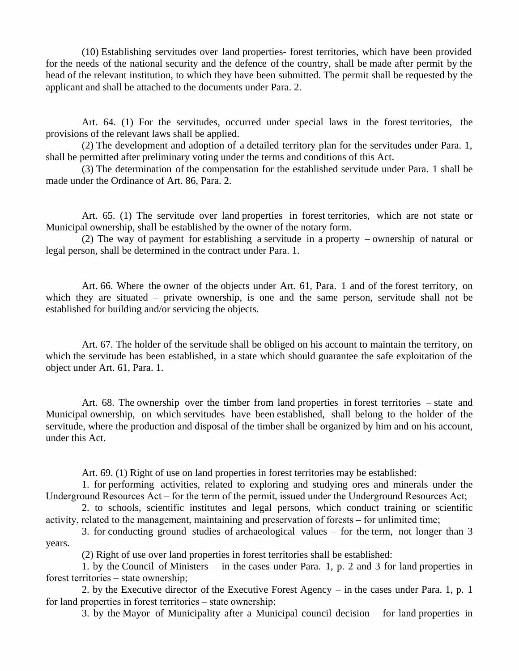(10) Establishing servitudes over land properties- forest territories, which have been provided for the needs of the national security and the defence of the country, shall be made after permit by the head of the relevant institution, to which they have been submitted. The permit shall be requested by the applicant and shall be attached to the documents under Para. 2.

Art. 64. (1) For the servitudes, occurred under special laws in the forest territories, the provisions of the relevant laws shall be applied.

(2) The development and adoption of a detailed territory plan for the servitudes under Para. 1, shall be permitted after preliminary voting under the terms and conditions of this Act.

(3) The determination of the compensation for the established servitude under Para. 1 shall be made under the Ordinance of Art. 86, Para. 2.

Art. 65. (1) The servitude over land properties in forest territories, which are not state or Municipal ownership, shall be established by the owner of the notary form.

(2) The way of payment for establishing a servitude in a property – ownership of natural or legal person, shall be determined in the contract under Para. 1.

Art. 66. Where the owner of the objects under Art. 61, Para. 1 and of the forest territory, on which they are situated – private ownership, is one and the same person, servitude shall not be established for building and/or servicing the objects.

Art. 67. The holder of the servitude shall be obliged on his account to maintain the territory, on which the servitude has been established, in a state which should guarantee the safe exploitation of the object under Art. 61, Para. 1.

Art. 68. The ownership over the timber from land properties in forest territories – state and Municipal ownership, on which servitudes have been established, shall belong to the holder of the servitude, where the production and disposal of the timber shall be organized by him and on his account, under this Act.

Art. 69. (1) Right of use on land properties in forest territories may be established:

1. for performing activities, related to exploring and studying ores and minerals under the Underground Resources  $Act$  – for the term of the permit, issued under the Underground Resources Act;

2. to schools, scientific institutes and legal persons, which conduct training or scientific activity, related to the management, maintaining and preservation of forests – for unlimited time;

3. for conducting ground studies of archaeological values – for the term, not longer than  $3$ years.

(2) Right of use over land properties in forest territories shall be established:

1. by the Council of Ministers – in the cases under Para. 1, p. 2 and 3 for land properties in forest territories – state ownership;

2. by the Executive director of the Executive Forest Agency –in the cases under Para. 1, p. 1 for land properties in forest territories – state ownership;

3. by the Mayor of Municipality after a Municipal council decision  $-$  for land properties in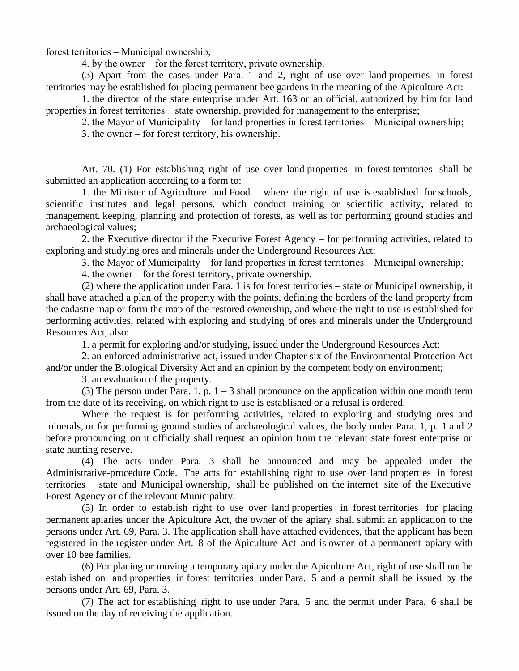forest territories – Municipal ownership;

4. by the owner – for the forest territory, private ownership.

(3) Apart from the cases under Para. 1 and 2, right of use over land properties in forest territories may be established for placing permanent bee gardens in the meaning of the Apiculture Act:

1. the director of the state enterprise under Art. 163 or an official, authorized by him for land properties in forest territories – state ownership, provided for management to the enterprise;

2. the Mayor of Municipality – for land properties in forest territories – Municipal ownership;

3. the owner – for forest territory, his ownership.

Art. 70. (1) For establishing right of use over land properties in forest territories shall be submitted an application according to a form to:

1. the Minister of Agriculture and Food – where the right of use is established for schools, scientific institutes and legal persons, which conduct training or scientific activity, related to management, keeping, planning and protection of forests, as well as for performing ground studies and archaeological values;

2. the Executive director if the Executive Forest Agency – for performing activities, related to exploring and studying ores and minerals under the Underground Resources Act;

3. the Mayor of Municipality – for land properties in forest territories – Municipal ownership;

4. the owner – for the forest territory, private ownership.

(2) where the application under Para. 1 is for forest territories – state or Municipal ownership, it shall have attached a plan of the property with the points, defining the borders of the land property from the cadastre map or form the map of the restored ownership, and where the right to use is established for performing activities, related with exploring and studying of ores and minerals under the Underground Resources Act, also:

1. a permit for exploring and/or studying, issued under the Underground Resources Act;

2. an enforced administrative act, issued under Chapter six of the Environmental Protection Act and/or under the Biological Diversity Act and an opinion by the competent body on environment;

3. an evaluation of the property.

(3) The person under Para. 1, p.  $1 - 3$  shall pronounce on the application within one month term from the date of its receiving, on which right to use is established or a refusal is ordered.

Where the request is for performing activities, related to exploring and studying ores and minerals, or for performing ground studies of archaeological values, the body under Para. 1, p. 1 and 2 before pronouncing on it officially shall request an opinion from the relevant state forest enterprise or state hunting reserve.

(4) The acts under Para. 3 shall be announced and may be appealed under the Administrative-procedure Code. The acts for establishing right to use over land properties in forest territories – state and Municipal ownership, shall be published on the internet site of the Executive Forest Agency or of the relevant Municipality.

(5) In order to establish right to use over land properties in forest territories for placing permanent apiaries under the Apiculture Act, the owner of the apiary shall submit an application to the persons under Art. 69, Para. 3. The application shall have attached evidences, that the applicant has been registered in the register under Art. 8 of the Apiculture Act and is owner of a permanent apiary with over 10 bee families.

(6) For placing or moving a temporary apiary under the Apiculture Act, right of use shall not be established on land properties in forest territories under Para. 5 and a permit shall be issued by the persons under Art. 69, Para. 3.

(7) The act for establishing right to use under Para. 5 and the permit under Para. 6 shall be issued on the day of receiving the application.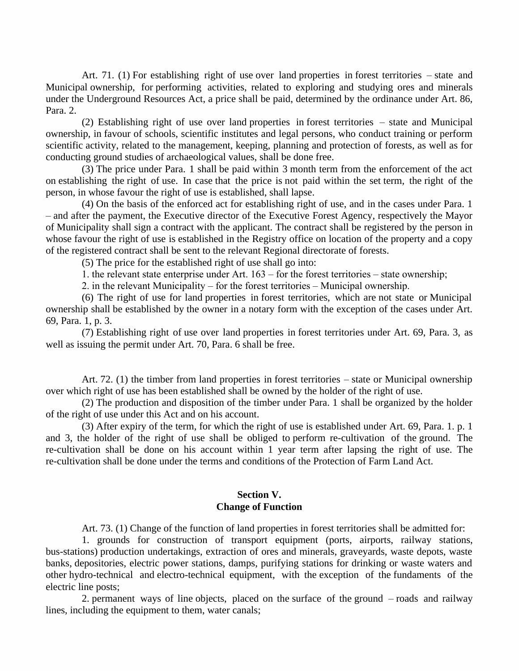Art. 71. (1) For establishing right of use over land properties in forest territories – state and Municipal ownership, for performing activities, related to exploring and studying ores and minerals under the Underground Resources Act, a price shall be paid, determined by the ordinance under Art. 86, Para. 2.

 $(2)$  Establishing right of use over land properties in forest territories – state and Municipal ownership, in favour of schools, scientific institutes and legal persons, who conduct training or perform scientific activity, related to the management, keeping, planning and protection of forests, as well as for conducting ground studies of archaeological values, shall be done free.

(3) The price under Para. 1 shall be paid within 3 month term from the enforcement of the act on establishing the right of use. In case that the price is not paid within the set term, the right of the person, in whose favour the right of use is established, shall lapse.

(4) On the basis of the enforced act for establishing right of use, and in the cases under Para. 1 – and after the payment, the Executive director of the Executive Forest Agency, respectively the Mayor of Municipality shall sign a contract with the applicant. The contract shall be registered by the person in whose favour the right of use is established in the Registry office on location of the property and a copy of the registered contract shall be sent to the relevant Regional directorate of forests.

(5) The price for the established right of use shall go into:

1. the relevant state enterprise under Art.  $163$  – for the forest territories – state ownership;

2. in the relevant Municipality – for the forest territories – Municipal ownership.

(6) The right of use for land properties in forest territories, which are not state or Municipal ownership shall be established by the owner in a notary form with the exception of the cases under Art. 69, Para. 1, p. 3.

(7) Establishing right of use over land properties in forest territories under Art. 69, Para. 3, as well as issuing the permit under Art. 70, Para. 6 shall be free.

Art. 72. (1) the timber from land properties in forest territories – state or Municipal ownership over which right of use has been established shall be owned by the holder of the right of use.

(2) The production and disposition of the timber under Para. 1 shall be organized by the holder of the right of use under this Act and on his account.

(3) After expiry of the term, for which the right of use is established under Art. 69, Para. 1. p. 1 and 3, the holder of the right of use shall be obliged to perform re-cultivation of the ground. The re-cultivation shall be done on his account within 1 year term after lapsing the right of use. The re-cultivation shall be done under the terms and conditions of the Protection of Farm Land Act.

## **Section V. Change of Function**

Art. 73. (1) Change of the function of land properties in forest territories shall be admitted for:

1. grounds for construction of transport equipment (ports, airports, railway stations, bus-stations) production undertakings, extraction of ores and minerals, graveyards, waste depots, waste banks, depositories, electric power stations, damps, purifying stations for drinking or waste waters and other hydro-technical and electro-technical equipment, with the exception of the fundaments of the electric line posts;

2. permanent ways of line objects, placed on the surface of the ground – roads and railway lines, including the equipment to them, water canals;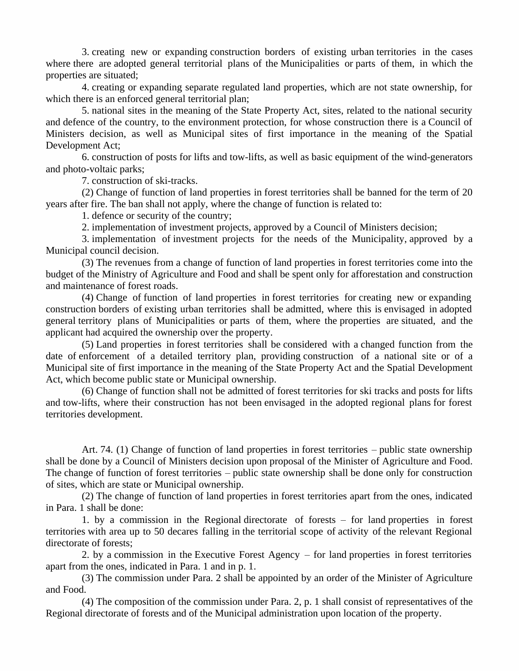3. creating new or expanding construction borders of existing urban territories in the cases where there are adopted general territorial plans of the Municipalities or parts of them, in which the properties are situated;

4. creating or expanding separate regulated land properties, which are not state ownership, for which there is an enforced general territorial plan;

5. national sites in the meaning of the State Property Act, sites, related to the national security and defence of the country, to the environment protection, for whose construction there is a Council of Ministers decision, as well as Municipal sites of first importance in the meaning of the Spatial Development Act;

6. construction of posts for lifts and tow-lifts, as well as basic equipment of the wind-generators and photo-voltaic parks;

7. construction of ski-tracks.

(2) Change of function of land properties in forest territories shall be banned for the term of 20 years after fire. The ban shall not apply, where the change of function is related to:

1. defence or security of the country;

2. implementation of investment projects, approved by a Council of Ministers decision;

3. implementation of investment projects for the needs of the Municipality, approved by a Municipal council decision.

(3) The revenues from a change of function of land properties in forest territories come into the budget of the Ministry of Agriculture and Food and shall be spent only for afforestation and construction and maintenance of forest roads.

(4) Change of function of land properties in forest territories for creating new or expanding construction borders of existing urban territories shall be admitted, where this is envisaged in adopted general territory plans of Municipalities or parts of them, where the properties are situated, and the applicant had acquired the ownership over the property.

(5) Land properties in forest territories shall be considered with a changed function from the date of enforcement of a detailed territory plan, providing construction of a national site or of a Municipal site of first importance in the meaning of the State Property Act and the Spatial Development Act, which become public state or Municipal ownership.

(6) Change of function shall not be admitted of forest territories for ski tracks and posts for lifts and tow-lifts, where their construction has not been envisaged in the adopted regional plans for forest territories development.

Art. 74. (1) Change of function of land properties in forest territories – public state ownership shall be done by a Council of Ministers decision upon proposal of the Minister of Agriculture and Food. The change of function of forest territories – public state ownership shall be done only for construction of sites, which are state or Municipal ownership.

(2) The change of function of land properties in forest territories apart from the ones, indicated in Para. 1 shall be done:

1. by a commission in the Regional directorate of forests  $-$  for land properties in forest territories with area up to 50 decares falling in the territorial scope of activity of the relevant Regional directorate of forests;

2. by a commission in the Executive Forest Agency  $-$  for land properties in forest territories apart from the ones, indicated in Para. 1 and in p. 1.

(3) The commission under Para. 2 shall be appointed by an order of the Minister of Agriculture and Food.

(4) The composition of the commission under Para. 2, p. 1 shall consist of representatives of the Regional directorate of forests and of the Municipal administration upon location of the property.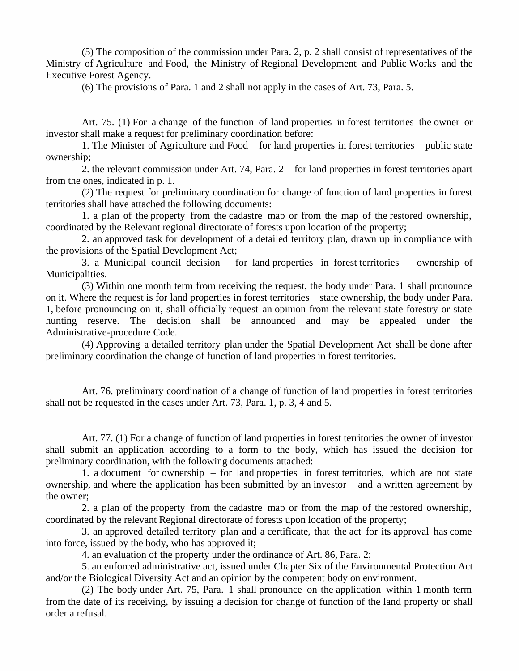(5) The composition of the commission under Para. 2, p. 2 shall consist of representatives of the Ministry of Agriculture and Food, the Ministry of Regional Development and Public Works and the Executive Forest Agency.

(6) The provisions of Para. 1 and 2 shall not apply in the cases of Art. 73, Para. 5.

Art. 75. (1) For a change of the function of land properties in forest territories the owner or investor shall make a request for preliminary coordination before:

1. The Minister of Agriculture and Food – for land properties in forest territories – public state ownership;

2. the relevant commission under Art. 74, Para. 2 – for land properties in forest territories apart from the ones, indicated in p. 1.

(2) The request for preliminary coordination for change of function of land properties in forest territories shall have attached the following documents:

1. a plan of the property from the cadastre map or from the map of the restored ownership, coordinated by the Relevant regional directorate of forests upon location of the property;

2. an approved task for development of a detailed territory plan, drawn up in compliance with the provisions of the Spatial Development Act;

3. a Municipal council decision – for land properties in forest territories – ownership of Municipalities.

(3) Within one month term from receiving the request, the body under Para. 1 shall pronounce on it. Where the request is for land properties in forest territories – state ownership, the body under Para. 1, before pronouncing on it, shall officially request an opinion from the relevant state forestry or state hunting reserve. The decision shall be announced and may be appealed under the Administrative-procedure Code.

(4) Approving a detailed territory plan under the Spatial Development Act shall be done after preliminary coordination the change of function of land properties in forest territories.

Art. 76. preliminary coordination of a change of function of land properties in forest territories shall not be requested in the cases under Art. 73, Para. 1, p. 3, 4 and 5.

Art. 77. (1) For a change of function of land properties in forest territories the owner of investor shall submit an application according to a form to the body, which has issued the decision for preliminary coordination, with the following documents attached:

1. a document for ownership  $-$  for land properties in forest territories, which are not state ownership, and where the application has been submitted by an investor – and a written agreement by the owner;

2. a plan of the property from the cadastre map or from the map of the restored ownership, coordinated by the relevant Regional directorate of forests upon location of the property;

3. an approved detailed territory plan and a certificate, that the act for its approval has come into force, issued by the body, who has approved it;

4. an evaluation of the property under the ordinance of Art. 86, Para. 2;

5. an enforced administrative act, issued under Chapter Six of the Environmental Protection Act and/or the Biological Diversity Act and an opinion by the competent body on environment.

(2) The body under Art. 75, Para. 1 shall pronounce on the application within 1 month term from the date of its receiving, by issuing a decision for change of function of the land property or shall order a refusal.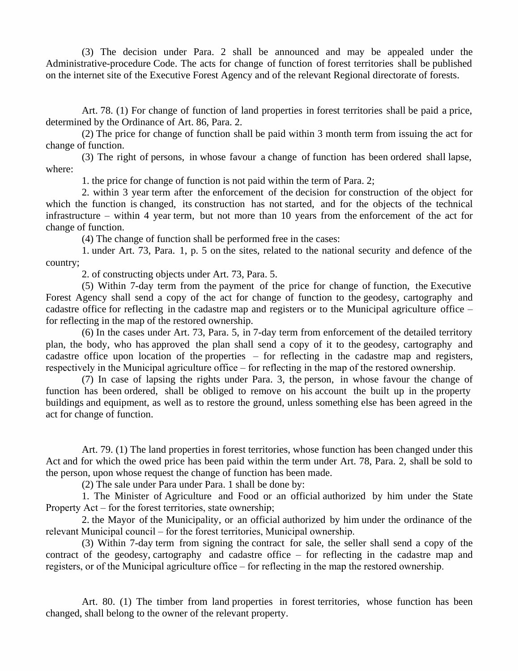(3) The decision under Para. 2 shall be announced and may be appealed under the Administrative-procedure Code. The acts for change of function of forest territories shall be published on the internet site of the Executive Forest Agency and of the relevant Regional directorate of forests.

Art. 78. (1) For change of function of land properties in forest territories shall be paid a price, determined by the Ordinance of Art. 86, Para. 2.

(2) The price for change of function shall be paid within 3 month term from issuing the act for change of function.

(3) The right of persons, in whose favour a change of function has been ordered shall lapse, where:

1. the price for change of function is not paid within the term of Para. 2;

2. within 3 year term after the enforcement of the decision for construction of the object for which the function is changed, its construction has not started, and for the objects of the technical infrastructure – within 4 year term, but not more than 10 years from the enforcement of the act for change of function.

(4) The change of function shall be performed free in the cases:

1. under Art. 73, Para. 1, p. 5 on the sites, related to the national security and defence of the country;

2. of constructing objects under Art. 73, Para. 5.

(5) Within 7-day term from the payment of the price for change of function, the Executive Forest Agency shall send a copy of the act for change of function to the geodesy, cartography and cadastre office for reflecting in the cadastre map and registers or to the Municipal agriculture office – for reflecting in the map of the restored ownership.

(6) In the cases under Art. 73, Para. 5, in 7-day term from enforcement of the detailed territory plan, the body, who has approved the plan shall send a copy of it to the geodesy, cartography and cadastre office upon location of the properties  $-$  for reflecting in the cadastre map and registers, respectively in the Municipal agriculture office – for reflecting in the map of the restored ownership.

(7) In case of lapsing the rights under Para. 3, the person, in whose favour the change of function has been ordered, shall be obliged to remove on his account the built up in the property buildings and equipment, as well as to restore the ground, unless something else has been agreed in the act for change of function.

Art. 79. (1) The land properties in forest territories, whose function has been changed under this Act and for which the owed price has been paid within the term under Art. 78, Para. 2, shall be sold to the person, upon whose request the change of function has been made.

(2) The sale under Para under Para. 1 shall be done by:

1. The Minister of Agriculture and Food or an official authorized by him under the State Property  $Act$  – for the forest territories, state ownership;

2. the Mayor of the Municipality, or an official authorized by him under the ordinance of the relevant Municipal council – for the forest territories, Municipal ownership.

(3) Within 7-day term from signing the contract for sale, the seller shall send a copy of the contract of the geodesy, cartography and cadastre office  $-$  for reflecting in the cadastre map and registers, or of the Municipal agriculture office – for reflecting in the map the restored ownership.

Art. 80. (1) The timber from land properties in forest territories, whose function has been changed, shall belong to the owner of the relevant property.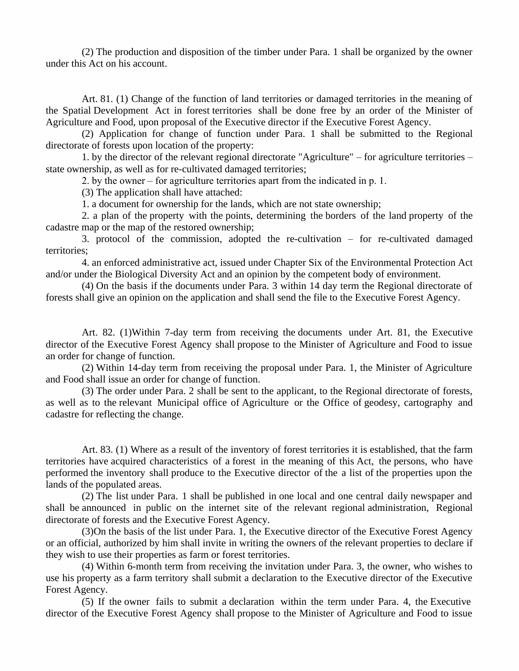(2) The production and disposition of the timber under Para. 1 shall be organized by the owner under this Act on his account.

Art. 81. (1) Change of the function of land territories or damaged territories in the meaning of the Spatial Development Act in forest territories shall be done free by an order of the Minister of Agriculture and Food, upon proposal of the Executive director if the Executive Forest Agency.

(2) Application for change of function under Para. 1 shall be submitted to the Regional directorate of forests upon location of the property:

1. by the director of the relevant regional directorate "Agriculture" – for agriculture territories – state ownership, as well as for re-cultivated damaged territories;

2. by the owner – for agriculture territories apart from the indicated in  $p$ . 1.

(3) The application shall have attached:

1. a document for ownership for the lands, which are not state ownership;

2. a plan of the property with the points, determining the borders of the land property of the cadastre map or the map of the restored ownership;

3. protocol of the commission, adopted the re-cultivation  $-$  for re-cultivated damaged territories;

4. an enforced administrative act, issued under Chapter Six of the Environmental Protection Act and/or under the Biological Diversity Act and an opinion by the competent body of environment.

(4) On the basis if the documents under Para. 3 within 14 day term the Regional directorate of forests shall give an opinion on the application and shall send the file to the Executive Forest Agency.

Art. 82. (1)Within 7-day term from receiving the documents under Art. 81, the Executive director of the Executive Forest Agency shall propose to the Minister of Agriculture and Food to issue an order for change of function.

(2) Within 14-day term from receiving the proposal under Para. 1, the Minister of Agriculture and Food shall issue an order for change of function.

(3) The order under Para. 2 shall be sent to the applicant, to the Regional directorate of forests, as well as to the relevant Municipal office of Agriculture or the Office of geodesy, cartography and cadastre for reflecting the change.

Art. 83. (1) Where as a result of the inventory of forest territories it is established, that the farm territories have acquired characteristics of a forest in the meaning of this Act, the persons, who have performed the inventory shall produce to the Executive director of the a list of the properties upon the lands of the populated areas.

(2) The list under Para. 1 shall be published in one local and one central daily newspaper and shall be announced in public on the internet site of the relevant regional administration, Regional directorate of forests and the Executive Forest Agency.

(3)On the basis of the list under Para. 1, the Executive director of the Executive Forest Agency or an official, authorized by him shall invite in writing the owners of the relevant properties to declare if they wish to use their properties as farm or forest territories.

(4) Within 6-month term from receiving the invitation under Para. 3, the owner, who wishes to use his property as a farm territory shall submit a declaration to the Executive director of the Executive Forest Agency.

(5) If the owner fails to submit a declaration within the term under Para. 4, the Executive director of the Executive Forest Agency shall propose to the Minister of Agriculture and Food to issue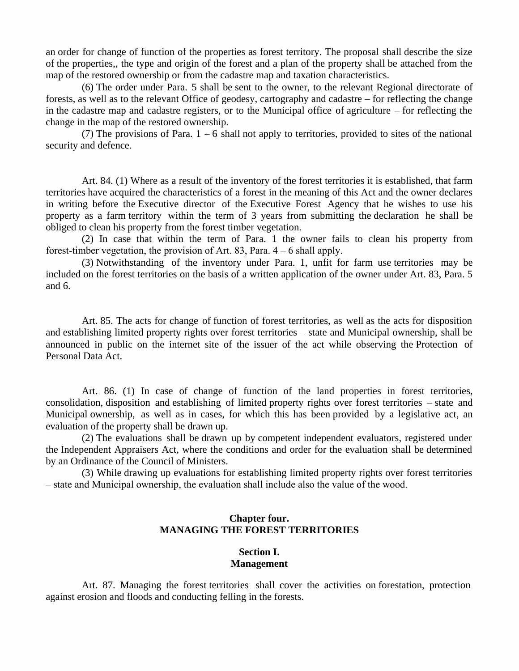an order for change of function of the properties as forest territory. The proposal shall describe the size of the properties,, the type and origin of the forest and a plan of the property shall be attached from the map of the restored ownership or from the cadastre map and taxation characteristics.

(6) The order under Para. 5 shall be sent to the owner, to the relevant Regional directorate of forests, as well as to the relevant Office of geodesy, cartography and cadastre – for reflecting the change in the cadastre map and cadastre registers, or to the Municipal office of agriculture – for reflecting the change in the map of the restored ownership.

(7) The provisions of Para.  $1 - 6$  shall not apply to territories, provided to sites of the national security and defence.

Art. 84. (1) Where as a result of the inventory of the forest territories it is established, that farm territories have acquired the characteristics of a forest in the meaning of this Act and the owner declares in writing before the Executive director of the Executive Forest Agency that he wishes to use his property as a farm territory within the term of 3 years from submitting the declaration he shall be obliged to clean his property from the forest timber vegetation.

(2) In case that within the term of Para. 1 the owner fails to clean his property from forest-timber vegetation, the provision of Art. 83, Para.  $4-6$  shall apply.

(3) Notwithstanding of the inventory under Para. 1, unfit for farm use territories may be included on the forest territories on the basis of a written application of the owner under Art. 83, Para. 5 and 6.

Art. 85. The acts for change of function of forest territories, as well as the acts for disposition and establishing limited property rights over forest territories – state and Municipal ownership, shall be announced in public on the internet site of the issuer of the act while observing the Protection of Personal Data Act.

Art. 86. (1) In case of change of function of the land properties in forest territories, consolidation, disposition and establishing of limited property rights over forest territories – state and Municipal ownership, as well as in cases, for which this has been provided by a legislative act, an evaluation of the property shall be drawn up.

(2) The evaluations shall be drawn up by competent independent evaluators, registered under the Independent Appraisers Act, where the conditions and order for the evaluation shall be determined by an Ordinance of the Council of Ministers.

(3) While drawing up evaluations for establishing limited property rights over forest territories – state and Municipal ownership, the evaluation shall include also the value of the wood.

## **Chapter four. MANAGING THE FOREST TERRITORIES**

## **Section I. Management**

Art. 87. Managing the forest territories shall cover the activities on forestation, protection against erosion and floods and conducting felling in the forests.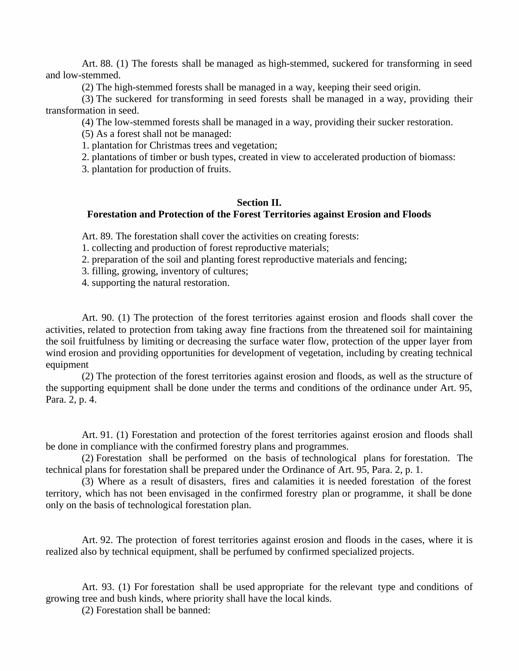Art. 88. (1) The forests shall be managed as high-stemmed, suckered for transforming in seed and low-stemmed.

(2) The high-stemmed forests shall be managed in a way, keeping their seed origin.

(3) The suckered for transforming in seed forests shall be managed in a way, providing their transformation in seed.

(4) The low-stemmed forests shall be managed in a way, providing their sucker restoration.

(5) As a forest shall not be managed:

1. plantation for Christmas trees and vegetation;

2. plantations of timber or bush types, created in view to accelerated production of biomass:

3. plantation for production of fruits.

## **Section II. Forestation and Protection of the Forest Territories against Erosion and Floods**

Art. 89. The forestation shall cover the activities on creating forests:

1. collecting and production of forest reproductive materials;

2. preparation of the soil and planting forest reproductive materials and fencing;

3. filling, growing, inventory of cultures;

4. supporting the natural restoration.

Art. 90. (1) The protection of the forest territories against erosion and floods shall cover the activities, related to protection from taking away fine fractions from the threatened soil for maintaining the soil fruitfulness by limiting or decreasing the surface water flow, protection of the upper layer from wind erosion and providing opportunities for development of vegetation, including by creating technical equipment

(2) The protection of the forest territories against erosion and floods, as well as the structure of the supporting equipment shall be done under the terms and conditions of the ordinance under Art. 95, Para. 2, p. 4.

Art. 91. (1) Forestation and protection of the forest territories against erosion and floods shall be done in compliance with the confirmed forestry plans and programmes.

(2) Forestation shall be performed on the basis of technological plans for forestation. The technical plans for forestation shall be prepared under the Ordinance of Art. 95, Para. 2, p. 1.

(3) Where as a result of disasters, fires and calamities it is needed forestation of the forest territory, which has not been envisaged in the confirmed forestry plan or programme, it shall be done only on the basis of technological forestation plan.

Art. 92. The protection of forest territories against erosion and floods in the cases, where it is realized also by technical equipment, shall be perfumed by confirmed specialized projects.

Art. 93. (1) For forestation shall be used appropriate for the relevant type and conditions of growing tree and bush kinds, where priority shall have the local kinds.

(2) Forestation shall be banned: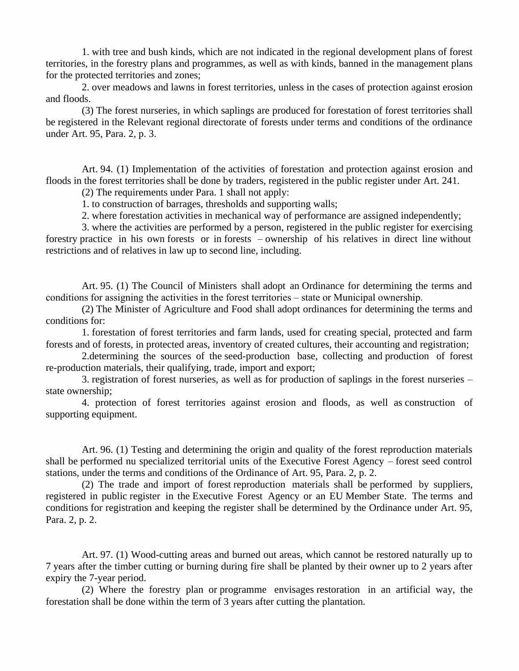1. with tree and bush kinds, which are not indicated in the regional development plans of forest territories, in the forestry plans and programmes, as well as with kinds, banned in the management plans for the protected territories and zones;

2. over meadows and lawns in forest territories, unless in the cases of protection against erosion and floods.

(3) The forest nurseries, in which saplings are produced for forestation of forest territories shall be registered in the Relevant regional directorate of forests under terms and conditions of the ordinance under Art. 95, Para. 2, p. 3.

Art. 94. (1) Implementation of the activities of forestation and protection against erosion and floods in the forest territories shall be done by traders, registered in the public register under Art. 241.

(2) The requirements under Para. 1 shall not apply:

1. to construction of barrages, thresholds and supporting walls;

2. where forestation activities in mechanical way of performance are assigned independently;

3. where the activities are performed by a person, registered in the public register for exercising forestry practice in his own forests or in forests – ownership of his relatives in direct line without restrictions and of relatives in law up to second line, including.

Art. 95. (1) The Council of Ministers shall adopt an Ordinance for determining the terms and conditions for assigning the activities in the forest territories – state or Municipal ownership.

(2) The Minister of Agriculture and Food shall adopt ordinances for determining the terms and conditions for:

1. forestation of forest territories and farm lands, used for creating special, protected and farm forests and of forests, in protected areas, inventory of created cultures, their accounting and registration;

2.determining the sources of the seed-production base, collecting and production of forest re-production materials, their qualifying, trade, import and export;

3. registration of forest nurseries, as well as for production of saplings in the forest nurseries – state ownership;

4. protection of forest territories against erosion and floods, as well as construction of supporting equipment.

Art. 96. (1) Testing and determining the origin and quality of the forest reproduction materials shall be performed nu specialized territorial units of the Executive Forest Agency – forest seed control stations, under the terms and conditions of the Ordinance of Art. 95, Para. 2, p. 2.

(2) The trade and import of forest reproduction materials shall be performed by suppliers, registered in public register in the Executive Forest Agency or an EU Member State. The terms and conditions for registration and keeping the register shall be determined by the Ordinance under Art. 95, Para. 2, p. 2.

Art. 97. (1) Wood-cutting areas and burned out areas, which cannot be restored naturally up to 7 years after the timber cutting or burning during fire shall be planted by their owner up to 2 years after expiry the 7-year period.

(2) Where the forestry plan or programme envisages restoration in an artificial way, the forestation shall be done within the term of 3 years after cutting the plantation.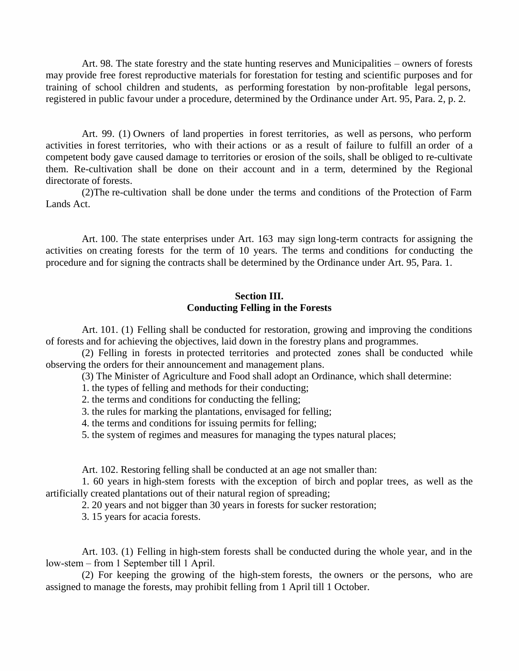Art. 98. The state forestry and the state hunting reserves and Municipalities – owners of forests may provide free forest reproductive materials for forestation for testing and scientific purposes and for training of school children and students, as performing forestation by non-profitable legal persons, registered in public favour under a procedure, determined by the Ordinance under Art. 95, Para. 2, p. 2.

Art. 99. (1) Owners of land properties in forest territories, as well as persons, who perform activities in forest territories, who with their actions or as a result of failure to fulfill an order of a competent body gave caused damage to territories or erosion of the soils, shall be obliged to re-cultivate them. Re-cultivation shall be done on their account and in aterm, determined by the Regional directorate of forests.

(2)The re-cultivation shall be done under the terms and conditions of the Protection of Farm Lands Act.

Art. 100. The state enterprises under Art. 163 may sign long-term contracts for assigning the activities on creating forests for the term of 10 years. The terms and conditions for conducting the procedure and for signing the contracts shall be determined by the Ordinance under Art. 95, Para. 1.

# **Section III. Conducting Felling in the Forests**

Art. 101. (1) Felling shall be conducted for restoration, growing and improving the conditions of forests and for achieving the objectives, laid down in the forestry plans and programmes.

(2) Felling in forests in protected territories and protected zones shall be conducted while observing the orders for their announcement and management plans.

(3) The Minister of Agriculture and Food shall adopt an Ordinance, which shall determine:

1. the types of felling and methods for their conducting;

2. the terms and conditions for conducting the felling;

3. the rules for marking the plantations, envisaged for felling;

4. the terms and conditions for issuing permits for felling;

5. the system of regimes and measures for managing the types natural places;

Art. 102. Restoring felling shall be conducted at an age not smaller than:

1. 60 years in high-stem forests with the exception of birch and poplar trees, as wellas the artificially created plantations out of their natural region of spreading;

2. 20 years and not bigger than 30 years in forests for sucker restoration;

3. 15 years for acacia forests.

Art. 103. (1) Felling in high-stem forests shall be conducted during the whole year, and in the low-stem – from 1 September till 1 April.

(2) For keeping the growing of the high-stem forests, the owners or the persons, who are assigned to manage the forests, may prohibit felling from 1 April till 1 October.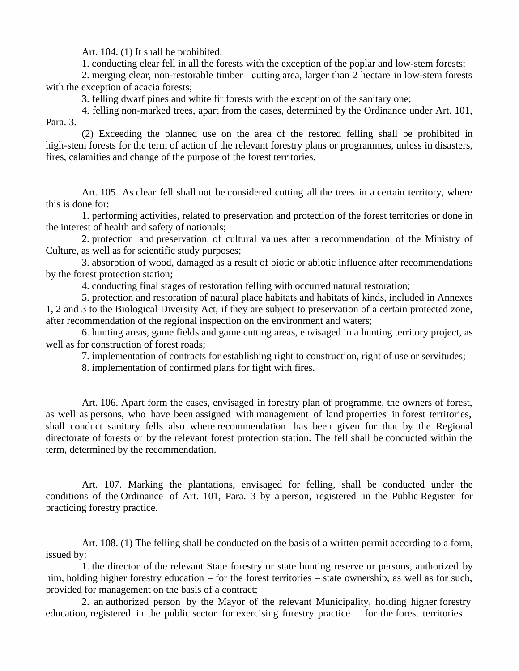Art. 104. (1) It shall be prohibited:

1. conducting clear fell in all the forests with the exception of the poplar and low-stem forests;

2. merging clear, non-restorable timber –cutting area, larger than 2 hectare in low-stem forests with the exception of acacia forests:

3. felling dwarf pines and white fir forests with the exception of the sanitary one;

4. felling non-marked trees, apart from the cases, determined by the Ordinance under Art. 101, Para. 3.

(2) Exceeding the planned use on the area of the restored felling shall be prohibited in high-stem forests for the term of action of the relevant forestry plans or programmes, unless in disasters, fires, calamities and change of the purpose of the forest territories.

Art. 105. As clear fell shall not be considered cutting all the trees in a certain territory, where this is done for:

1. performing activities, related to preservation and protection of the forest territories or done in the interest of health and safety of nationals;

2. protection and preservation of cultural values after a recommendation of the Ministry of Culture, as well as for scientific study purposes;

3. absorption of wood, damaged as a result of biotic or abiotic influence after recommendations by the forest protection station;

4. conducting final stages of restoration felling with occurred natural restoration;

5. protection and restoration of natural place habitats and habitats of kinds, included in Annexes 1, 2 and 3 to the Biological Diversity Act, if they are subject to preservation of a certain protected zone, after recommendation of the regional inspection on the environment and waters;

6. hunting areas, game fields and game cutting areas, envisaged in a hunting territory project, as well as for construction of forest roads;

7. implementation of contracts for establishing right to construction, right of use or servitudes;

8. implementation of confirmed plans for fight with fires.

Art. 106. Apart form the cases, envisaged in forestry plan of programme, the owners of forest, as well as persons, who have been assigned with management of land properties in forest territories, shall conduct sanitary fells also where recommendation has been given for that by the Regional directorate of forests or by the relevant forest protection station. The fell shall be conducted within the term, determined by the recommendation.

Art. 107. Marking the plantations, envisaged for felling, shall be conducted under the conditions of the Ordinance of Art. 101, Para. 3 by a person, registered in the Public Register for practicing forestry practice.

Art. 108. (1) The felling shall be conducted on the basis of a written permit according to a form, issued by:

1. the director of the relevant State forestry or state hunting reserve or persons, authorized by him, holding higher forestry education – for the forest territories – state ownership, as well as for such, provided for management on the basis of a contract;

2. an authorized person by the Mayor of the relevant Municipality, holding higher forestry education, registered in the public sector for exercising forestry practice  $-$  for the forest territories  $-$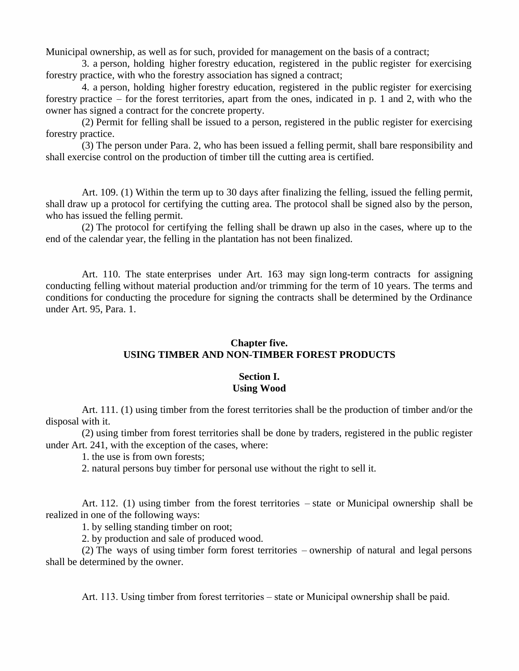Municipal ownership, as well as for such, provided for management on the basis of a contract;

3. a person, holding higher forestry education, registered in the public register for exercising forestry practice, with who the forestry association has signed a contract;

4. a person, holding higher forestry education, registered in the public register for exercising forestry practice – for the forest territories, apart from the ones, indicated in p. 1 and 2, with who the owner has signed a contract for the concrete property.

(2) Permit for felling shall be issued to a person, registered in the public register for exercising forestry practice.

(3) The person under Para. 2, who has been issued a felling permit, shall bare responsibility and shall exercise control on the production of timber till the cutting area is certified.

Art. 109. (1) Within the term up to 30 days after finalizing the felling, issued the felling permit, shall draw up a protocol for certifying the cutting area. The protocol shall be signed also by the person, who has issued the felling permit.

(2) The protocol for certifying the felling shall be drawn up also in the cases, where up to the end of the calendar year, the felling in the plantation has not been finalized.

Art. 110. The state enterprises under Art. 163 may sign long-term contracts for assigning conducting felling without material production and/or trimming for the term of 10 years. The terms and conditions for conducting the procedure for signing the contracts shall be determined by the Ordinance under Art. 95, Para. 1.

## **Chapter five. USING TIMBER AND NON-TIMBER FOREST PRODUCTS**

## **Section I. Using Wood**

Art. 111. (1) using timber from the forest territories shall be the production of timber and/or the disposal with it.

(2) using timber from forest territories shall be done by traders, registered in the public register under Art. 241, with the exception of the cases, where:

1. the use is from own forests;

2. natural persons buy timber for personal use without the right to sell it.

Art. 112. (1) using timber from the forest territories – state or Municipal ownership shall be realized in one of the following ways:

1. by selling standing timber on root;

2. by production and sale of produced wood.

(2) The ways of using timber form forest territories – ownership of natural and legal persons shall be determined by the owner.

Art. 113. Using timber from forest territories – state or Municipal ownership shall be paid.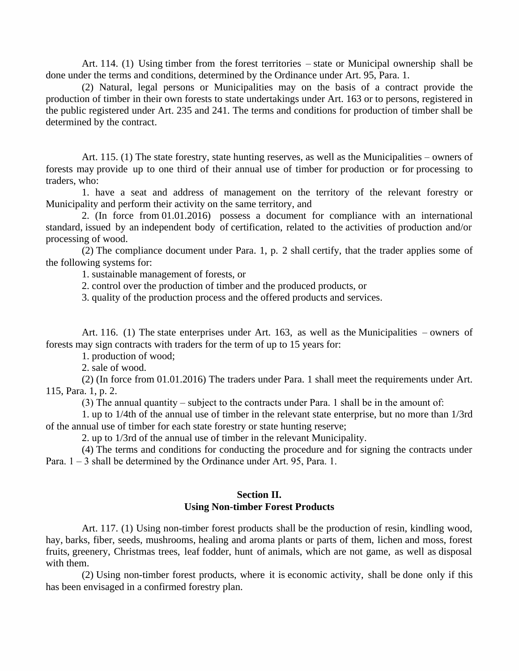Art. 114. (1) Using timber from the forest territories – state or Municipal ownership shall be done under the terms and conditions, determined by the Ordinance under Art. 95, Para. 1.

(2) Natural, legal persons or Municipalities may on the basis of a contract provide the production of timber in their own forests to state undertakings under Art. 163 or to persons, registered in the public registered under Art. 235 and 241. The terms and conditions for production of timber shall be determined by the contract.

Art. 115. (1) The state forestry, state hunting reserves, as well as the Municipalities – owners of forests may provide up to one third of their annual use of timber for production or for processing to traders, who:

1. have a seat and address of management on the territory of the relevant forestry or Municipality and perform their activity on the same territory, and

2. (In force from 01.01.2016) possess a document for compliance with an international standard, issued by an independent body of certification, related to the activities of production and/or processing of wood.

(2) The compliance document under Para. 1, p. 2 shall certify, that the trader applies some of the following systems for:

1. sustainable management of forests, or

2. control over the production of timber and the produced products, or

3. quality of the production process and the offered products and services.

Art. 116. (1) The state enterprises under Art. 163, as wellas the Municipalities – owners of forests may sign contracts with traders for the term of up to 15 years for:

1. production of wood;

2. sale of wood.

(2) (In force from 01.01.2016) The traders under Para. 1 shall meet the requirements under Art. 115, Para. 1, p. 2.

(3) The annual quantity – subject to the contracts under Para. 1 shall be in the amount of:

1. up to 1/4th of the annual use of timber in the relevant state enterprise, but no more than 1/3rd of the annual use of timber for each state forestry or state hunting reserve;

2. up to 1/3rd of the annual use of timber in the relevant Municipality.

(4) The terms and conditions for conducting the procedure and for signing the contracts under Para.  $1-3$  shall be determined by the Ordinance under Art. 95, Para. 1.

## **Section II. Using Non-timber Forest Products**

Art. 117. (1) Using non-timber forest products shall be the production of resin, kindling wood, hay, barks, fiber, seeds, mushrooms, healing and aroma plants or parts of them, lichen and moss, forest fruits, greenery, Christmas trees, leaf fodder, hunt of animals, which are not game, as well as disposal with them.

(2) Using non-timber forest products, where it is economic activity, shall be done only if this has been envisaged in a confirmed forestry plan.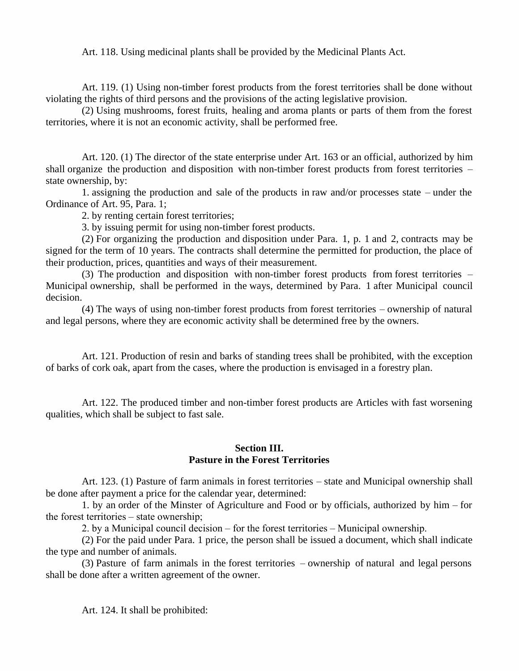Art. 118. Using medicinal plants shall be provided by the Medicinal Plants Act.

Art. 119. (1) Using non-timber forest products from the forest territories shall be done without violating the rights of third persons and the provisions of the acting legislative provision.

(2) Using mushrooms, forest fruits, healing and aroma plants or parts of them from the forest territories, where it is not an economic activity, shall be performed free.

Art. 120. (1) The director of the state enterprise under Art. 163 or an official, authorized by him shall organize the production and disposition with non-timber forest products from forest territories – state ownership, by:

1. assigning the production and sale of the products in raw and/or processes state – under the Ordinance of Art. 95, Para. 1;

2. by renting certain forest territories;

3. by issuing permit for using non-timber forest products.

(2) For organizing the production and disposition under Para. 1, p. 1 and 2, contracts may be signed for the term of 10 years. The contracts shall determine the permitted for production, the place of their production, prices, quantities and ways of their measurement.

(3) The production and disposition with non-timber forest products from forest territories – Municipal ownership, shall be performed in the ways, determined by Para. 1 after Municipal council decision.

(4) The ways of using non-timber forest products from forest territories – ownership of natural and legal persons, where they are economic activity shall be determined free by the owners.

Art. 121. Production of resin and barks of standing trees shall be prohibited, with the exception of barks of cork oak, apart from the cases, where the production is envisaged in a forestry plan.

Art. 122. The produced timber and non-timber forest products are Articles with fast worsening qualities, which shall be subject to fast sale.

### **Section III. Pasture in the Forest Territories**

Art. 123. (1) Pasture of farm animals in forest territories – state and Municipal ownership shall be done after payment a price for the calendar year, determined:

1. by an order of the Minster of Agriculture and Food or by officials, authorized by him – for the forest territories – state ownership;

2. by a Municipal council decision – for the forest territories – Municipal ownership.

(2) For the paid under Para. 1 price, the person shall be issued a document, which shall indicate the type and number of animals.

(3) Pasture of farm animals in the forest territories – ownership of natural and legal persons shall be done after a written agreement of the owner.

Art. 124. It shall be prohibited: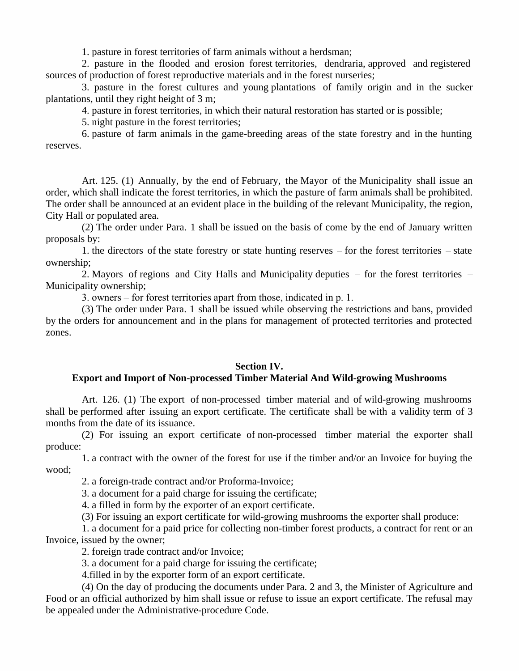1. pasture in forest territories of farm animals without a herdsman;

2. pasture in the flooded and erosion forest territories, dendraria, approved and registered sources of production of forest reproductive materials and in the forest nurseries;

3. pasture in the forest cultures and young plantations of family origin and in the sucker plantations, until they right height of 3 m;

4. pasture in forest territories, in which their natural restoration has started or is possible;

5. night pasture in the forest territories;

6. pasture of farm animals in the game-breeding areas of the state forestry and in the hunting reserves.

Art. 125. (1) Annually, by the end of February, the Mayor of the Municipality shall issue an order, which shall indicate the forest territories, in which the pasture of farm animals shall be prohibited. The order shall be announced at an evident place in the building of the relevant Municipality, the region, City Hall or populated area.

(2) The order under Para. 1 shall be issued on the basis of come by the end of January written proposals by:

1. the directors of the state forestry or state hunting reserves – for the forest territories – state ownership;

2. Mayors of regions and City Halls and Municipality deputies – for the forest territories – Municipality ownership;

3. owners – for forest territories apart from those, indicated in  $p$ . 1.

(3) The order under Para. 1 shall be issued while observing the restrictions and bans, provided by the orders for announcement and in the plans for management of protected territories and protected zones.

### **Section IV.**

## **Export and Import of Non-processed Timber Material And Wild-growing Mushrooms**

Art. 126. (1) The export of non-processed timber material and of wild-growing mushrooms shall be performed after issuing an export certificate. The certificate shall be with a validity term of 3 months from the date of its issuance.

(2) For issuing an export certificate of non-processed timber material the exporter shall produce:

1. a contract with the owner of the forest for use if the timber and/or an Invoice for buying the wood;

2. a foreign-trade contract and/or Proforma-Invoice;

3. a document for a paid charge for issuing the certificate;

4. a filled in form by the exporter of an export certificate.

(3) For issuing an export certificate for wild-growing mushrooms the exporter shall produce:

1. a document for a paid price for collecting non-timber forest products, a contract for rent or an Invoice, issued by the owner;

2. foreign trade contract and/or Invoice;

3. a document for a paid charge for issuing the certificate;

4.filled in by the exporter form of an export certificate.

(4) On the day of producing the documents under Para. 2 and 3, the Minister of Agriculture and Food or an official authorized by him shall issue or refuse to issue an export certificate. The refusal may be appealed under the Administrative-procedure Code.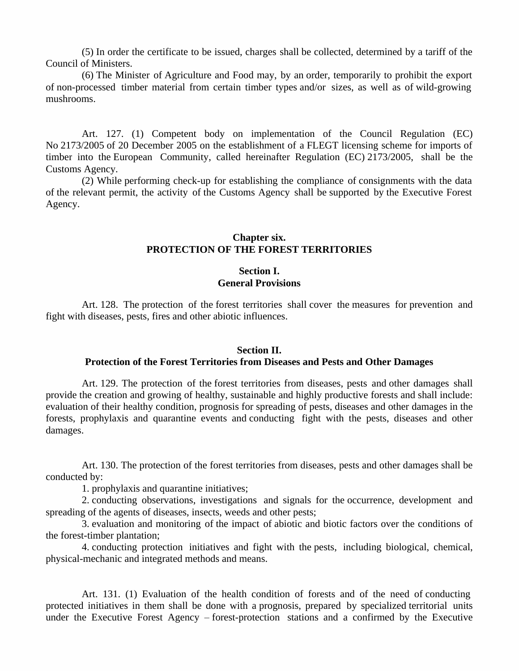(5) In order the certificate to be issued, charges shall be collected, determined by a tariff of the Council of Ministers.

(6) The Minister of Agriculture and Food may, by an order, temporarily to prohibit the export of non-processed timber material from certain timber types and/or sizes, as well as of wild-growing mushrooms.

Art. 127. (1) Competent body on implementation of the Council Regulation (EC) No 2173/2005 of 20 December 2005 on the establishment of a FLEGT licensing scheme for imports of timber into the European Community, called hereinafter Regulation (EC) 2173/2005, shall be the Customs Agency.

(2) While performing check-up for establishing the compliance of consignments with the data of the relevant permit, the activity of the Customs Agency shall be supported by the Executive Forest Agency.

## **Chapter six. PROTECTION OF THE FOREST TERRITORIES**

### **Section I. General Provisions**

Art. 128. The protection of the forest territories shall cover the measures for prevention and fight with diseases, pests, fires and other abiotic influences.

#### **Section II.**

#### **Protection of the Forest Territories from Diseases and Pests and Other Damages**

Art. 129. The protection of the forest territories from diseases, pests and other damages shall provide the creation and growing of healthy, sustainable and highly productive forests and shall include: evaluation of their healthy condition, prognosis for spreading of pests, diseases and other damages in the forests, prophylaxis and quarantine events and conducting fight with the pests, diseases and other damages.

Art. 130. The protection of the forest territories from diseases, pests and other damages shall be conducted by:

1. prophylaxis and quarantine initiatives;

2. conducting observations, investigations and signals for the occurrence, development and spreading of the agents of diseases, insects, weeds and other pests;

3. evaluation and monitoring of the impact of abiotic and biotic factors over the conditions of the forest-timber plantation;

4. conducting protection initiatives and fight with the pests, including biological, chemical, physical-mechanic and integrated methods and means.

Art. 131. (1) Evaluation of the health condition of forests and of the need of conducting protected initiatives in them shall be done with a prognosis, prepared by specialized territorial units under the Executive Forest Agency – forest-protection stations and a confirmed by the Executive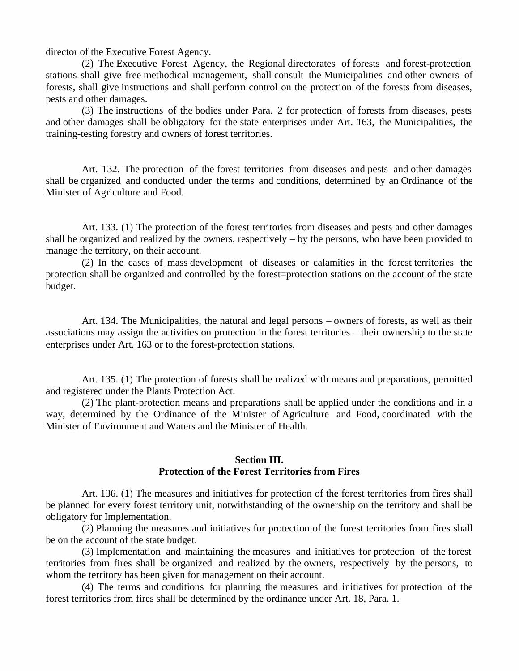director of the Executive Forest Agency.

(2) The Executive Forest Agency, the Regional directorates of forests and forest-protection stations shall give free methodical management, shall consult the Municipalities and other owners of forests, shall give instructions and shall perform control on the protection of the forests from diseases, pests and other damages.

(3) The instructions of the bodies under Para. 2 for protection of forests from diseases, pests and other damages shall be obligatory for the state enterprises under Art. 163, the Municipalities, the training-testing forestry and owners of forest territories.

Art. 132. The protection of the forest territories from diseases and pests and other damages shall be organized and conducted under the terms and conditions, determined by an Ordinance of the Minister of Agriculture and Food.

Art. 133. (1) The protection of the forest territories from diseases and pests and other damages shall be organized and realized by the owners, respectively – by the persons, who have been provided to manage the territory, on their account.

(2) In the cases of mass development of diseases or calamities in the forest territories the protection shall be organized and controlled by the forest=protection stations on the account of the state budget.

Art. 134. The Municipalities, the natural and legal persons – owners of forests, as well as their associations may assign the activities on protection in the forest territories – their ownership to the state enterprises under Art. 163 or to the forest-protection stations.

Art. 135. (1) The protection of forests shall be realized with means and preparations, permitted and registered under the Plants Protection Act.

(2) The plant-protection means and preparations shall be applied under the conditions and in a way, determined by the Ordinance of the Minister of Agriculture and Food, coordinated with the Minister of Environment and Waters and the Minister of Health.

### **Section III. Protection of the Forest Territories from Fires**

Art. 136. (1) The measures and initiatives for protection of the forest territories from fires shall be planned for every forest territory unit, notwithstanding of the ownership on the territory and shall be obligatory for Implementation.

(2) Planning the measures and initiatives for protection of the forest territories from fires shall be on the account of the state budget.

(3) Implementation and maintaining the measures and initiatives for protection of the forest territories from fires shall be organized and realized by the owners, respectively by the persons, to whom the territory has been given for management on their account.

(4) The terms and conditions for planning the measures and initiatives for protection of the forest territories from fires shall be determined by the ordinance under Art. 18, Para. 1.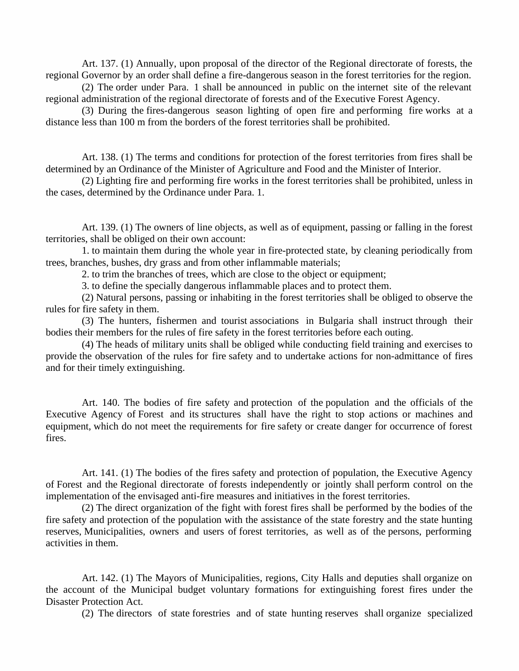Art. 137. (1) Annually, upon proposal of the director of the Regional directorate of forests, the regional Governor by an order shall define a fire-dangerous season in the forest territories for the region.

(2) The order under Para. 1 shall be announced in public on the internet site of the relevant regional administration of the regional directorate of forests and of the Executive Forest Agency.

(3) During the fires-dangerous season lighting of open fire and performing fire works at a distance less than 100 m from the borders of the forest territories shall be prohibited.

Art. 138. (1) The terms and conditions for protection of the forest territories from fires shall be determined by an Ordinance of the Minister of Agriculture and Food and the Minister of Interior.

(2) Lighting fire and performing fire works in the forest territories shall be prohibited, unless in the cases, determined by the Ordinance under Para. 1.

Art. 139. (1) The owners of line objects, as well as of equipment, passing or falling in the forest territories, shall be obliged on their own account:

1. to maintain them during the whole year in fire-protected state, by cleaning periodically from trees, branches, bushes, dry grass and from other inflammable materials;

2. to trim the branches of trees, which are close to the object or equipment;

3. to define the specially dangerous inflammable places and to protect them.

(2) Natural persons, passing or inhabiting in the forest territories shall be obliged to observe the rules for fire safety in them.

(3) The hunters, fishermen and tourist associations in Bulgaria shall instruct through their bodies their members for the rules of fire safety in the forest territories before each outing.

(4) The heads of military units shall be obliged while conducting field training and exercises to provide the observation of the rules for fire safety and to undertake actions for non-admittance of fires and for their timely extinguishing.

Art. 140. The bodies of fire safety and protection of the population and the officials of the Executive Agency of Forest and its structures shall have the right to stop actions or machines and equipment, which do not meet the requirements for fire safety or create danger for occurrence of forest fires.

Art. 141. (1) The bodies of the fires safety and protection of population, the Executive Agency of Forest and the Regional directorate of forests independently or jointly shall perform control on the implementation of the envisaged anti-fire measures and initiatives in the forest territories.

(2) The direct organization of the fight with forest fires shall be performed by the bodies of the fire safety and protection of the population with the assistance of the state forestry and the state hunting reserves, Municipalities, owners and users of forest territories, as well as of the persons, performing activities in them.

Art. 142. (1) The Mayors of Municipalities, regions, City Halls and deputies shall organize on the account of the Municipal budget voluntary formations for extinguishing forest fires under the Disaster Protection Act.

(2) The directors of state forestries and of state hunting reserves shall organize specialized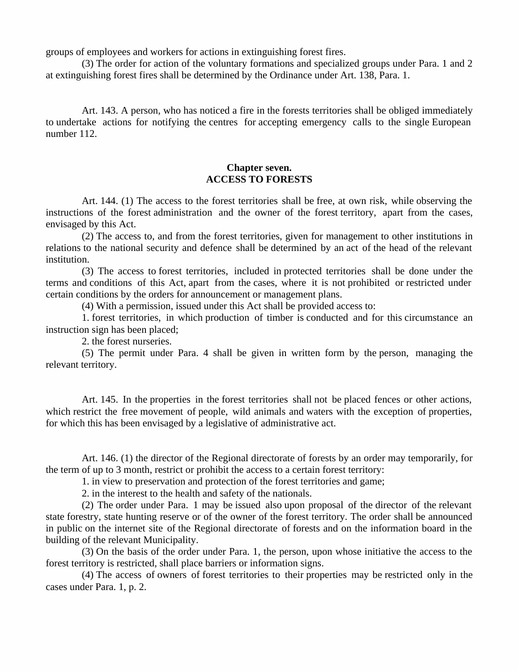groups of employees and workers for actions in extinguishing forest fires.

(3) The order for action of the voluntary formations and specialized groups under Para. 1 and 2 at extinguishing forest fires shall be determined by the Ordinance under Art. 138, Para. 1.

Art. 143. A person, who has noticed a fire in the forests territories shall be obliged immediately to undertake actions for notifying the centres for accepting emergency calls to the single European number 112.

## **Chapter seven. ACCESS TO FORESTS**

Art. 144. (1) The access to the forest territories shall be free, at own risk, while observing the instructions of the forest administration and the owner of the forest territory, apart from the cases, envisaged by this Act.

(2) The access to, and from the forest territories, given for management to other institutions in relations to the national security and defence shall be determined by an act of the head of the relevant institution.

(3) The access to forest territories, included in protected territories shall be done under the terms and conditions of this Act, apart from the cases, where it is not prohibited or restricted under certain conditions by the orders for announcement or management plans.

(4) With a permission, issued under this Act shall be provided access to:

1. forest territories, in which production of timber is conducted and for this circumstance an instruction sign has been placed;

2. the forest nurseries.

(5) The permit under Para. 4 shall be given in written form by the person, managing the relevant territory.

Art. 145. In the properties in the forest territories shall not be placed fences or other actions, which restrict the free movement of people, wild animals and waters with the exception of properties, for which this has been envisaged by a legislative of administrative act.

Art. 146. (1) the director of the Regional directorate of forests by an order may temporarily, for the term of up to 3 month, restrict or prohibit the access to a certain forest territory:

1. in view to preservation and protection of the forest territories and game;

2. in the interest to the health and safety of the nationals.

(2) The order under Para. 1 may be issued also upon proposal of the director of the relevant state forestry, state hunting reserve or of the owner of the forest territory. The order shall be announced in public on the internet site of the Regional directorate of forests and on the information board in the building of the relevant Municipality.

(3) On the basis of the order under Para. 1, the person, upon whose initiative the access to the forest territory is restricted, shall place barriers or information signs.

(4) The access of owners of forest territories to their properties may be restricted only in the cases under Para. 1, p. 2.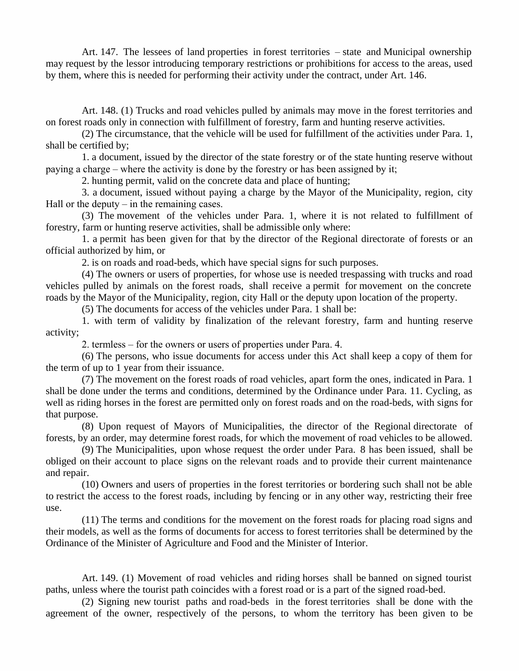Art. 147. The lessees of land properties in forest territories – state and Municipal ownership may request by the lessor introducing temporary restrictions or prohibitions for access to the areas, used by them, where this is needed for performing their activity under the contract, under Art. 146.

Art. 148. (1) Trucks and road vehicles pulled by animals may move in the forest territories and on forest roads only in connection with fulfillment of forestry, farm and hunting reserve activities.

(2) The circumstance, that the vehicle will be used for fulfillment of the activities under Para. 1, shall be certified by;

1. a document, issued by the director of the state forestry or of the state hunting reserve without paying a charge – where the activity is done by the forestry or has been assigned by it;

2. hunting permit, valid on the concrete data and place of hunting;

3. a document, issued without paying a charge by the Mayor of the Municipality, region, city Hall or the deputy – in the remaining cases.

(3) The movement of the vehicles under Para. 1, where it is not related to fulfillment of forestry, farm or hunting reserve activities, shall be admissible only where:

1. a permit has been given for that by the director of the Regional directorate of forests or an official authorized by him, or

2. is on roads and road-beds, which have special signs for such purposes.

(4) The owners or users of properties, for whose use is needed trespassing with trucks and road vehicles pulled by animals on the forest roads, shall receive a permit for movement on the concrete roads by the Mayor of the Municipality, region, city Hall or the deputy upon location of the property.

(5) The documents for access of the vehicles under Para. 1 shall be:

1. with term of validity by finalization of the relevant forestry, farm and hunting reserve activity;

2. termless – for the owners or users of properties under Para. 4.

(6) The persons, who issue documents for access under this Act shall keep a copy of them for the term of up to 1 year from their issuance.

(7) The movement on the forest roads of road vehicles, apart form the ones, indicated in Para. 1 shall be done under the terms and conditions, determined by the Ordinance under Para. 11. Cycling, as well as riding horses in the forest are permitted only on forest roads and on the road-beds, with signs for that purpose.

(8) Upon request of Mayors of Municipalities, the director of the Regional directorate of forests, by an order, may determine forest roads, for which the movement of road vehicles to be allowed.

(9) The Municipalities, upon whose request the order under Para. 8 has been issued, shall be obliged on their account to place signs on the relevant roads and to provide their current maintenance and repair.

(10) Owners and users of properties in the forest territories or bordering such shall not be able to restrict the access to the forest roads, including by fencing or in any other way, restricting their free use.

(11) The terms and conditions for the movement on the forest roads for placing road signs and their models, as well as the forms of documents for access to forest territories shall be determined by the Ordinance of the Minister of Agriculture and Food and the Minister of Interior.

Art. 149. (1) Movement of road vehicles and riding horses shall be banned on signed tourist paths, unless where the tourist path coincides with a forest road or is a part of the signed road-bed.

(2) Signing new tourist paths and road-beds in the forest territories shall be done with the agreement of the owner, respectively of the persons, to whom the territory has been given to be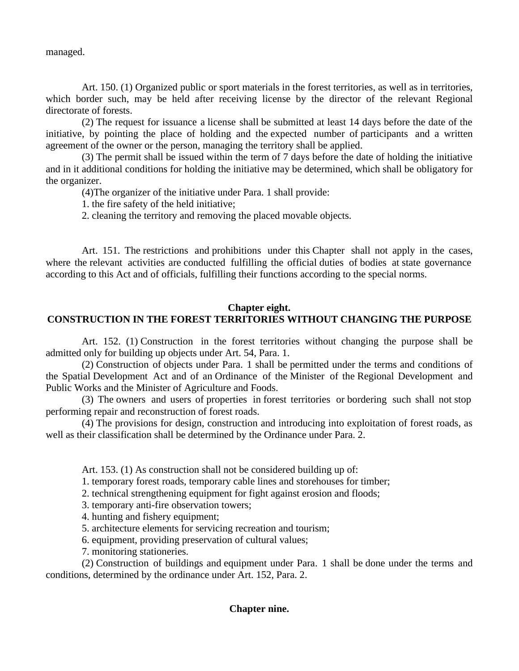managed.

Art. 150. (1) Organized public or sport materials in the forest territories, as well as in territories, which border such, may be held after receiving license by the director of the relevant Regional directorate of forests.

(2) The request for issuance a license shall be submitted at least 14 days before the date of the initiative, by pointing the place of holding and the expected number of participants and a written agreement of the owner or the person, managing the territory shall be applied.

(3) The permit shall be issued within the term of 7 days before the date of holding the initiative and in it additional conditions for holding the initiative may be determined, which shall be obligatory for the organizer.

(4)The organizer of the initiative under Para. 1 shall provide:

1. the fire safety of the held initiative;

2. cleaning the territory and removing the placed movable objects.

Art. 151. The restrictions and prohibitions under this Chapter shall not apply in the cases, where the relevant activities are conducted fulfilling the official duties of bodies at state governance according to this Act and of officials, fulfilling their functions according to the special norms.

# **Chapter eight. CONSTRUCTION IN THE FOREST TERRITORIES WITHOUT CHANGING THE PURPOSE**

Art. 152. (1) Construction in the forest territories without changing the purpose shall be admitted only for building up objects under Art. 54, Para. 1.

(2) Construction of objects under Para. 1 shall be permitted under the terms and conditions of the Spatial Development Act and of an Ordinance of the Minister of the Regional Development and Public Works and the Minister of Agriculture and Foods.

(3) The owners and users of properties in forest territories or bordering such shall not stop performing repair and reconstruction of forest roads.

(4) The provisions for design, construction and introducing into exploitation of forest roads, as well as their classification shall be determined by the Ordinance under Para. 2.

Art. 153. (1) As construction shall not be considered building up of:

1. temporary forest roads, temporary cable lines and storehouses for timber;

2. technical strengthening equipment for fight against erosion and floods;

- 3. temporary anti-fire observation towers;
- 4. hunting and fishery equipment;
- 5. architecture elements for servicing recreation and tourism;
- 6. equipment, providing preservation of cultural values;
- 7. monitoring stationeries.

(2) Construction of buildings and equipment under Para. 1 shall be done under the terms and conditions, determined by the ordinance under Art. 152, Para. 2.

# **Chapter nine.**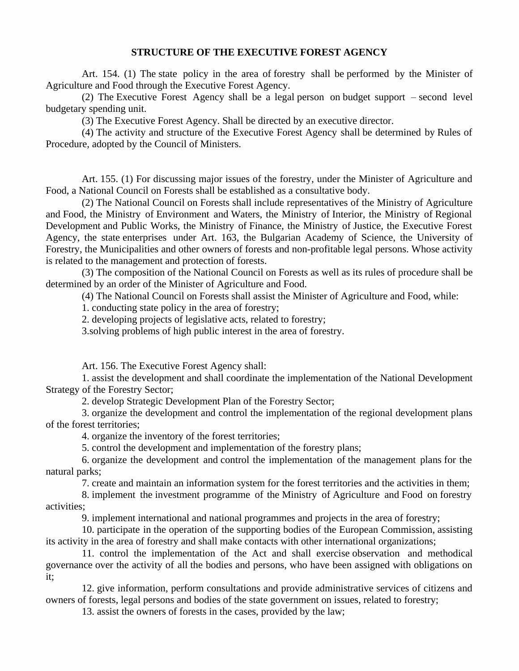### **STRUCTURE OF THE EXECUTIVE FOREST AGENCY**

Art. 154. (1) The state policy in the area of forestry shall be performed by the Minister of Agriculture and Food through the Executive Forest Agency.

(2) The Executive Forest Agency shall be a legal person on budget support – second level budgetary spending unit.

(3) The Executive Forest Agency. Shall be directed by an executive director.

(4) The activity and structure of the Executive Forest Agency shall be determined by Rules of Procedure, adopted by the Council of Ministers.

Art. 155. (1) For discussing major issues of the forestry, under the Minister of Agriculture and Food, a National Council on Forests shall be established as a consultative body.

(2) The National Council on Forests shall include representatives of the Ministry of Agriculture and Food, the Ministry of Environment and Waters, the Ministry of Interior, the Ministry of Regional Development and Public Works, the Ministry of Finance, the Ministry of Justice, the Executive Forest Agency, the state enterprises under Art. 163, the Bulgarian Academy of Science, the University of Forestry, the Municipalities and other owners of forests and non-profitable legal persons. Whose activity is related to the management and protection of forests.

(3) The composition of the National Council on Forests as well as its rules of procedure shall be determined by an order of the Minister of Agriculture and Food.

(4) The National Council on Forests shall assist the Minister of Agriculture and Food, while:

1. conducting state policy in the area of forestry;

2. developing projects of legislative acts, related to forestry;

3.solving problems of high public interest in the area of forestry.

Art. 156. The Executive Forest Agency shall:

1. assist the development and shall coordinate the implementation of the National Development Strategy of the Forestry Sector;

2. develop Strategic Development Plan of the Forestry Sector;

3. organize the development and control the implementation of the regional development plans of the forest territories;

4. organize the inventory of the forest territories;

5. control the development and implementation of the forestry plans;

6. organize the development and control the implementation of the management plans for the natural parks;

7. create and maintain an information system for the forest territories and the activities in them;

8. implement the investment programme of the Ministry of Agriculture and Food on forestry activities;

9. implement international and national programmes and projects in the area of forestry;

10. participate in the operation of the supporting bodies of the European Commission, assisting its activity in the area of forestry and shall make contacts with other international organizations;

11. control the implementation of the Act and shall exercise observation and methodical governance over the activity of all the bodies and persons, who have been assigned with obligations on it;

12. give information, perform consultations and provide administrative services of citizens and owners of forests, legal persons and bodies of the state government on issues, related to forestry;

13. assist the owners of forests in the cases, provided by the law;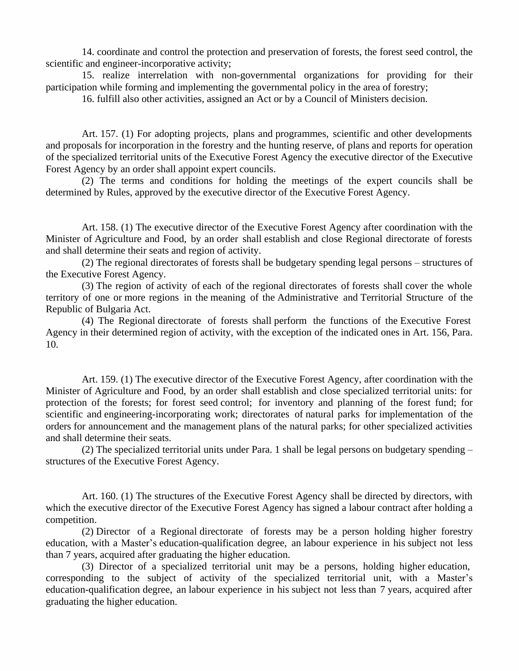14. coordinate and control the protection and preservation of forests, the forest seed control, the scientific and engineer-incorporative activity;

15. realize interrelation with non-governmental organizations for providing for their participation while forming and implementing the governmental policy in the area of forestry;

16. fulfill also other activities, assigned an Act or by a Council of Ministers decision.

Art. 157. (1) For adopting projects, plans and programmes, scientific and other developments and proposals for incorporation in the forestry and the hunting reserve, of plans and reports for operation of the specialized territorial units of the Executive Forest Agency the executive director of the Executive Forest Agency by an order shall appoint expert councils.

(2) The terms and conditions for holding the meetings of the expert councils shall be determined by Rules, approved by the executive director of the Executive Forest Agency.

Art. 158. (1) The executive director of the Executive Forest Agency after coordination with the Minister of Agriculture and Food, by an order shall establish and close Regional directorate of forests and shall determine their seats and region of activity.

(2) The regional directorates of forests shall be budgetary spending legal persons – structures of the Executive Forest Agency.

(3) The region of activity of each of the regional directorates of forests shall cover the whole territory of one or more regions in the meaning of the Administrative and Territorial Structure of the Republic of Bulgaria Act.

(4) The Regional directorate of forests shall perform the functions of the Executive Forest Agency in their determined region of activity, with the exception of the indicated ones in Art. 156, Para. 10.

Art. 159. (1) The executive director of the Executive Forest Agency, after coordination with the Minister of Agriculture and Food, by an order shall establish and close specialized territorial units: for protection of the forests; for forest seed control; for inventory and planning of the forest fund; for scientific and engineering-incorporating work; directorates of natural parks for implementation of the orders for announcement and the management plans of the natural parks; for other specialized activities and shall determine their seats.

(2) The specialized territorial units under Para. 1 shall be legal persons on budgetary spending – structures of the Executive Forest Agency.

Art. 160. (1) The structures of the Executive Forest Agency shall be directed by directors, with which the executive director of the Executive Forest Agency has signed a labour contract after holding a competition.

(2) Director of a Regional directorate of forests may be a person holding higher forestry education, with a Master's education-qualification degree, an labour experience in his subject not less than 7 years, acquired after graduating the higher education.

(3) Director of a specialized territorial unit may be a persons, holding higher education, corresponding to the subject of activity of the specialized territorial unit, with a Master's education-qualification degree, an labour experience in his subject not less than 7 years, acquired after graduating the higher education.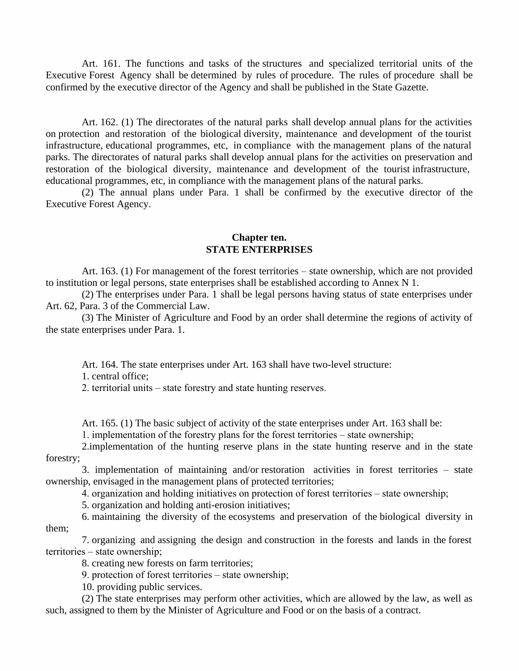Art. 161. The functions and tasks of the structures and specialized territorial units of the Executive Forest Agency shall be determined by rules of procedure. The rules of procedure shall be confirmed by the executive director of the Agency and shall be published in the State Gazette.

Art. 162. (1) The directorates of the natural parks shall develop annual plans for the activities on protection and restoration of the biological diversity, maintenance and development of the tourist infrastructure, educational programmes, etc, in compliance with the management plans of the natural parks. The directorates of natural parks shall develop annual plans for the activities on preservation and restoration of the biological diversity, maintenance and development of the tourist infrastructure, educational programmes, etc, in compliance with the management plans of the natural parks.

 $(2)$  The annual plans under Para. 1 shall be confirmed by the executive director of the Executive Forest Agency.

## **Chapter ten. STATE ENTERPRISES**

Art. 163. (1) For management of the forest territories – state ownership, which are not provided to institution or legal persons, state enterprises shall be established according to Annex N 1.

(2) The enterprises under Para. 1 shall be legal persons having status of state enterprises under Art. 62, Para. 3 of the Commercial Law.

(3) The Minister of Agriculture and Food by an order shall determine the regions of activity of the state enterprises under Para. 1.

Art. 164. The state enterprises under Art. 163 shall have two-level structure:

1. central office;

2. territorial units – state forestry and state hunting reserves.

Art. 165. (1) The basic subject of activity of the state enterprises under Art. 163 shall be:

1. implementation of the forestry plans for the forest territories – state ownership;

2.implementation of the hunting reserve plans in the state hunting reserve and in the state forestry;

3. implementation of maintaining and/or restoration activities in forest territories  $-$  state ownership, envisaged in the management plans of protected territories;

4. organization and holding initiatives on protection of forest territories – state ownership;

5. organization and holding anti-erosion initiatives;

6. maintaining the diversity of the ecosystems and preservation of the biological diversity in them;

7. organizing and assigning the design and construction in the forests and lands in the forest territories – state ownership:

8. creating new forests on farm territories;

9. protection of forest territories – state ownership;

10. providing public services.

(2) The state enterprises may perform other activities, which are allowed by the law, as well as such, assigned to them by the Minister of Agriculture and Food or on the basis of a contract.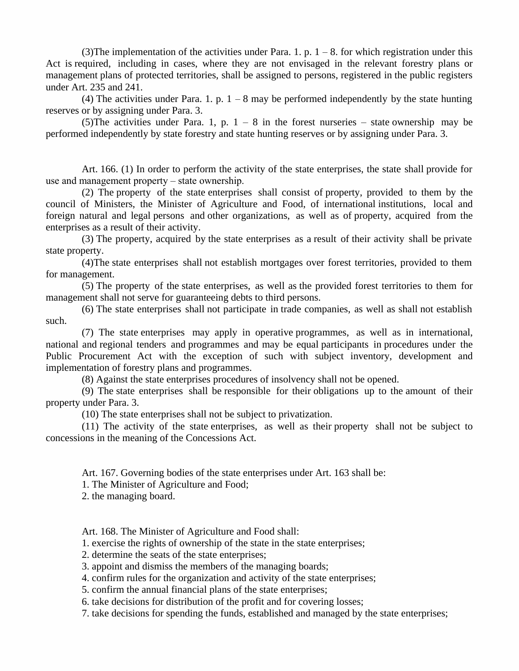(3) The implementation of the activities under Para. 1. p.  $1 - 8$ . for which registration under this Act is required, including in cases, where they are not envisaged in the relevant forestry plans or management plans of protected territories, shall be assigned to persons, registered in the public registers under Art. 235 and 241.

(4) The activities under Para. 1. p.  $1 - 8$  may be performed independently by the state hunting reserves or by assigning under Para. 3.

(5) The activities under Para. 1, p.  $1 - 8$  in the forest nurseries – state ownership may be performed independently by state forestry and state hunting reserves or by assigning under Para. 3.

Art. 166. (1) In order to perform the activity of the state enterprises, the state shall provide for use and management property – state ownership.

(2) The property of the state enterprises shall consist of property, provided to them by the council of Ministers, the Minister of Agriculture and Food, of international institutions, local and foreign natural and legal persons and other organizations, as wellas of property, acquired from the enterprises as a result of their activity.

(3) The property, acquired by the state enterprises as a result of their activity shall be private state property.

(4)The state enterprises shall not establish mortgages over forest territories, provided to them for management.

(5) The property of the state enterprises, as well as the provided forest territories to them for management shall not serve for guaranteeing debts to third persons.

(6) The state enterprises shall not participate in trade companies, as well as shall not establish such.

(7) The state enterprises may apply in operative programmes, as well as in international, national and regional tenders and programmes and may be equal participants in procedures under the Public Procurement Act with the exception of such with subject inventory, development and implementation of forestry plans and programmes.

(8) Against the state enterprises procedures of insolvency shall not be opened.

(9) The state enterprises shall be responsible for their obligations up to the amount of their property under Para. 3.

(10) The state enterprises shall not be subject to privatization.

(11) The activity of the state enterprises, as well as their property shall not be subject to concessions in the meaning of the Concessions Act.

Art. 167. Governing bodies of the state enterprises under Art. 163 shall be:

1. The Minister of Agriculture and Food;

2. the managing board.

Art. 168. The Minister of Agriculture and Food shall:

1. exercise the rights of ownership of the state in the state enterprises;

2. determine the seats of the state enterprises;

3. appoint and dismiss the members of the managing boards;

4. confirm rules for the organization and activity of the state enterprises;

5. confirm the annual financial plans of the state enterprises;

6. take decisions for distribution of the profit and for covering losses;

7. take decisions for spending the funds, established and managed by the state enterprises;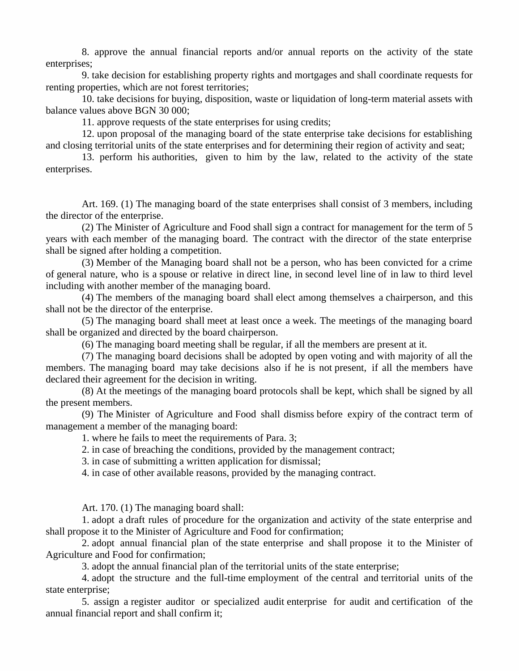8. approve the annual financial reports and/or annual reports on the activity of the state enterprises;

9. take decision for establishing property rights and mortgages and shall coordinate requests for renting properties, which are not forest territories;

10. take decisions for buying, disposition, waste or liquidation of long-term material assets with balance values above BGN 30 000;

11. approve requests of the state enterprises for using credits;

12. upon proposal of the managing board of the state enterprise take decisions for establishing and closing territorial units of the state enterprises and for determining their region of activity and seat;

13. perform his authorities, given to him by the law, related to the activity of the state enterprises.

Art. 169. (1) The managing board of the state enterprises shall consist of 3 members, including the director of the enterprise.

(2) The Minister of Agriculture and Food shall sign a contract for management for the term of 5 years with each member of the managing board. The contract with the director of the state enterprise shall be signed after holding a competition.

(3) Member of the Managing board shall not be a person, who has been convicted for a crime of general nature, who is a spouse or relative in direct line, in second level line of in law to third level including with another member of the managing board.

(4) The members of the managing board shall elect among themselves a chairperson, and this shall not be the director of the enterprise.

(5) The managing board shall meet at least once a week. The meetings of the managing board shall be organized and directed by the board chairperson.

(6) The managing board meeting shall be regular, if all the members are present at it.

(7) The managing board decisions shall be adopted by open voting and with majority of all the members. The managing board may take decisions also if he is not present, if all the members have declared their agreement for the decision in writing.

(8) At the meetings of the managing board protocols shall be kept, which shall be signed by all the present members.

(9) The Minister of Agriculture and Food shall dismiss before expiry of the contract term of management a member of the managing board:

1. where he fails to meet the requirements of Para. 3;

2. in case of breaching the conditions, provided by the management contract;

3. in case of submitting a written application for dismissal;

4. in case of other available reasons, provided by the managing contract.

Art. 170. (1) The managing board shall:

1. adopt a draft rules of procedure for the organization and activity of the state enterprise and shall propose it to the Minister of Agriculture and Food for confirmation;

2. adopt annual financial plan of the state enterprise and shall propose it to the Minister of Agriculture and Food for confirmation;

3. adopt the annual financial plan of the territorial units of the state enterprise;

4. adopt the structure and the full-time employment of the central and territorial units of the state enterprise;

5. assign a register auditor or specialized audit enterprise for audit and certification of the annual financial report and shall confirm it;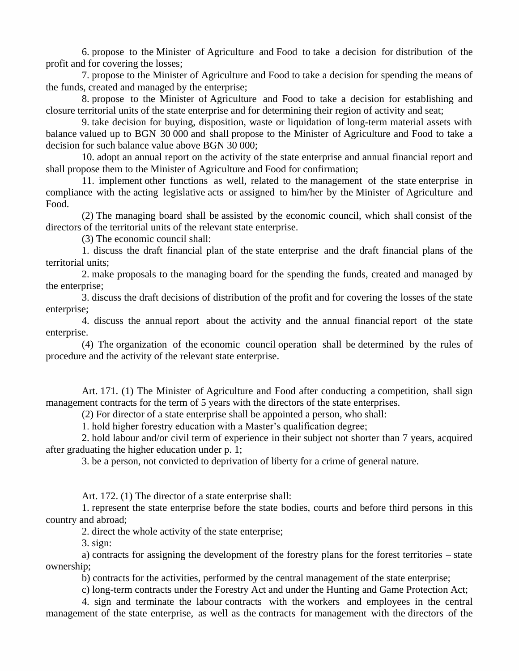6. propose to the Minister of Agriculture and Food to take a decision for distribution of the profit and for covering the losses;

7. propose to the Minister of Agriculture and Food to take a decision for spending the means of the funds, created and managed by the enterprise;

8. propose to the Minister of Agriculture and Food to take a decision for establishing and closure territorial units of the state enterprise and for determining their region of activity and seat;

9. take decision for buying, disposition, waste or liquidation of long-term material assets with balance valued up to BGN 30 000 and shall propose to the Minister of Agriculture and Food to take a decision for such balance value above BGN 30 000;

10. adopt an annual report on the activity of the state enterprise and annual financial report and shall propose them to the Minister of Agriculture and Food for confirmation;

11. implement other functions as well, related to the management of the state enterprise in compliance with the acting legislative acts or assigned to him/her by the Minister of Agriculture and Food.

(2) The managing board shall be assisted by the economic council, which shall consist of the directors of the territorial units of the relevant state enterprise.

(3) The economic council shall:

1. discuss the draft financial plan of the state enterprise and the draft financial plans of the territorial units;

2. make proposals to the managing board for the spending the funds, created and managed by the enterprise;

3. discuss the draft decisions of distribution of the profit and for covering the losses of the state enterprise;

4. discuss the annual report about the activity and the annualfinancial report of the state enterprise.

(4) The organization of the economic council operation shall be determined by the rules of procedure and the activity of the relevant state enterprise.

Art. 171. (1) The Minister of Agriculture and Food after conducting a competition, shall sign management contracts for the term of 5 years with the directors of the state enterprises.

(2) For director of a state enterprise shall be appointed a person, who shall:

1. hold higher forestry education with a Master's qualification degree;

2. hold labour and/or civil term of experience in their subject not shorter than 7 years, acquired after graduating the higher education under p. 1;

3. be a person, not convicted to deprivation of liberty for a crime of general nature.

Art. 172. (1) The director of a state enterprise shall:

1. represent the state enterprise before the state bodies, courts and before third persons in this country and abroad;

2. direct the whole activity of the state enterprise;

3. sign:

a) contracts for assigning the development of the forestry plans for the forest territories – state ownership;

b) contracts for the activities, performed by the central management of the state enterprise;

c) long-term contracts under the Forestry Act and under the Hunting and Game Protection Act;

4. sign and terminate the labour contracts with the workers and employees in the central management of the state enterprise, as well as the contracts for management with the directors of the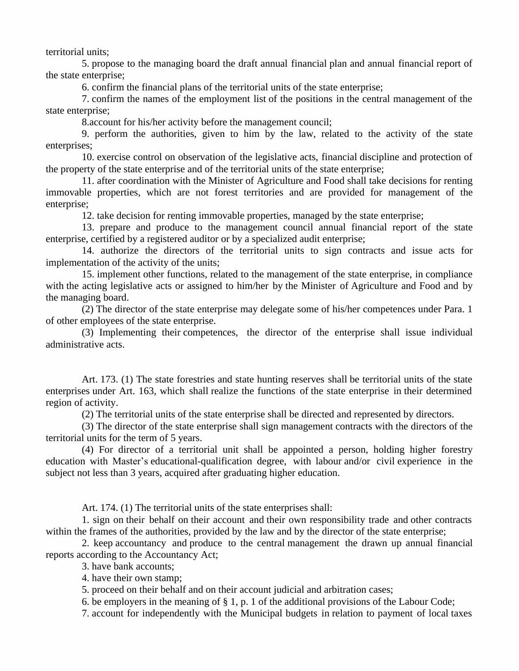territorial units;

5. propose to the managing board the draft annual financial plan and annual financial report of the state enterprise;

6. confirm the financial plans of the territorial units of the state enterprise;

7. confirm the names of the employment list of the positions in the central management of the state enterprise;

8.account for his/her activity before the management council;

9. perform the authorities, given to him by the law, related to the activity of the state enterprises;

10. exercise control on observation of the legislative acts, financial discipline and protection of the property of the state enterprise and of the territorial units of the state enterprise;

11. after coordination with the Minister of Agriculture and Food shall take decisions for renting immovable properties, which are not forest territories and are provided for management of the enterprise;

12. take decision for renting immovable properties, managed by the state enterprise;

13. prepare and produce to the management council annual financial report of the state enterprise, certified by a registered auditor or by a specialized audit enterprise;

14. authorize the directors of the territorial units to sign contracts and issue acts for implementation of the activity of the units;

15. implement other functions, related to the management of the state enterprise, in compliance with the acting legislative acts or assigned to him/her by the Minister of Agriculture and Food and by the managing board.

(2) The director of the state enterprise may delegate some of his/her competences under Para. 1 of other employees of the state enterprise.

(3) Implementing their competences, the director of the enterprise shall issue individual administrative acts.

Art. 173. (1) The state forestries and state hunting reserves shall be territorial units of the state enterprises under Art. 163, which shall realize the functions of the state enterprise in their determined region of activity.

(2) The territorial units of the state enterprise shall be directed and represented by directors.

(3) The director of the state enterprise shall sign management contracts with the directors of the territorial units for the term of 5 years.

(4) For director of a territorial unit shall be appointed a person, holding higher forestry education with Master's educational-qualification degree, with labour and/or civil experience in the subject not less than 3 years, acquired after graduating higher education.

Art. 174. (1) The territorial units of the state enterprises shall:

1. sign on their behalf on their account and their own responsibility trade and other contracts within the frames of the authorities, provided by the law and by the director of the state enterprise;

2. keep accountancy and produce to the central management the drawn up annual financial reports according to the Accountancy Act;

3. have bank accounts;

4. have their own stamp;

5. proceed on their behalf and on their account judicial and arbitration cases;

6. be employers in the meaning of  $\S$  1, p. 1 of the additional provisions of the Labour Code;

7. account for independently with the Municipal budgets in relation to payment of local taxes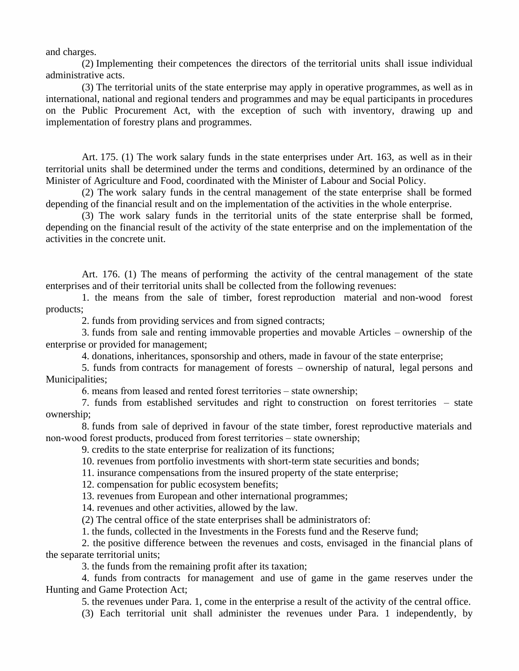and charges.

(2) Implementing their competences the directors of the territorial units shall issue individual administrative acts.

(3) The territorial units of the state enterprise may apply in operative programmes, as well as in international, national and regional tenders and programmes and may be equal participants in procedures on the Public Procurement Act, with the exception of such with inventory, drawing up and implementation of forestry plans and programmes.

Art. 175. (1) The work salary funds in the state enterprises under Art. 163, as well as in their territorial units shall be determined under the terms and conditions, determined by an ordinance of the Minister of Agriculture and Food, coordinated with the Minister of Labour and Social Policy.

(2) The work salary funds in the central management of the state enterprise shall be formed depending of the financial result and on the implementation of the activities in the whole enterprise.

(3) The work salary funds in the territorial units of the state enterprise shall be formed, depending on the financial result of the activity of the state enterprise and on the implementation of the activities in the concrete unit.

Art. 176. (1) The means of performing the activity of the central management of the state enterprises and of their territorial units shall be collected from the following revenues:

1. the means from the sale of timber, forest reproduction material and non-wood forest products;

2. funds from providing services and from signed contracts;

3. funds from sale and renting immovable properties and movable Articles – ownership of the enterprise or provided for management;

4. donations, inheritances, sponsorship and others, made in favour of the state enterprise;

5. funds from contracts for management of forests – ownership of natural, legal persons and Municipalities;

6. means from leased and rented forest territories – state ownership;

7. funds from established servitudes and right to construction on forest territories – state ownership;

8. funds from sale of deprived in favour of the state timber, forest reproductive materials and non-wood forest products, produced from forest territories – state ownership;

9. credits to the state enterprise for realization of its functions;

10. revenues from portfolio investments with short-term state securities and bonds;

11. insurance compensations from the insured property of the state enterprise;

12. compensation for public ecosystem benefits;

13. revenues from European and other international programmes;

14. revenues and other activities, allowed by the law.

(2) The central office of the state enterprises shall be administrators of:

1. the funds, collected in the Investments in the Forests fund and the Reserve fund;

2. the positive difference between the revenues and costs, envisaged in the financial plans of the separate territorial units;

3. the funds from the remaining profit after its taxation;

4. funds from contracts for management and use of game in the game reserves under the Hunting and Game Protection Act;

5. the revenues under Para. 1, come in the enterprise a result of the activity of the central office.

(3) Each territorial unit shall administer the revenues under Para. 1 independently, by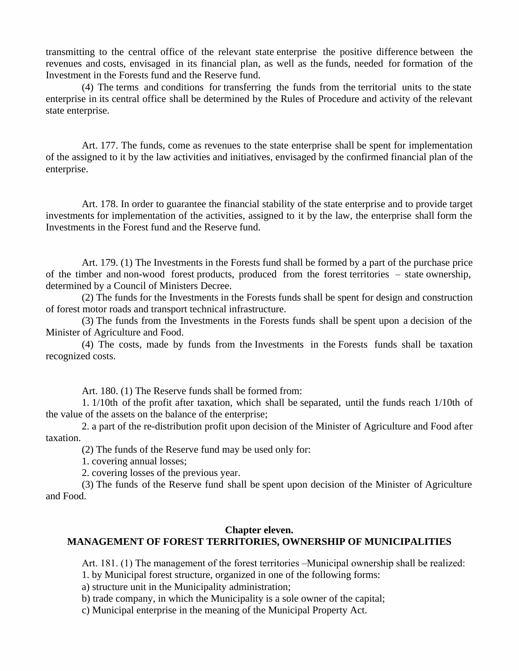transmitting to the central office of the relevant state enterprise the positive difference between the revenues and costs, envisaged in its financial plan, as wellas the funds, needed for formation of the Investment in the Forests fund and the Reserve fund.

(4) The terms and conditions for transferring the funds from the territorial units to the state enterprise in its central office shall be determined by the Rules of Procedure and activity of the relevant state enterprise.

Art. 177. The funds, come as revenues to the state enterprise shall be spent for implementation of the assigned to it by the law activities and initiatives, envisaged by the confirmed financial plan of the enterprise.

Art. 178. In order to guarantee the financial stability of the state enterprise and to provide target investments for implementation of the activities, assigned to it by the law, the enterprise shall form the Investments in the Forest fund and the Reserve fund.

Art. 179. (1) The Investments in the Forests fund shall be formed by a part of the purchase price of the timber and non-wood forest products, produced from the forest territories  $-$  state ownership, determined by a Council of Ministers Decree.

(2) The funds for the Investments in the Forests funds shall be spent for design and construction of forest motor roads and transport technical infrastructure.

(3) The funds from the Investments in the Forests funds shall be spent upon a decision of the Minister of Agriculture and Food.

(4) The costs, made by funds from the Investments in the Forests funds shall be taxation recognized costs.

Art. 180. (1) The Reserve funds shall be formed from:

1. 1/10th of the profit after taxation, which shall be separated, until the funds reach 1/10th of the value of the assets on the balance of the enterprise;

2. a part of the re-distribution profit upon decision of the Minister of Agriculture and Food after taxation.

(2) The funds of the Reserve fund may be used only for:

1. covering annual losses;

2. covering losses of the previous year.

(3) The funds of the Reserve fund shall be spent upon decision of the Minister of Agriculture and Food.

### **Chapter eleven. MANAGEMENT OF FOREST TERRITORIES, OWNERSHIP OF MUNICIPALITIES**

Art. 181. (1) The management of the forest territories –Municipal ownership shall be realized:

1. by Municipal forest structure, organized in one of the following forms:

a) structure unit in the Municipality administration;

b) trade company, in which the Municipality is a sole owner of the capital;

c) Municipal enterprise in the meaning of the Municipal Property Act.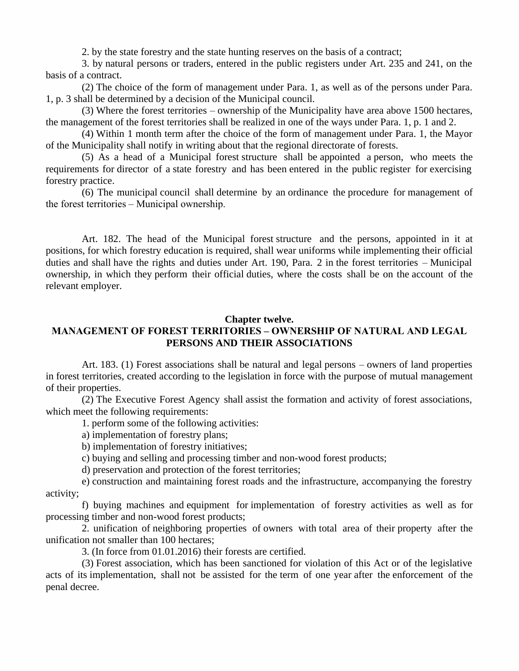2. by the state forestry and the state hunting reserves on the basis of a contract;

3. by natural persons or traders, entered in the public registers under Art. 235 and 241, on the basis of a contract.

(2) The choice of the form of management under Para. 1, as well as of the persons under Para. 1, p. 3 shall be determined by a decision of the Municipal council.

(3) Where the forest territories – ownership of the Municipality have area above 1500 hectares, the management of the forest territories shall be realized in one of the ways under Para. 1, p. 1 and 2.

(4) Within 1 month term after the choice of the form of management under Para. 1, the Mayor of the Municipality shall notify in writing about that the regional directorate of forests.

(5) As a head of a Municipal forest structure shall be appointed a person, who meets the requirements for director of a state forestry and has been entered in the public register for exercising forestry practice.

(6) The municipal council shall determine by an ordinance the procedure for management of the forest territories – Municipal ownership.

Art. 182. The head of the Municipal forest structure and the persons, appointed in it at positions, for which forestry education is required, shall wear uniforms while implementing their official duties and shall have the rights and duties under Art. 190, Para. 2 in the forest territories – Municipal ownership, in which they perform their official duties, where the costs shall be on the account of the relevant employer.

#### **Chapter twelve.**

# **MANAGEMENTOFFORESTTERRITORIES–OWNERSHIPOFNATURALANDLEGAL PERSONS AND THEIR ASSOCIATIONS**

Art. 183. (1) Forest associations shall be natural and legal persons – owners of land properties in forest territories, created according to the legislation in force with the purpose of mutual management of their properties.

(2) The Executive Forest Agency shall assist the formation and activity of forest associations, which meet the following requirements:

1. perform some of the following activities:

a) implementation of forestry plans;

b) implementation of forestry initiatives;

c) buying and selling and processing timber and non-wood forest products;

d) preservation and protection of the forest territories;

e) construction and maintaining forest roads and the infrastructure, accompanying the forestry activity;

f) buying machines and equipment for implementation of forestry activities as well as for processing timber and non-wood forest products;

2. unification of neighboring properties of owners with total area of their property after the unification not smaller than 100 hectares;

3. (In force from 01.01.2016) their forests are certified.

(3) Forest association, which has been sanctioned for violation of this Act or of the legislative acts of its implementation, shall not be assisted for the term of one year after the enforcement of the penal decree.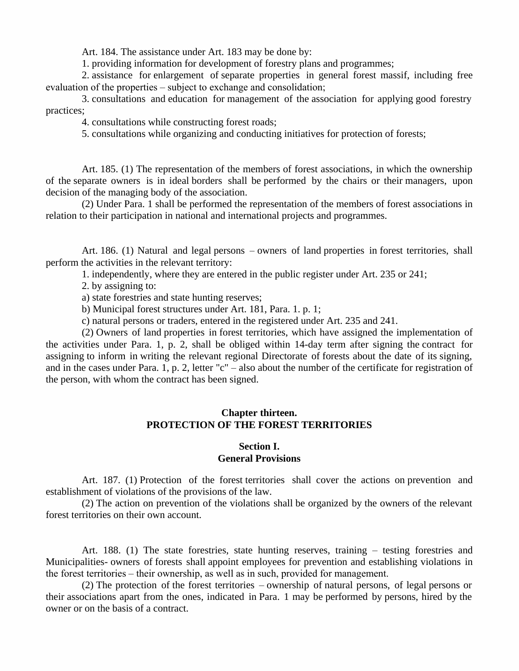Art. 184. The assistance under Art. 183 may be done by:

1. providing information for development of forestry plans and programmes;

2. assistance for enlargement of separate properties in general forest massif, including free evaluation of the properties – subject to exchange and consolidation;

3. consultations and education for management of the association for applying good forestry practices;

4. consultations while constructing forest roads;

5. consultations while organizing and conducting initiatives for protection of forests;

Art. 185. (1) The representation of the members of forest associations, in which the ownership of the separate owners is in ideal borders shall be performed by the chairs or their managers, upon decision of the managing body of the association.

(2) Under Para. 1 shall be performed the representation of the members of forest associations in relation to their participation in national and international projects and programmes.

Art. 186. (1) Natural and legal persons – owners of land properties in forest territories, shall perform the activities in the relevant territory:

1. independently, where they are entered in the public register under Art. 235 or 241;

2. by assigning to:

a) state forestries and state hunting reserves;

b) Municipal forest structures under Art. 181, Para. 1. p. 1;

c) natural persons or traders, entered in the registered under Art. 235 and 241.

(2) Owners of land properties in forest territories, which have assigned the implementation of the activities under Para. 1, p. 2, shall be obliged within 14-day term after signing the contract for assigning to inform in writing the relevant regional Directorate of forests about the date of its signing, and in the cases under Para. 1, p. 2, letter "c" – also about the number of the certificate for registration of the person, with whom the contract has been signed.

## **Chapter thirteen. PROTECTION OF THE FOREST TERRITORIES**

### **Section I. General Provisions**

Art. 187. (1) Protection of the forest territories shall cover the actions on prevention and establishment of violations of the provisions of the law.

(2) The action on prevention of the violations shall be organized by the owners of the relevant forest territories on their own account.

Art. 188. (1) The state forestries, state hunting reserves, training  $-$  testing forestries and Municipalities- owners of forests shall appoint employees for prevention and establishing violations in the forest territories – their ownership, as well as in such, provided for management.

(2) The protection of the forest territories – ownership of natural persons, of legal persons or their associations apart from the ones, indicated in Para. 1 may be performed by persons, hired by the owner or on the basis of a contract.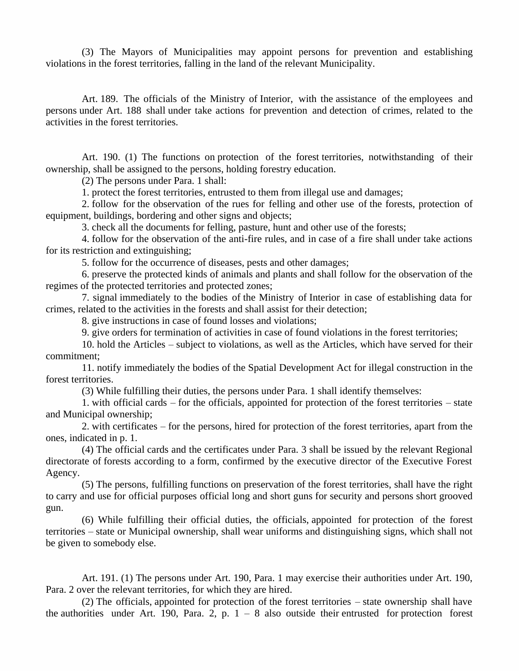(3) The Mayors of Municipalities may appoint persons for prevention and establishing violations in the forest territories, falling in the land of the relevant Municipality.

Art. 189. The officials of the Ministry of Interior, with the assistance of the employees and persons under Art. 188 shall under take actions for prevention and detection of crimes, related to the activities in the forest territories.

Art. 190. (1) The functions on protection of the forest territories, notwithstanding of their ownership, shall be assigned to the persons, holding forestry education.

(2) The persons under Para. 1 shall:

1. protect the forest territories, entrusted to them from illegal use and damages;

2. follow for the observation of the rues for felling and other use of the forests, protection of equipment, buildings, bordering and other signs and objects;

3. check all the documents for felling, pasture, hunt and other use of the forests;

4. follow for the observation of the anti-fire rules, and in case of a fire shall under take actions for its restriction and extinguishing;

5. follow for the occurrence of diseases, pests and other damages;

6. preserve the protected kinds of animals and plants and shall follow for the observation of the regimes of the protected territories and protected zones;

7. signal immediately to the bodies of the Ministry of Interior in case of establishing data for crimes, related to the activities in the forests and shall assist for their detection;

8. give instructions in case of found losses and violations;

9. give orders for termination of activities in case of found violations in the forest territories;

10. hold the Articles – subject to violations, as well as the Articles, which have served for their commitment;

11. notify immediately the bodies of the Spatial Development Act for illegal construction in the forest territories.

(3) While fulfilling their duties, the persons under Para. 1 shall identify themselves:

1. with official cards – for the officials, appointed for protection of the forest territories – state and Municipal ownership;

2. with certificates – for the persons, hired for protection of the forest territories, apart from the ones, indicated in p. 1.

(4) The official cards and the certificates under Para. 3 shall be issued by the relevant Regional directorate of forests according to a form, confirmed by the executive director of the Executive Forest Agency.

(5) The persons, fulfilling functions on preservation of the forest territories, shall have the right to carry and use for official purposes official long and short guns for security and persons short grooved gun.

(6) While fulfilling their official duties, the officials, appointed for protection of the forest territories – state or Municipal ownership, shall wear uniforms and distinguishing signs, which shall not be given to somebody else.

Art. 191. (1) The persons under Art. 190, Para. 1 may exercise their authorities under Art. 190, Para. 2 over the relevant territories, for which they are hired.

(2) The officials, appointed for protection of the forest territories – state ownership shall have the authorities under Art. 190, Para. 2, p.  $1 - 8$  also outside their entrusted for protection forest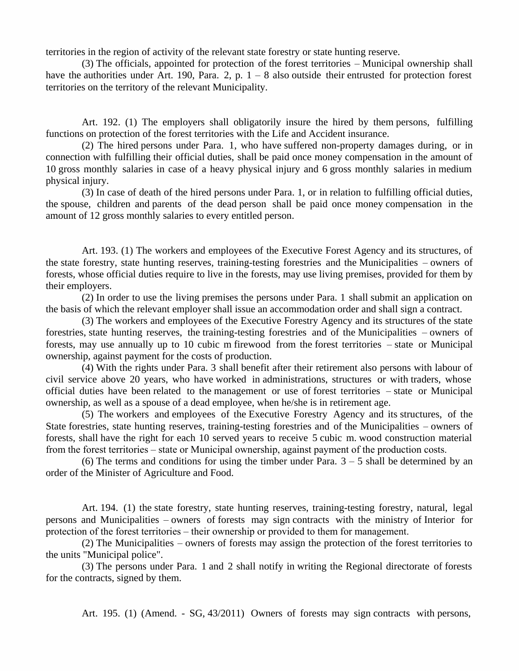territories in the region of activity of the relevant state forestry or state hunting reserve.

(3) The officials, appointed for protection of the forest territories – Municipal ownership shall have the authorities under Art. 190, Para. 2, p.  $1 - 8$  also outside their entrusted for protection forest territories on the territory of the relevant Municipality.

Art. 192. (1) The employers shall obligatorily insure the hired by them persons, fulfilling functions on protection of the forest territories with the Life and Accident insurance.

(2) The hired persons under Para. 1, who have suffered non-property damages during, or in connection with fulfilling their official duties, shall be paid once money compensation in the amount of 10 gross monthly salaries in case of a heavy physical injury and 6 gross monthly salaries in medium physical injury.

(3) In case of death of the hired persons under Para. 1, or in relation to fulfilling official duties, the spouse, children and parents of the dead person shall be paid once money compensation in the amount of 12 gross monthly salaries to every entitled person.

Art. 193. (1) The workers and employees of the Executive Forest Agency and its structures, of the state forestry, state hunting reserves, training-testing forestries and the Municipalities – owners of forests, whose official duties require to live in the forests, may use living premises, provided for them by their employers.

(2) In order to use the living premises the persons under Para. 1 shall submit an application on the basis of which the relevant employer shall issue an accommodation order and shall sign a contract.

(3) The workers and employees of the Executive Forestry Agency and its structures of the state forestries, state hunting reserves, the training-testing forestries and of the Municipalities – owners of forests, may use annually up to 10 cubic m firewood from the forest territories – state or Municipal ownership, against payment for the costs of production.

(4) With the rights under Para. 3 shall benefit after their retirement also persons with labour of civil service above 20 years, who have worked in administrations, structures or with traders, whose official duties have been related to the management or use of forest territories – state or Municipal ownership, as well as a spouse of a dead employee, when he/she is in retirement age.

(5) The workers and employees of the Executive Forestry Agency and its structures, of the State forestries, state hunting reserves, training-testing forestries and of the Municipalities – owners of forests, shall have the right for each 10 served years to receive 5 cubic m. wood construction material from the forest territories – state or Municipal ownership, against payment of the production costs.

(6) The terms and conditions for using the timber under Para.  $3 - 5$  shall be determined by an order of the Minister of Agriculture and Food.

Art. 194. (1) the state forestry, state hunting reserves, training-testing forestry, natural, legal persons and Municipalities – owners of forests may sign contracts with the ministry of Interior for protection of the forest territories – their ownership or provided to them for management.

(2) The Municipalities – owners of forests may assign the protection of the forest territories to the units "Municipal police".

(3) The persons under Para. 1 and 2 shall notify in writing the Regional directorate of forests for the contracts, signed by them.

Art. 195. (1) (Amend. - SG, 43/2011) Owners of forests may sign contracts with persons,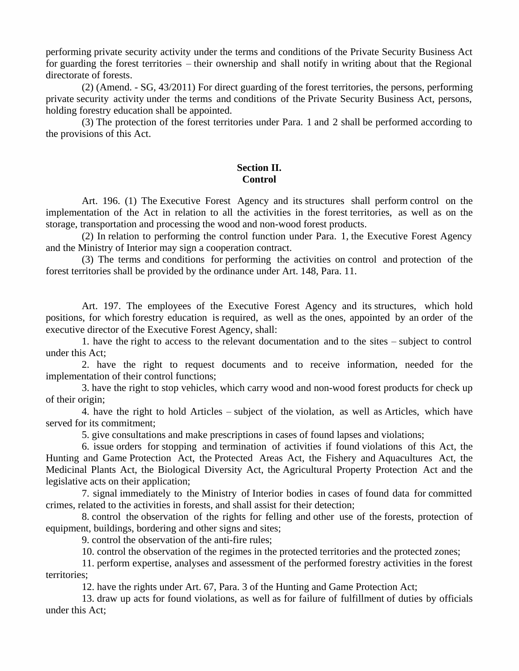performing private security activity under the terms and conditions of the Private Security Business Act for guarding the forest territories – their ownership and shall notify in writing about that the Regional directorate of forests.

(2) (Amend. - SG, 43/2011) For direct guarding of the forest territories, the persons, performing private security activity under the terms and conditions of the Private Security Business Act, persons, holding forestry education shall be appointed.

(3) The protection of the forest territories under Para. 1 and 2 shall be performed according to the provisions of this Act.

### **Section II. Control**

Art. 196. (1) The Executive Forest Agency and its structures shall perform control on the implementation of the Act in relation to all the activities in the forest territories, as well as on the storage, transportation and processing the wood and non-wood forest products.

(2) In relation to performing the control function under Para. 1, the Executive Forest Agency and the Ministry of Interior may sign a cooperation contract.

(3) The terms and conditions for performing the activities on control and protection of the forest territories shall be provided by the ordinance under Art. 148, Para. 11.

Art. 197. The employees of the Executive Forest Agency and its structures, which hold positions, for which forestry education is required, as well as the ones, appointed by an order of the executive director of the Executive Forest Agency, shall:

1. have the right to access to the relevant documentation and to the sites – subject to control under this Act;

2. have the right to request documents and to receive information, needed for the implementation of their control functions;

3. have the right to stop vehicles, which carry wood and non-wood forest products for check up of their origin;

4. have the right to hold Articles – subject of the violation, as wellas Articles, which have served for its commitment;

5. give consultations and make prescriptions in cases of found lapses and violations;

6. issue orders for stopping and termination of activities if found violations of this Act, the Hunting and Game Protection Act, the Protected Areas Act, the Fishery and Aquacultures Act, the Medicinal Plants Act, the Biological Diversity Act, the Agricultural Property Protection Act and the legislative acts on their application;

7. signal immediately to the Ministry of Interior bodies in cases of found data for committed crimes, related to the activities in forests, and shall assist for their detection;

8. control the observation of the rights for felling and other use of the forests, protection of equipment, buildings, bordering and other signs and sites;

9. control the observation of the anti-fire rules;

10. control the observation of the regimes in the protected territories and the protected zones;

11. perform expertise, analyses and assessment of the performed forestry activities in the forest territories;

12. have the rights under Art. 67, Para. 3 of the Hunting and Game Protection Act;

13. draw up acts for found violations, as well as for failure of fulfillment of duties by officials under this Act;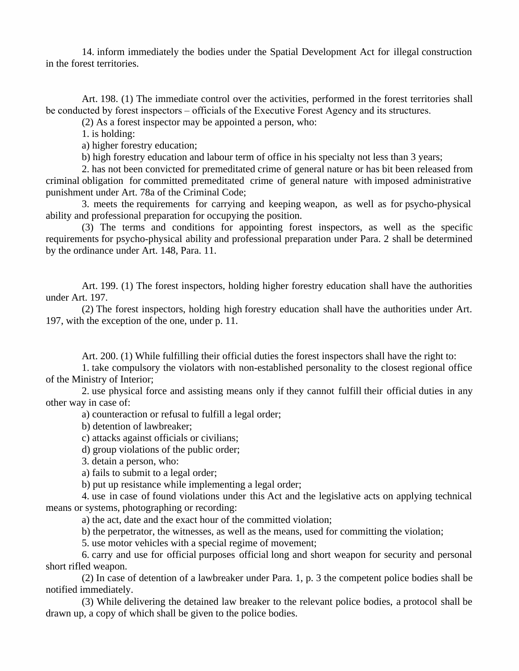14. inform immediately the bodies under the Spatial Development Act for illegal construction in the forest territories.

Art. 198. (1) The immediate control over the activities, performed in the forest territories shall be conducted by forest inspectors – officials of the Executive Forest Agency and its structures.

(2) As a forest inspector may be appointed a person, who:

1. is holding:

a) higher forestry education;

b) high forestry education and labour term of office in his specialty not less than 3 years;

2. has not been convicted for premeditated crime of general nature or has bit been released from criminal obligation for committed premeditated crime of general nature with imposed administrative punishment under Art. 78a of the Criminal Code;

3. meets the requirements for carrying and keeping weapon, as wellas for psycho-physical ability and professional preparation for occupying the position.

(3) The terms and conditions for appointing forest inspectors, as well as the specific requirements for psycho-physical ability and professional preparation under Para. 2 shall be determined by the ordinance under Art. 148, Para. 11.

Art. 199. (1) The forest inspectors, holding higher forestry education shall have the authorities under Art. 197.

(2) The forest inspectors, holding high forestry education shall have the authorities under Art. 197, with the exception of the one, under p. 11.

Art. 200. (1) While fulfilling their official duties the forest inspectors shall have the right to:

1. take compulsory the violators with non-established personality to the closest regional office of the Ministry of Interior;

2. use physical force and assisting means only if they cannot fulfill their official duties in any other way in case of:

a) counteraction or refusal to fulfill a legal order;

b) detention of lawbreaker;

c) attacks against officials or civilians;

d) group violations of the public order;

3. detain a person, who:

a) fails to submit to a legal order;

b) put up resistance while implementing a legal order;

4. use in case of found violations under this Act and the legislative acts on applying technical means or systems, photographing or recording:

a) the act, date and the exact hour of the committed violation;

b) the perpetrator, the witnesses, as well as the means, used for committing the violation;

5. use motor vehicles with a special regime of movement;

6. carry and use for official purposes official long and short weapon for security and personal short rifled weapon.

(2) In case of detention of a lawbreaker under Para. 1, p. 3 the competent police bodies shall be notified immediately.

(3) While delivering the detained law breaker to the relevant police bodies, a protocol shall be drawn up, a copy of which shall be given to the police bodies.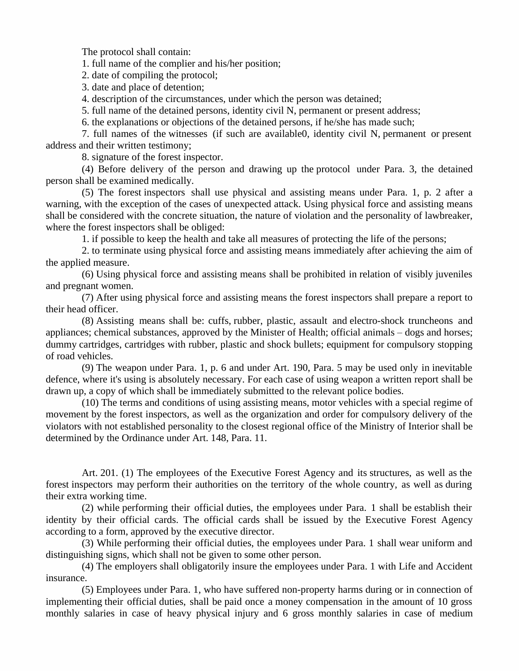The protocol shall contain:

1. full name of the complier and his/her position;

2. date of compiling the protocol;

3. date and place of detention;

4. description of the circumstances, under which the person was detained;

5. full name of the detained persons, identity civil N, permanent or present address;

6. the explanations or objections of the detained persons, if he/she has made such;

7. full names of the witnesses (if such are available0, identity civil N, permanent or present address and their written testimony;

8. signature of the forest inspector.

(4) Before delivery of the person and drawing up the protocol under Para. 3, the detained person shall be examined medically.

(5) The forest inspectors shall use physical and assisting means under Para. 1, p. 2 after a warning, with the exception of the cases of unexpected attack. Using physical force and assisting means shall be considered with the concrete situation, the nature of violation and the personality of lawbreaker, where the forest inspectors shall be obliged:

1. if possible to keep the health and take all measures of protecting the life of the persons;

2. to terminate using physical force and assisting means immediately after achieving the aim of the applied measure.

(6) Using physical force and assisting means shall be prohibited in relation of visibly juveniles and pregnant women.

(7) After using physical force and assisting means the forest inspectors shall prepare a report to their head officer.

(8) Assisting means shall be: cuffs, rubber, plastic, assault and electro-shock truncheons and appliances; chemical substances, approved by the Minister of Health; official animals – dogs and horses; dummy cartridges, cartridges with rubber, plastic and shock bullets; equipment for compulsory stopping of road vehicles.

(9) The weapon under Para. 1, p. 6 and under Art. 190, Para. 5 may be used only in inevitable defence, where it's using is absolutely necessary. For each case of using weapon a written report shall be drawn up, a copy of which shall be immediately submitted to the relevant police bodies.

(10) The terms and conditions of using assisting means, motor vehicles with a special regime of movement by the forest inspectors, as well as the organization and order for compulsory delivery of the violators with not established personality to the closest regional office of the Ministry of Interior shall be determined by the Ordinance under Art. 148, Para. 11.

Art. 201. (1) The employees of the Executive Forest Agency and its structures, as well as the forest inspectors may perform their authorities on the territory of the whole country, as well as during their extra working time.

(2) while performing their official duties, the employees under Para. 1 shall be establish their identity by their official cards. The official cards shall be issued by the Executive Forest Agency according to a form, approved by the executive director.

(3) While performing their official duties, the employees under Para. 1 shall wear uniform and distinguishing signs, which shall not be given to some other person.

(4) The employers shall obligatorily insure the employees under Para. 1 with Life and Accident insurance.

(5) Employees under Para. 1, who have suffered non-property harms during or in connection of implementing their official duties, shall be paid once a money compensation in the amount of 10 gross monthly salaries in case of heavy physical injury and 6 gross monthly salaries in case of medium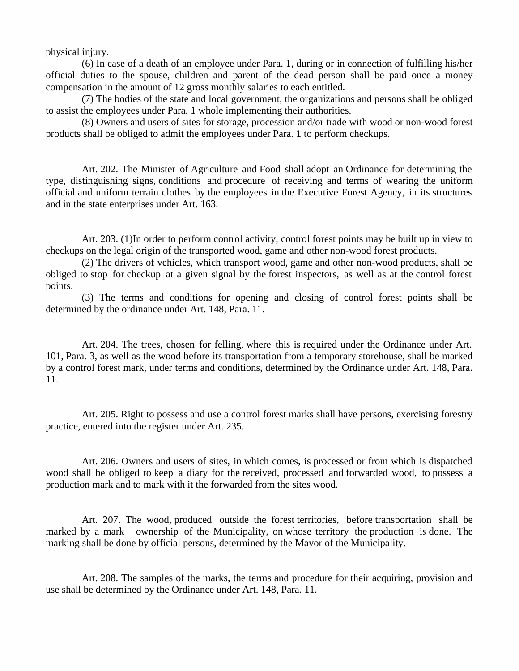physical injury.

(6) In case of a death of an employee under Para. 1, during or in connection of fulfilling his/her official duties to the spouse, children and parent of the dead person shall be paid once a money compensation in the amount of 12 gross monthly salaries to each entitled.

(7) The bodies of the state and local government, the organizations and persons shall be obliged to assist the employees under Para. 1 whole implementing their authorities.

(8) Owners and users of sites for storage, procession and/or trade with wood or non-wood forest products shall be obliged to admit the employees under Para. 1 to perform checkups.

Art. 202. The Minister of Agriculture and Food shall adopt an Ordinance for determining the type, distinguishing signs, conditions and procedure of receiving and terms of wearing the uniform official and uniform terrain clothes by the employees in the Executive Forest Agency, in its structures and in the state enterprises under Art. 163.

Art. 203. (1)In order to perform control activity, control forest points may be built up in view to checkups on the legal origin of the transported wood, game and other non-wood forest products.

(2) The drivers of vehicles, which transport wood, game and other non-wood products, shall be obliged to stop for checkup at a given signal by the forest inspectors, as wellas at the control forest points.

(3) The terms and conditions for opening and closing of control forest points shall be determined by the ordinance under Art. 148, Para. 11.

Art. 204. The trees, chosen for felling, where this is required under the Ordinance under Art. 101, Para. 3, as well as the wood before its transportation from a temporary storehouse, shall be marked by a control forest mark, under terms and conditions, determined by the Ordinance under Art. 148, Para. 11.

Art. 205. Right to possess and use a control forest marks shall have persons, exercising forestry practice, entered into the register under Art. 235.

Art. 206. Owners and users of sites, in which comes, is processed or from which is dispatched wood shall be obliged to keep a diary for the received, processed and forwarded wood, to possess a production mark and to mark with it the forwarded from the sites wood.

Art. 207. The wood, produced outside the forest territories, before transportation shall be marked by a mark – ownership of the Municipality, on whose territory the production is done. The marking shall be done by official persons, determined by the Mayor of the Municipality.

Art. 208. The samples of the marks, the terms and procedure for their acquiring, provision and use shall be determined by the Ordinance under Art. 148, Para. 11.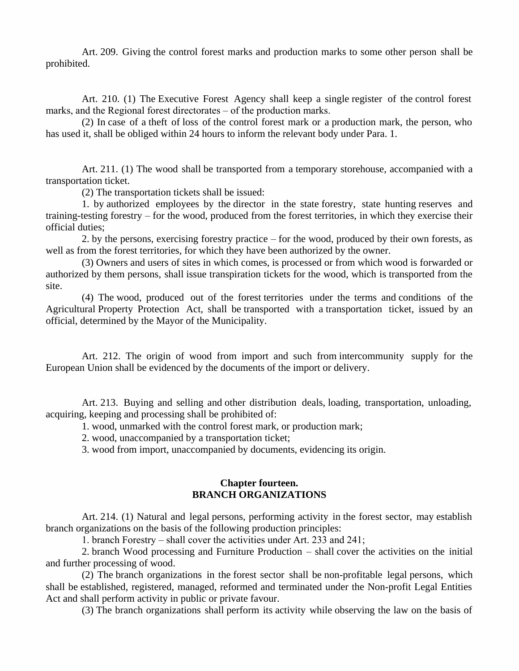Art. 209. Giving the control forest marks and production marks to some other person shall be prohibited.

Art. 210. (1) The Executive Forest Agency shall keep a single register of the control forest marks, and the Regional forest directorates  $-$  of the production marks.

(2) In case of a theft of loss of the control forest mark or a production mark, the person, who has used it, shall be obliged within 24 hours to inform the relevant body under Para. 1.

Art. 211. (1) The wood shall be transported from a temporary storehouse, accompanied with a transportation ticket.

(2) The transportation tickets shall be issued:

1. by authorized employees by the director in the state forestry, state hunting reserves and training-testing forestry – for the wood, produced from the forest territories, in which they exercise their official duties;

2. by the persons, exercising forestry practice – for the wood, produced by their own forests, as well as from the forest territories, for which they have been authorized by the owner.

(3) Owners and users of sites in which comes, is processed or from which wood is forwarded or authorized by them persons, shall issue transpiration tickets for the wood, which is transported from the site.

(4) The wood, produced out of the forest territories under the terms and conditions of the Agricultural Property Protection Act, shall be transported with a transportation ticket, issued by an official, determined by the Mayor of the Municipality.

Art. 212. The origin of wood from import and such from intercommunity supply for the European Union shall be evidenced by the documents of the import or delivery.

Art. 213. Buying and selling and other distribution deals, loading, transportation, unloading, acquiring, keeping and processing shall be prohibited of:

1. wood, unmarked with the control forest mark, or production mark;

2. wood, unaccompanied by a transportation ticket;

3. wood from import, unaccompanied by documents, evidencing its origin.

#### **Chapter fourteen. BRANCH ORGANIZATIONS**

Art. 214. (1) Natural and legal persons, performing activity in the forest sector, may establish branch organizations on the basis of the following production principles:

1. branch Forestry – shall cover the activities under Art. 233 and 241;

2. branch Wood processing and Furniture Production – shall cover the activities on the initial and further processing of wood.

(2) The branch organizations in the forest sector shall be non-profitable legal persons, which shall be established, registered, managed, reformed and terminated under the Non-profit Legal Entities Act and shall perform activity in public or private favour.

(3) The branch organizations shall perform its activity while observing the law on the basis of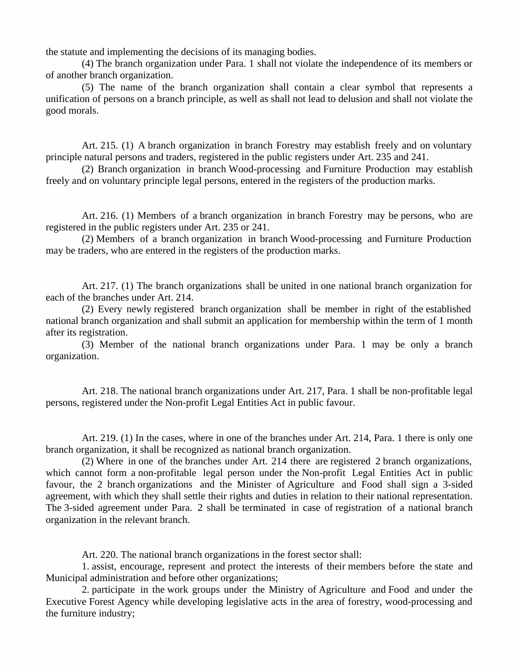the statute and implementing the decisions of its managing bodies.

(4) The branch organization under Para. 1 shall not violate the independence of its members or of another branch organization.

(5) The name of the branch organization shall contain a clear symbol that represents a unification of persons on a branch principle, as well as shall not lead to delusion and shall not violate the good morals.

Art. 215. (1) A branch organization in branch Forestry may establish freely and on voluntary principle natural persons and traders, registered in the public registers under Art. 235 and 241.

(2) Branch organization in branch Wood-processing and Furniture Production may establish freely and on voluntary principle legal persons, entered in the registers of the production marks.

Art. 216. (1) Members of a branch organization in branch Forestry may be persons, who are registered in the public registers under Art. 235 or 241.

(2) Members of a branch organization in branch Wood-processing and Furniture Production may be traders, who are entered in the registers of the production marks.

Art. 217. (1) The branch organizations shall be united in one national branch organization for each of the branches under Art. 214.

(2) Every newly registered branch organization shall be member in right of the established national branch organization and shall submit an application for membership within the term of 1 month after its registration.

(3) Member of the national branch organizations under Para. 1 may be only abranch organization.

Art. 218. The national branch organizations under Art. 217, Para. 1 shall be non-profitable legal persons, registered under the Non-profit Legal Entities Act in public favour.

Art. 219. (1) In the cases, where in one of the branches under Art. 214, Para. 1 there is only one branch organization, it shall be recognized as national branch organization.

(2) Where in one of the branches under Art. 214 there are registered 2 branch organizations, which cannot form a non-profitable legal person under the Non-profit Legal Entities Act in public favour, the 2 branch organizations and the Minister of Agriculture and Food shall sign a 3-sided agreement, with which they shall settle their rights and duties in relation to their national representation. The 3-sided agreement under Para. 2 shall be terminated in case of registration of a national branch organization in the relevant branch.

Art. 220. The national branch organizations in the forest sector shall:

1. assist, encourage, represent and protect the interests of their members before the state and Municipal administration and before other organizations;

2. participate in the work groups under the Ministry of Agriculture and Food and under the Executive Forest Agency while developing legislative acts in the area of forestry, wood-processing and the furniture industry;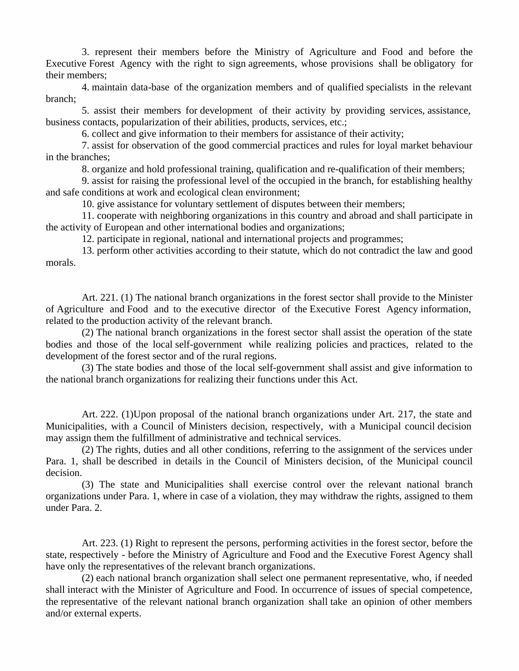3. represent their members before the Ministry of Agriculture and Food and before the Executive Forest Agency with the right to sign agreements, whose provisions shall be obligatory for their members;

4. maintain data-base of the organization members and of qualified specialists in the relevant branch;

5. assist their members for development of their activity by providing services, assistance, business contacts, popularization of their abilities, products, services, etc.;

6. collect and give information to their members for assistance of their activity;

7. assist for observation of the good commercial practices and rules for loyal market behaviour in the branches;

8. organize and hold professional training, qualification and re-qualification of their members;

9. assist for raising the professional level of the occupied in the branch, for establishing healthy and safe conditions at work and ecological clean environment;

10. give assistance for voluntary settlement of disputes between their members;

11. cooperate with neighboring organizations in this country and abroad and shall participate in the activity of European and other international bodies and organizations;

12. participate in regional, national and international projects and programmes;

13. perform other activities according to their statute, which do not contradict the law and good morals.

Art. 221. (1) The national branch organizations in the forest sector shall provide to the Minister of Agriculture and Food and to the executive director of the Executive Forest Agency information, related to the production activity of the relevant branch.

(2) The national branch organizations in the forest sector shall assist the operation of the state bodies and those of the local self-government while realizing policies and practices, related to the development of the forest sector and of the rural regions.

(3) The state bodies and those of the local self-government shall assist and give information to the national branch organizations for realizing their functions under this Act.

Art. 222. (1)Upon proposal of the national branch organizations under Art. 217, the state and Municipalities, with a Council of Ministers decision, respectively, with a Municipal council decision may assign them the fulfillment of administrative and technical services.

(2) The rights, duties and all other conditions, referring to the assignment of the services under Para. 1, shall be described in details in the Council of Ministers decision, of the Municipal council decision.

(3) The state and Municipalities shall exercise control over the relevant national branch organizations under Para. 1, where in case of a violation, they may withdraw the rights, assigned to them under Para. 2.

Art. 223. (1) Right to represent the persons, performing activities in the forest sector, before the state, respectively - before the Ministry of Agriculture and Food and the Executive Forest Agency shall have only the representatives of the relevant branch organizations.

(2) each national branch organization shall select one permanent representative, who, if needed shall interact with the Minister of Agriculture and Food. In occurrence of issues of special competence, the representative of the relevant national branch organization shall take an opinion of other members and/or external experts.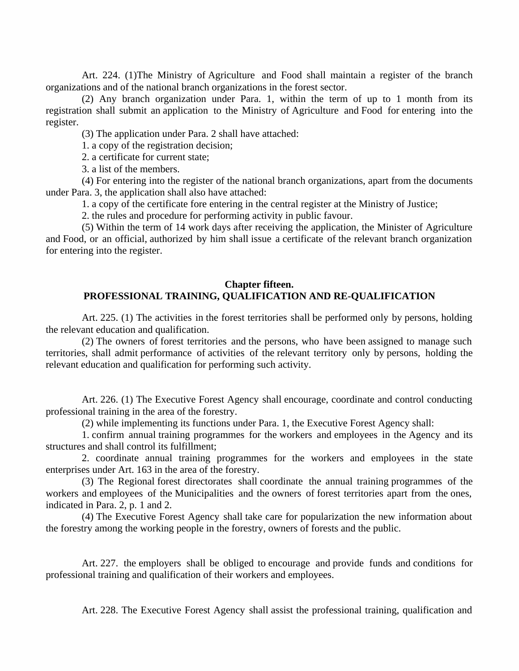Art. 224. (1)The Ministry of Agriculture and Food shall maintain a register of the branch organizations and of the national branch organizations in the forest sector.

(2) Any branch organization under Para. 1, within the term of up to 1month from its registration shall submit an application to the Ministry of Agriculture and Food for entering into the register.

(3) The application under Para. 2 shall have attached:

1. a copy of the registration decision;

2. a certificate for current state;

3. a list of the members.

(4) For entering into the register of the national branch organizations, apart from the documents under Para. 3, the application shall also have attached:

1. a copy of the certificate fore entering in the central register at the Ministry of Justice;

2. the rules and procedure for performing activity in public favour.

(5) Within the term of 14 work days after receiving the application, the Minister of Agriculture and Food, or an official, authorized by him shall issue a certificate of the relevant branch organization for entering into the register.

### **Chapter fifteen. PROFESSIONAL TRAINING, QUALIFICATION AND RE-QUALIFICATION**

Art. 225. (1) The activities in the forest territories shall be performed only by persons, holding the relevant education and qualification.

(2) The owners of forest territories and the persons, who have been assigned to manage such territories, shall admit performance of activities of the relevant territory only by persons, holding the relevant education and qualification for performing such activity.

Art. 226. (1) The Executive Forest Agency shall encourage, coordinate and control conducting professional training in the area of the forestry.

(2) while implementing its functions under Para. 1, the Executive Forest Agency shall:

1. confirm annual training programmes for the workers and employees in the Agency and its structures and shall control its fulfillment;

2. coordinate annual training programmes for the workers and employees in the state enterprises under Art. 163 in the area of the forestry.

(3) The Regional forest directorates shall coordinate the annualtraining programmes of the workers and employees of the Municipalities and the owners of forest territories apart from the ones, indicated in Para. 2, p. 1 and 2.

(4) The Executive Forest Agency shall take care for popularization the new information about the forestry among the working people in the forestry, owners of forests and the public.

Art. 227. the employers shall be obliged to encourage and provide funds and conditions for professional training and qualification of their workers and employees.

Art. 228. The Executive Forest Agency shall assist the professional training, qualification and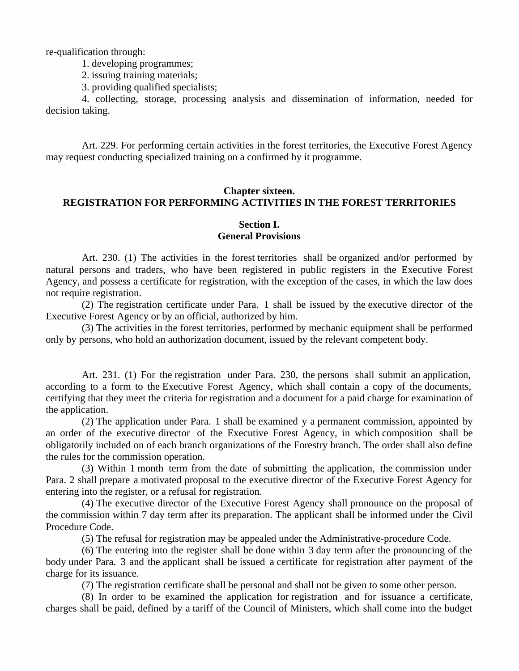re-qualification through:

1. developing programmes;

2. issuing training materials;

3. providing qualified specialists;

4. collecting, storage, processing analysis and dissemination of information, needed for decision taking.

Art. 229. For performing certain activities in the forest territories, the Executive Forest Agency may request conducting specialized training on a confirmed by it programme.

# **Chapter sixteen. REGISTRATION FOR PERFORMING ACTIVITIES IN THE FOREST TERRITORIES**

## **Section I. General Provisions**

Art. 230. (1) The activities in the forest territories shall be organized and/or performed by natural persons and traders, who have been registered in public registers in the Executive Forest Agency, and possess a certificate for registration, with the exception of the cases, in which the law does not require registration.

(2) The registration certificate under Para. 1 shall be issued by the executive director of the Executive Forest Agency or by an official, authorized by him.

(3) The activities in the forest territories, performed by mechanic equipment shall be performed only by persons, who hold an authorization document, issued by the relevant competent body.

Art. 231. (1) For the registration under Para. 230, the persons shall submit an application, according to a form to the Executive Forest Agency, which shall contain a copy of the documents, certifying that they meet the criteria for registration and a document for a paid charge for examination of the application.

(2) The application under Para. 1 shall be examined y a permanent commission, appointed by an order of the executive director of the Executive Forest Agency, in which composition shall be obligatorily included on of each branch organizations of the Forestry branch. The order shall also define the rules for the commission operation.

(3) Within 1 month term from the date of submitting the application, the commission under Para. 2 shall prepare a motivated proposal to the executive director of the Executive Forest Agency for entering into the register, or a refusal for registration.

(4) The executive director of the Executive Forest Agency shall pronounce on the proposal of the commission within 7 day term after its preparation. The applicant shall be informed under the Civil Procedure Code.

(5) The refusal for registration may be appealed under the Administrative-procedure Code.

(6) The entering into the register shall be done within 3 day term after the pronouncing of the body under Para. 3 and the applicant shall be issued a certificate for registration after payment of the charge for its issuance.

(7) The registration certificate shall be personal and shall not be given to some other person.

(8) In order to be examined the application for registration and for issuance a certificate, charges shall be paid, defined by a tariff of the Council of Ministers, which shall come into the budget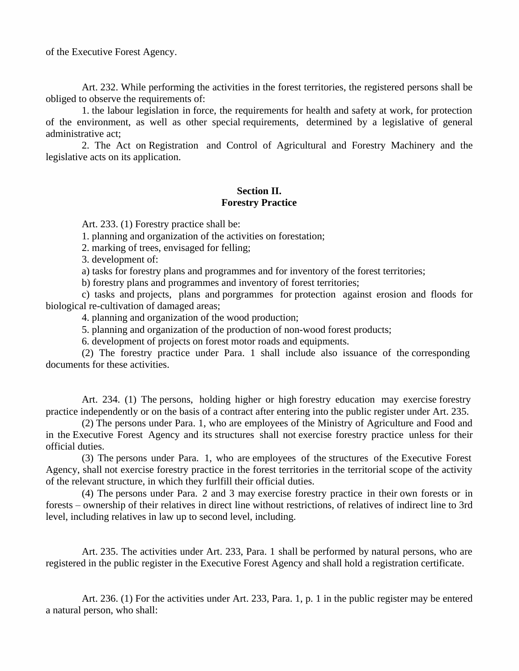of the Executive Forest Agency.

Art. 232. While performing the activities in the forest territories, the registered persons shall be obliged to observe the requirements of:

1. the labour legislation in force, the requirements for health and safety at work, for protection of the environment, as well as other special requirements, determined by a legislative of general administrative act;

2. The Act on Registration and Control of Agricultural and Forestry Machinery and the legislative acts on its application.

# **Section II. Forestry Practice**

Art. 233. (1) Forestry practice shall be:

1. planning and organization of the activities on forestation;

2. marking of trees, envisaged for felling;

3. development of:

a) tasks for forestry plans and programmes and for inventory of the forest territories;

b) forestry plans and programmes and inventory of forest territories;

c) tasks and projects, plans and porgrammes for protection against erosion and floods for biological re-cultivation of damaged areas;

4. planning and organization of the wood production;

5. planning and organization of the production of non-wood forest products;

6. development of projects on forest motor roads and equipments.

(2) The forestry practice under Para. 1 shall include also issuance of the corresponding documents for these activities.

Art. 234. (1) The persons, holding higher or high forestry education may exercise forestry practice independently or on the basis of a contract after entering into the public register under Art. 235.

(2) The persons under Para. 1, who are employees of the Ministry of Agriculture and Food and in the Executive Forest Agency and its structures shall not exercise forestry practice unless for their official duties.

(3) The persons under Para. 1, who are employees of the structures of the Executive Forest Agency, shall not exercise forestry practice in the forest territories in the territorial scope of the activity of the relevant structure, in which they furlfill their official duties.

(4) The persons under Para. 2 and 3 may exercise forestry practice in their own forests or in forests – ownership of their relatives in direct line without restrictions, of relatives of indirect line to 3rd level, including relatives in law up to second level, including.

Art. 235. The activities under Art. 233, Para. 1 shall be performed by natural persons, who are registered in the public register in the Executive Forest Agency and shall hold a registration certificate.

Art. 236. (1) For the activities under Art. 233, Para. 1, p. 1 in the public register may be entered a natural person, who shall: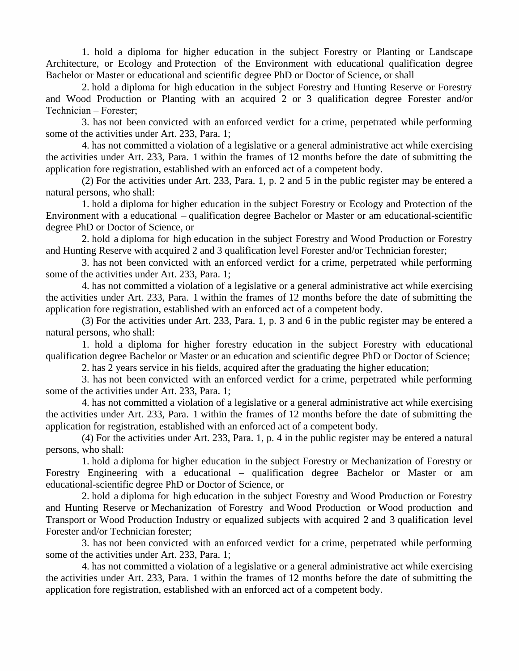1. hold a diploma for higher education in the subject Forestry or Planting or Landscape Architecture, or Ecology and Protection of the Environment with educational qualification degree Bachelor or Master or educational and scientific degree PhD or Doctor of Science, or shall

2. hold a diploma for high education in the subject Forestry and Hunting Reserve or Forestry and Wood Production or Planting with an acquired 2 or 3 qualification degree Forester and/or Technician–Forester;

3. has not been convicted with an enforced verdict for a crime, perpetrated while performing some of the activities under Art. 233, Para. 1;

4. has not committed a violation of a legislative or a general administrative act while exercising the activities under Art. 233, Para. 1 within the frames of 12 months before the date of submitting the application fore registration, established with an enforced act of a competent body.

(2) For the activities under Art. 233, Para. 1, p. 2 and 5 in the public register may be entered a natural persons, who shall:

1. hold a diploma for higher education in the subject Forestry or Ecology and Protection of the Environment with a educational – qualification degree Bachelor or Master or am educational-scientific degree PhD or Doctor of Science, or

2. hold a diploma for high education in the subject Forestry and Wood Production or Forestry and Hunting Reserve with acquired 2 and 3 qualification level Forester and/or Technician forester;

3. has not been convicted with an enforced verdict for a crime, perpetrated while performing some of the activities under Art. 233, Para. 1;

4. has not committed a violation of a legislative or a general administrative act while exercising the activities under Art. 233, Para. 1 within the frames of 12 months before the date of submitting the application fore registration, established with an enforced act of a competent body.

(3) For the activities under Art. 233, Para. 1, p. 3 and 6 in the public register may be entered a natural persons, who shall:

1. hold a diploma for higher forestry education in the subject Forestry with educational qualification degree Bachelor or Master or an education and scientific degree PhD or Doctor of Science;

2. has 2 years service in his fields, acquired after the graduating the higher education;

3. has not been convicted with an enforced verdict for a crime, perpetrated while performing some of the activities under Art. 233, Para. 1;

4. has not committed a violation of a legislative or a general administrative act while exercising the activities under Art. 233, Para. 1 within the frames of 12 months before the date of submitting the application for registration, established with an enforced act of a competent body.

(4) For the activities under Art. 233, Para. 1, p. 4 in the public register may be entered a natural persons, who shall:

1. hold a diploma for higher education in the subject Forestry or Mechanization of Forestry or Forestry Engineering with a educational – qualification degree Bachelor or Master or am educational-scientific degree PhD or Doctor of Science, or

2. hold a diploma for high education in the subject Forestry and Wood Production or Forestry and Hunting Reserve or Mechanization of Forestry and Wood Production or Wood production and Transport or Wood Production Industry or equalized subjects with acquired 2 and 3 qualification level Forester and/or Technician forester;

3. has not been convicted with an enforced verdict for a crime, perpetrated while performing some of the activities under Art. 233, Para. 1;

4. has not committed a violation of a legislative or a general administrative act while exercising the activities under Art. 233, Para. 1 within the frames of 12 months before the date of submitting the application fore registration, established with an enforced act of a competent body.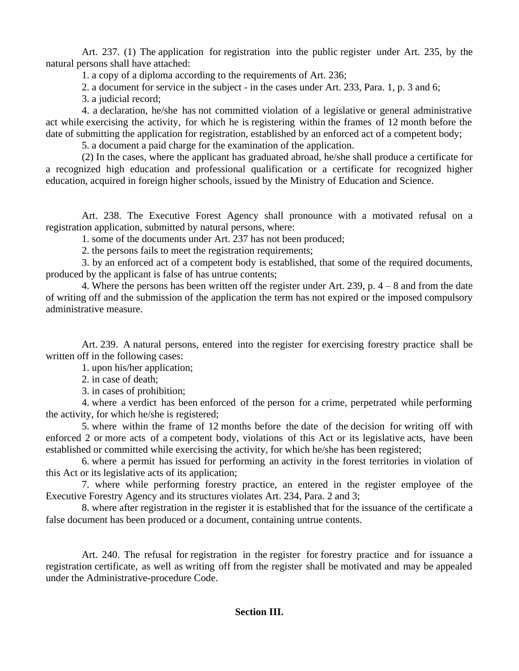Art. 237. (1) The application for registration into the public register under Art. 235, by the natural persons shall have attached:

1. a copy of a diploma according to the requirements of Art. 236;

2. a document for service in the subject - in the cases under Art. 233, Para. 1, p. 3 and 6;

3. a judicial record;

4. a declaration, he/she has not committed violation of a legislative or general administrative act while exercising the activity, for which he is registering within the frames of 12 month before the date of submitting the application for registration, established by an enforced act of a competent body;

5. a document a paid charge for the examination of the application.

(2) In the cases, where the applicant has graduated abroad, he/she shall produce a certificate for a recognized high education and professional qualification or a certificate for recognized higher education, acquired in foreign higher schools, issued by the Ministry of Education and Science.

Art. 238. The Executive Forest Agency shall pronounce with amotivated refusal on a registration application, submitted by natural persons, where:

1. some of the documents under Art. 237 has not been produced;

2. the persons fails to meet the registration requirements;

3. by an enforced act of a competent body is established, that some of the required documents, produced by the applicant is false of has untrue contents;

4. Where the persons has been written off the register under Art. 239, p. 4 – 8 and from the date of writing off and the submission of the application the term has not expired or the imposed compulsory administrative measure.

Art. 239. A natural persons, entered into the register for exercising forestry practice shall be written off in the following cases:

1. upon his/her application;

2. in case of death;

3. in cases of prohibition;

4. where a verdict has been enforced of the person for a crime, perpetrated while performing the activity, for which he/she is registered;

5. where within the frame of 12 months before the date of the decision for writing off with enforced 2 or more acts of a competent body, violations of this Act or its legislative acts, have been established or committed while exercising the activity, for which he/she has been registered;

6. where a permit has issued for performing an activity in the forest territories in violation of this Act or its legislative acts of its application;

7. where while performing forestry practice, an entered in the register employee of the Executive Forestry Agency and its structures violates Art. 234, Para. 2 and 3;

8. where after registration in the register it is established that for the issuance of the certificate a false document has been produced or a document, containing untrue contents.

Art. 240. The refusal for registration in the register for forestry practice and for issuance a registration certificate, as well as writing off from the register shall be motivated and may be appealed under the Administrative-procedure Code.

## **Section III.**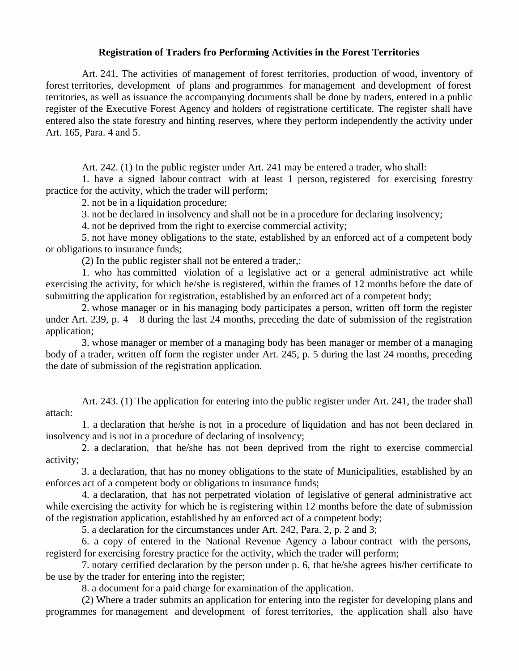#### **Registration of Traders fro Performing Activities in the Forest Territories**

Art. 241. The activities of management of forest territories, production of wood, inventory of forest territories, development of plans and programmes for management and development of forest territories, as well as issuance the accompanying documents shall be done by traders, entered in a public register of the Executive Forest Agency and holders of registratione certificate. The register shall have entered also the state forestry and hinting reserves, where they perform independently the activity under Art. 165, Para. 4 and 5.

Art. 242. (1) In the public register under Art. 241 may be entered a trader, who shall:

1. have a signed labour contract with at least 1 person, registered for exercising forestry practice for the activity, which the trader will perform;

2. not be in a liquidation procedure;

3. not be declared in insolvency and shall not be in a procedure for declaring insolvency;

4. not be deprived from the right to exercise commercial activity;

5. not have money obligations to the state, established by an enforced act of a competent body or obligations to insurance funds;

(2) In the public register shall not be entered a trader,:

1. who has committed violation of a legislative act or a general administrative act while exercising the activity, for which he/she is registered, within the frames of 12 months before the date of submitting the application for registration, established by an enforced act of a competent body;

2. whose manager or in his managing body participates a person, written off form the register under Art. 239, p.  $4 - 8$  during the last 24 months, preceding the date of submission of the registration application;

3. whose manager or member of a managing body has been manager or member of a managing body of a trader, written off form the register under Art. 245, p. 5 during the last 24 months, preceding the date of submission of the registration application.

Art. 243. (1) The application for entering into the public register under Art. 241, the trader shall attach:

1. a declaration that he/she is not in a procedure of liquidation and has not been declared in insolvency and is not in a procedure of declaring of insolvency;

2. a declaration, that he/she has not been deprived from the right to exercise commercial activity;

3. a declaration, that has no money obligations to the state of Municipalities, established by an enforces act of a competent body or obligations to insurance funds;

4. a declaration, that has not perpetrated violation of legislative of general administrative act while exercising the activity for which he is registering within 12 months before the date of submission of the registration application, established by an enforced act of a competent body;

5. a declaration for the circumstances under Art. 242, Para. 2, p. 2 and 3;

6. a copy of entered in the National Revenue Agency a labour contract with the persons, registerd for exercising forestry practice for the activity, which the trader will perform;

7. notary certified declaration by the person under p. 6, that he/she agrees his/her certificate to be use by the trader for entering into the register;

8. a document for a paid charge for examination of the application.

(2) Where a trader submits an application for entering into the register for developing plans and programmes for management and development of forest territories, the application shall also have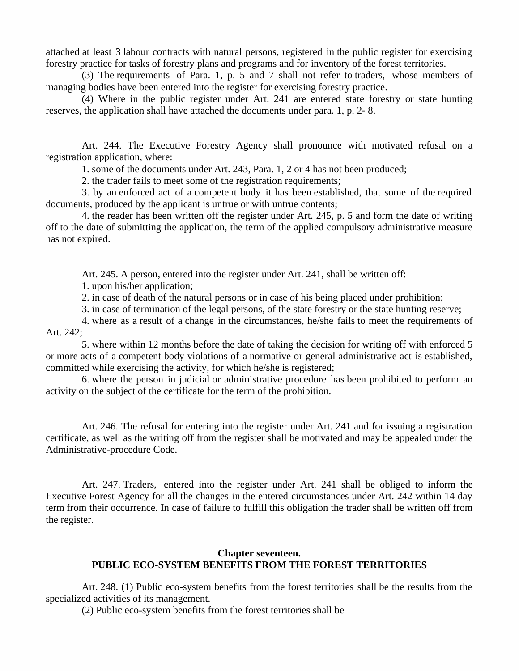attached at least 3 labour contracts with natural persons, registered in the public register for exercising forestry practice for tasks of forestry plans and programs and for inventory of the forest territories.

(3) The requirements of Para. 1, p. 5 and 7 shall not refer to traders, whose members of managing bodies have been entered into the register for exercising forestry practice.

(4) Where in the public register under Art. 241 are entered state forestry or state hunting reserves, the application shall have attached the documents under para. 1, p. 2- 8.

Art. 244. The Executive Forestry Agency shall pronounce with motivated refusal on a registration application, where:

1. some of the documents under Art. 243, Para. 1, 2 or 4 has not been produced;

2. the trader fails to meet some of the registration requirements;

3. by an enforced act of a competent body it has been established, that some of the required documents, produced by the applicant is untrue or with untrue contents;

4. the reader has been written off the register under Art. 245, p. 5 and form the date of writing off to the date of submitting the application, the term of the applied compulsory administrative measure has not expired.

Art. 245. A person, entered into the register under Art. 241, shall be written off:

1. upon his/her application;

2. in case of death of the natural persons or in case of his being placed under prohibition;

3. in case of termination of the legal persons, of the state forestry or the state hunting reserve;

4. where as a result of a change in the circumstances, he/she fails to meet the requirements of Art. 242;

5. where within 12 months before the date of taking the decision for writing off with enforced 5 or more acts of a competent body violations of a normative or general administrative act is established, committed while exercising the activity, for which he/she is registered;

6. where the person in judicial or administrative procedure has been prohibited to perform an activity on the subject of the certificate for the term of the prohibition.

Art. 246. The refusal for entering into the register under Art. 241 and for issuing a registration certificate, as well as the writing off from the register shall be motivated and may be appealed under the Administrative-procedure Code.

Art. 247. Traders, entered into the register under Art. 241 shall be obliged to inform the Executive Forest Agency for all the changes in the entered circumstances under Art. 242 within 14 day term from their occurrence. In case of failure to fulfill this obligation the trader shall be written off from the register.

### **Chapter seventeen. PUBLIC ECO-SYSTEM BENEFITS FROM THE FOREST TERRITORIES**

Art. 248. (1) Public eco-system benefits from the forest territories shall be the results from the specialized activities of its management.

(2) Public eco-system benefits from the forest territories shall be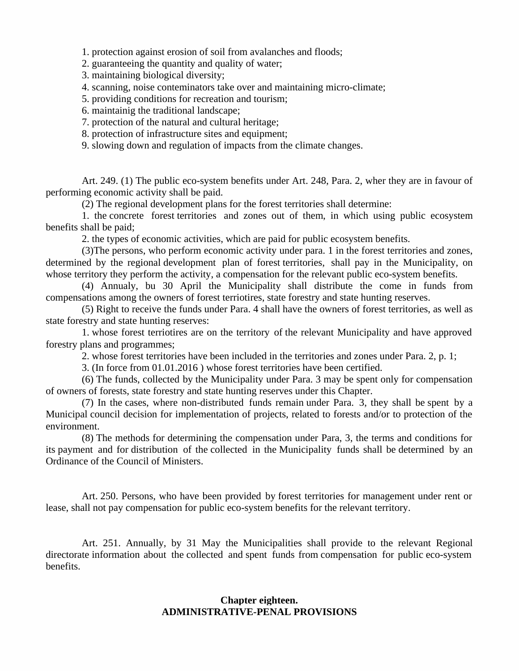1. protection against erosion of soil from avalanches and floods;

2. guaranteeing the quantity and quality of water;

3. maintaining biological diversity;

4. scanning, noise conteminators take over and maintaining micro-climate;

5. providing conditions for recreation and tourism;

6. maintainig the traditional landscape;

7. protection of the natural and cultural heritage;

8. protection of infrastructure sites and equipment;

9. slowing down and regulation of impacts from the climate changes.

Art. 249. (1) The public eco-system benefits under Art. 248, Para. 2, wher they are in favour of performing economic activity shall be paid.

(2) The regional development plans for the forest territories shall determine:

1. the concrete forest territories and zones out of them, in which using public ecosystem benefits shall be paid;

2. the types of economic activities, which are paid for public ecosystem benefits.

(3)The persons, who perform economic activity under para. 1 in the forest territories and zones, determined by the regional development plan of forest territories, shall pay in the Municipality, on whose territory they perform the activity, a compensation for the relevant public eco-system benefits.

(4) Annualy, bu 30 April the Municipality shall distribute the come in funds from compensations among the owners of forest terriotires, state forestry and state hunting reserves.

(5) Right to receive the funds under Para. 4 shall have the owners of forest territories, as well as state forestry and state hunting reserves:

1. whose forest terriotires are on the territory of the relevant Municipality and have approved forestry plans and programmes;

2. whose forest territories have been included in the territories and zones under Para. 2, p. 1;

3. (In force from 01.01.2016 ) whose forest territories have been certified.

(6) The funds, collected by the Municipality under Para. 3 may be spent only for compensation of owners of forests, state forestry and state hunting reserves under this Chapter.

(7) In the cases, where non-distributed funds remain under Para. 3, they shall be spent by a Municipal council decision for implementation of projects, related to forests and/or to protection of the environment.

(8) The methods for determining the compensation under Para, 3, the terms and conditions for its payment and for distribution of the collected in the Municipality funds shall be determined by an Ordinance of the Council of Ministers.

Art. 250. Persons, who have been provided by forest territories for management under rent or lease, shall not pay compensation for public eco-system benefits for the relevant territory.

Art. 251. Annually, by 31 May the Municipalities shall provide to the relevant Regional directorate information about the collected and spent funds from compensation for public eco-system benefits.

## **Chapter eighteen. ADMINISTRATIVE-PENAL PROVISIONS**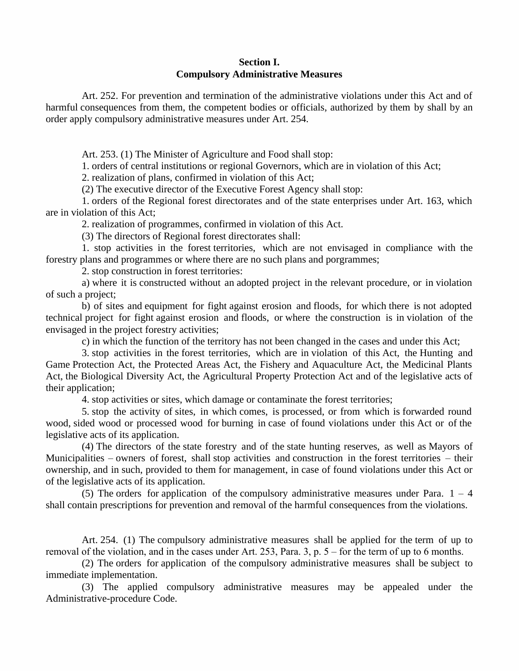# **Section I. Compulsory Administrative Measures**

Art. 252. For prevention and termination of the administrative violations under this Act and of harmful consequences from them, the competent bodies or officials, authorized by them by shall by an order apply compulsory administrative measures under Art. 254.

Art. 253. (1) The Minister of Agriculture and Food shall stop:

1. orders of central institutions or regional Governors, which are in violation of this Act;

2. realization of plans, confirmed in violation of this Act;

(2) The executive director of the Executive Forest Agency shall stop:

1. orders of the Regional forest directorates and of the state enterprises under Art. 163, which are in violation of this Act;

2. realization of programmes, confirmed in violation of this Act.

(3) The directors of Regional forest directorates shall:

1. stop activities in the forest territories, which are not envisaged in compliance with the forestry plans and programmes or where there are no such plans and porgrammes;

2. stop construction in forest territories:

a) where it is constructed without an adopted project in the relevant procedure, or in violation of such a project;

b) of sites and equipment for fight against erosion and floods, for which there is not adopted technical project for fight against erosion and floods, or where the construction is in violation of the envisaged in the project forestry activities;

c) in which the function of the territory has not been changed in the cases and under this Act;

3. stop activities in the forest territories, which are in violation of this Act, the Hunting and Game Protection Act, the Protected Areas Act, the Fishery and Aquaculture Act, the Medicinal Plants Act, the Biological Diversity Act, the Agricultural Property Protection Act and of the legislative acts of their application;

4. stop activities or sites, which damage or contaminate the forest territories;

5. stop the activity of sites, in which comes, is processed, or from which is forwarded round wood, sided wood or processed wood for burning in case of found violations under this Act or of the legislative acts of its application.

(4) The directors of the state forestry and of the state hunting reserves, as wellas Mayors of Municipalities – owners of forest, shall stop activities and construction in the forest territories – their ownership, and in such, provided to them for management, in case of found violations under this Act or of the legislative acts of its application.

(5) The orders for application of the compulsory administrative measures under Para.  $1 - 4$ shall contain prescriptions for prevention and removal of the harmful consequences from the violations.

Art. 254. (1) The compulsory administrative measures shall be applied for the term of up to removal of the violation, and in the cases under Art. 253, Para. 3, p.  $5$  – for the term of up to 6 months.

(2) The orders for application of the compulsory administrative measures shall be subject to immediate implementation.

(3) The applied compulsory administrative measures may be appealed under the Administrative-procedure Code.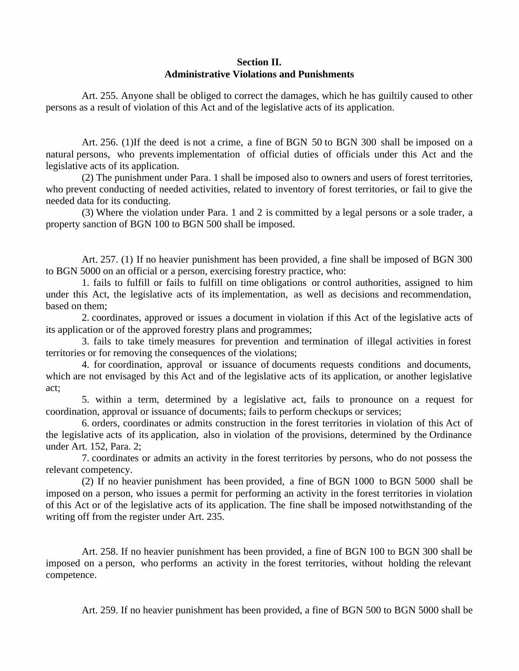# **Section II. Administrative Violations and Punishments**

Art. 255. Anyone shall be obliged to correct the damages, which he has guiltily caused to other persons as a result of violation of this Act and of the legislative acts of its application.

Art. 256. (1)If the deed is not a crime, a fine of BGN 50 to BGN 300 shall be imposed on a natural persons, who prevents implementation of official duties of officials under this Act and the legislative acts of its application.

(2) The punishment under Para. 1 shall be imposed also to owners and users of forest territories, who prevent conducting of needed activities, related to inventory of forest territories, or fail to give the needed data for its conducting.

(3) Where the violation under Para. 1 and 2 is committed by a legal persons or a sole trader, a property sanction of BGN 100 to BGN 500 shall be imposed.

Art. 257. (1) If no heavier punishment has been provided, a fine shall be imposed of BGN 300 to BGN 5000 on an official or a person, exercising forestry practice, who:

1. fails to fulfill or fails to fulfill on time obligations or control authorities, assigned to him under this Act, the legislative acts of its implementation, as well as decisions and recommendation, based on them;

2. coordinates, approved or issues a document in violation if this Act of the legislative acts of its application or of the approved forestry plans and programmes;

3. fails to take timely measures for prevention and termination of illegal activities in forest territories or for removing the consequences of the violations;

4. for coordination, approval or issuance of documents requests conditions and documents, which are not envisaged by this Act and of the legislative acts of its application, or another legislative act;

5. within aterm, determined by alegislative act, fails to pronounce on a request for coordination, approval or issuance of documents; fails to perform checkups or services;

6. orders, coordinates or admits construction in the forest territories in violation of this Act of the legislative acts of its application, also in violation of the provisions, determined by the Ordinance under Art. 152, Para. 2;

7. coordinates or admits an activity in the forest territories by persons, who do not possess the relevant competency.

(2) If no heavier punishment has been provided, a fine of BGN 1000 to BGN 5000 shall be imposed on a person, who issues a permit for performing an activity in the forest territories in violation of this Act or of the legislative acts of its application. The fine shall be imposed notwithstanding of the writing off from the register under Art. 235.

Art. 258. If no heavier punishment has been provided, a fine of BGN 100 to BGN 300 shall be imposed on a person, who performs an activity in the forest territories, without holding the relevant competence.

Art. 259. If no heavier punishment has been provided, a fine of BGN 500 to BGN 5000 shall be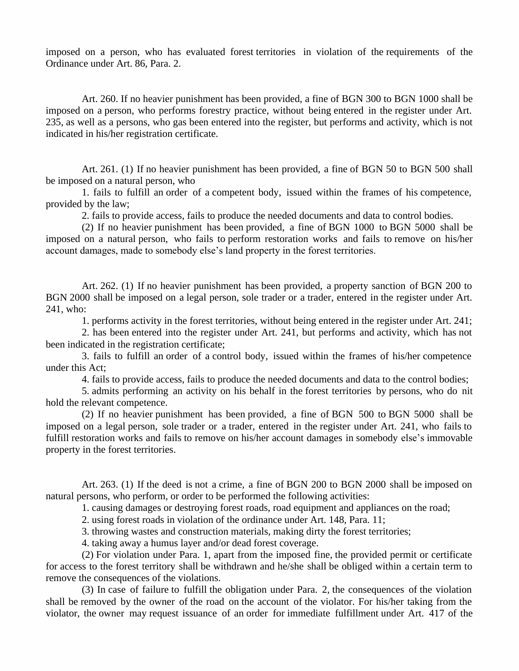imposed on a person, who has evaluated forest territories in violation of the requirements of the Ordinance under Art. 86, Para. 2.

Art. 260. If no heavier punishment has been provided, a fine of BGN 300 to BGN 1000 shall be imposed on a person, who performs forestry practice, without being entered in the register under Art. 235, as well as a persons, who gas been entered into the register, but performs and activity, which is not indicated in his/her registration certificate.

Art. 261. (1) If no heavier punishment has been provided, a fine of BGN 50 to BGN 500 shall be imposed on a natural person, who

1. fails to fulfill an order of a competent body, issued within the frames of his competence, provided by the law;

2. fails to provide access, fails to produce the needed documents and data to control bodies.

(2) If no heavier punishment has been provided, a fine of BGN 1000 to BGN 5000 shall be imposed on a natural person, who fails to perform restoration works and fails to remove on his/her account damages, made to somebody else's land property in the forest territories.

Art. 262. (1) If no heavier punishment has been provided, a property sanction of BGN 200 to BGN 2000 shall be imposed on a legal person, sole trader or a trader, entered in the register under Art. 241, who:

1. performs activity in the forest territories, without being entered in the register under Art. 241;

2. has been entered into the register under Art. 241, but performs and activity, which has not been indicated in the registration certificate;

3. fails to fulfill an order of a control body, issued within the frames of his/her competence under this Act;

4. fails to provide access, fails to produce the needed documents and data to the control bodies;

5. admits performing an activity on his behalf in the forest territories by persons, who do nit hold the relevant competence.

(2) If no heavier punishment has been provided, a fine of BGN 500 to BGN 5000 shall be imposed on a legal person, sole trader or a trader, entered in the register under Art. 241, who fails to fulfill restoration works and fails to remove on his/her account damages in somebody else's immovable property in the forest territories.

Art. 263. (1) If the deed is not a crime, a fine of BGN 200 to BGN 2000 shall be imposed on natural persons, who perform, or order to be performed the following activities:

1. causing damages or destroying forest roads, road equipment and appliances on the road;

2. using forest roads in violation of the ordinance under Art. 148, Para. 11;

3. throwing wastes and construction materials, making dirty the forest territories;

4. taking away a humus layer and/or dead forest coverage.

(2) For violation under Para. 1, apart from the imposed fine, the provided permit or certificate for access to the forest territory shall be withdrawn and he/she shall be obliged within a certain term to remove the consequences of the violations.

(3) In case of failure to fulfill the obligation under Para. 2, the consequences of the violation shall be removed by the owner of the road on the account of the violator. For his/her taking from the violator, the owner may request issuance of an order for immediate fulfillment under Art. 417 of the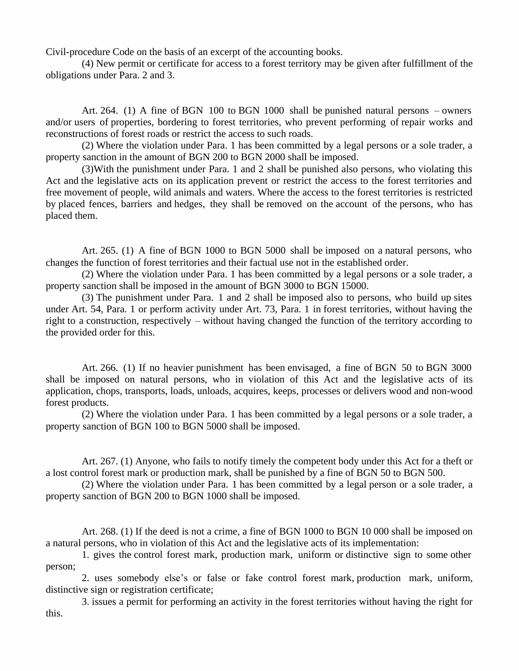Civil-procedure Code on the basis of an excerpt of the accounting books.

(4) New permit or certificate for access to a forest territory may be given after fulfillment of the obligations under Para. 2 and 3.

Art. 264. (1) A fine of BGN 100 to BGN 1000 shall be punished natural persons – owners and/or users of properties, bordering to forest territories, who prevent performing of repair works and reconstructions of forest roads or restrict the access to such roads.

(2) Where the violation under Para. 1 has been committed by a legal persons or a sole trader, a property sanction in the amount of BGN 200 to BGN 2000 shall be imposed.

(3)With the punishment under Para. 1 and 2 shall be punished also persons, who violating this Act and the legislative acts on its application prevent or restrict the access to the forest territories and free movement of people, wild animals and waters. Where the access to the forest territories is restricted by placed fences, barriers and hedges, they shall be removed on the account of the persons, who has placed them.

Art. 265. (1) A fine of BGN 1000 to BGN 5000 shall be imposed on a natural persons, who changes the function of forest territories and their factual use not in the established order.

(2) Where the violation under Para. 1 has been committed by a legal persons or a sole trader, a property sanction shall be imposed in the amount of BGN 3000 to BGN 15000.

(3) The punishment under Para. 1 and 2 shall be imposed also to persons, who build up sites under Art. 54, Para. 1 or perform activity under Art. 73, Para. 1 in forest territories, without having the right to a construction, respectively – without having changed the function of the territory according to the provided order for this.

Art. 266. (1) If no heavier punishment has been envisaged, a fine of BGN 50 to BGN 3000 shall be imposed on natural persons, who in violation of this Act and the legislative acts of its application, chops, transports, loads, unloads, acquires, keeps, processes or delivers wood and non-wood forest products.

(2) Where the violation under Para. 1 has been committed by a legal persons or a sole trader, a property sanction of BGN 100 to BGN 5000 shall be imposed.

Art. 267. (1) Anyone, who fails to notify timely the competent body under this Act for a theft or a lost control forest mark or production mark, shall be punished by a fine of BGN 50 to BGN 500.

(2) Where the violation under Para. 1 has been committed by a legal person or a sole trader, a property sanction of BGN 200 to BGN 1000 shall be imposed.

Art. 268. (1) If the deed is not a crime, a fine of BGN 1000 to BGN 10 000 shall be imposed on a natural persons, who in violation of this Act and the legislative acts of its implementation:

1. gives the control forest mark, production mark, uniform or distinctive sign to some other person;

2. uses somebody else's or false or fake control forest mark, production mark, uniform, distinctive sign or registration certificate;

3. issues a permit for performing an activity in the forest territories without having the right for this.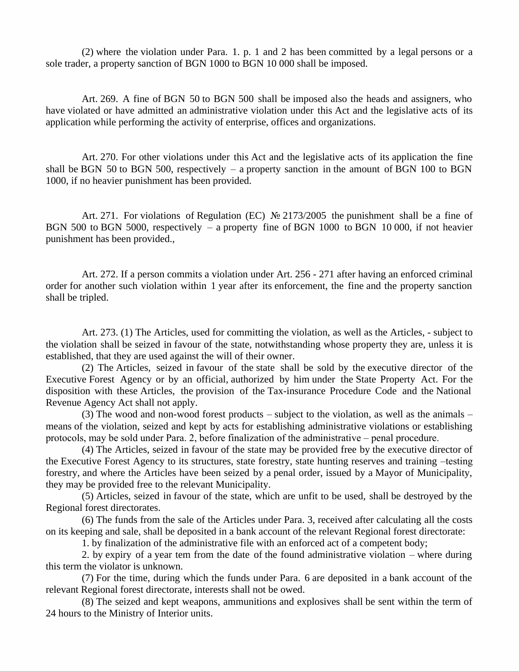(2) where the violation under Para. 1. p. 1 and 2 has been committed by a legal persons or a sole trader, a property sanction of BGN 1000 to BGN 10 000 shall be imposed.

Art. 269. A fine of BGN 50 to BGN 500 shall be imposed also the heads and assigners, who have violated or have admitted an administrative violation under this Act and the legislative acts of its application while performing the activity of enterprise, offices and organizations.

Art. 270. For other violations under this Act and the legislative acts of its application the fine shall be BGN 50 to BGN 500, respectively – a property sanction in the amount of BGN 100 to BGN 1000, if no heavier punishment has been provided.

Art. 271. For violations of Regulation (EC) № 2173/2005 the punishment shall be a fine of BGN 500 to BGN 5000, respectively – a property fine of BGN 1000 to BGN 10000, if not heavier punishment has been provided.,

Art. 272. If a person commits a violation under Art. 256 - 271 after having an enforced criminal order for another such violation within 1 year after its enforcement, the fine and the property sanction shall be tripled.

Art. 273. (1) The Articles, used for committing the violation, as well as the Articles, - subject to the violation shall be seized in favour of the state, notwithstanding whose property they are, unless it is established, that they are used against the will of their owner.

(2) The Articles, seized in favour of the state shall be sold by the executive director of the Executive Forest Agency or by an official, authorized by him under the State Property Act. For the disposition with these Articles, the provision of the Tax-insurance Procedure Code and the National Revenue Agency Act shall not apply.

(3) The wood and non-wood forest products – subject to the violation, as well as the animals – means of the violation, seized and kept by acts for establishing administrative violations or establishing protocols, may be sold under Para. 2, before finalization of the administrative – penal procedure.

(4) The Articles, seized in favour of the state may be provided free by the executive director of the Executive Forest Agency to its structures, state forestry, state hunting reserves and training –testing forestry, and where the Articles have been seized by a penal order, issued by a Mayor of Municipality, they may be provided free to the relevant Municipality.

(5) Articles, seized in favour of the state, which are unfit to be used, shall be destroyed by the Regional forest directorates.

(6) The funds from the sale of the Articles under Para. 3, received after calculating all the costs on its keeping and sale, shall be deposited in a bank account of the relevant Regional forest directorate:

1. by finalization of the administrative file with an enforced act of a competent body;

2. by expiry of a year tem from the date of the found administrative violation – where during this term the violator is unknown.

(7) For the time, during which the funds under Para. 6 are deposited in a bank account of the relevant Regional forest directorate, interests shall not be owed.

(8) The seized and kept weapons, ammunitions and explosives shall be sent within the term of 24 hours to the Ministry of Interior units.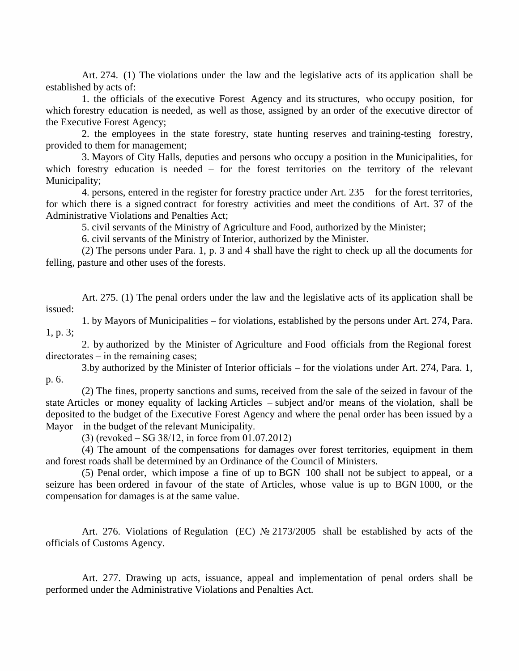Art. 274. (1) The violations under the law and the legislative acts of its application shall be established by acts of:

1. the officials of the executive Forest Agency and its structures, who occupy position, for which forestry education is needed, as well as those, assigned by an order of the executive director of the Executive Forest Agency;

2. the employees in the state forestry, state hunting reserves and training-testing forestry, provided to them for management;

3. Mayors of City Halls, deputies and persons who occupy a position in the Municipalities, for which forestry education is needed  $-$  for the forest territories on the territory of the relevant Municipality;

4. persons, entered in the register for forestry practice under Art. 235 – for the forest territories, for which there is a signed contract for forestry activities and meet the conditions of Art. 37 of the Administrative Violations and Penalties Act;

5. civil servants of the Ministry of Agriculture and Food, authorized by the Minister;

6. civil servants of the Ministry of Interior, authorized by the Minister.

(2) The persons under Para. 1, p. 3 and 4 shall have the right to check up all the documents for felling, pasture and other uses of the forests.

Art. 275. (1) The penal orders under the law and the legislative acts of its application shall be issued:

1. by Mayors of Municipalities – for violations, established by the persons under Art. 274, Para. 1, p. 3;

2. by authorized by the Minister of Agriculture and Food officials from the Regional forest  $directionates – in the remaining cases;$ 

3.by authorized by the Minister of Interior officials – for the violations under Art. 274, Para. 1, p. 6.

(2) The fines, property sanctions and sums, received from the sale of the seized in favour of the state Articles or money equality of lacking Articles – subject and/or means of the violation, shall be deposited to the budget of the Executive Forest Agency and where the penal order has been issued by a Mayor – in the budget of the relevant Municipality.

 $(3)$  (revoked – SG 38/12, in force from 01.07.2012)

(4) The amount of the compensations for damages over forest territories, equipment in them and forest roads shall be determined by an Ordinance of the Council of Ministers.

(5) Penal order, which impose a fine of up to BGN 100 shall not be subject to appeal, or a seizure has been ordered in favour of the state of Articles, whose value is up to BGN 1000, or the compensation for damages is at the same value.

Art. 276. Violations of Regulation (EC) № 2173/2005 shall be established by acts of the officials of Customs Agency.

Art. 277. Drawing up acts, issuance, appeal and implementation of penal orders shall be performed under the Administrative Violations and Penalties Act.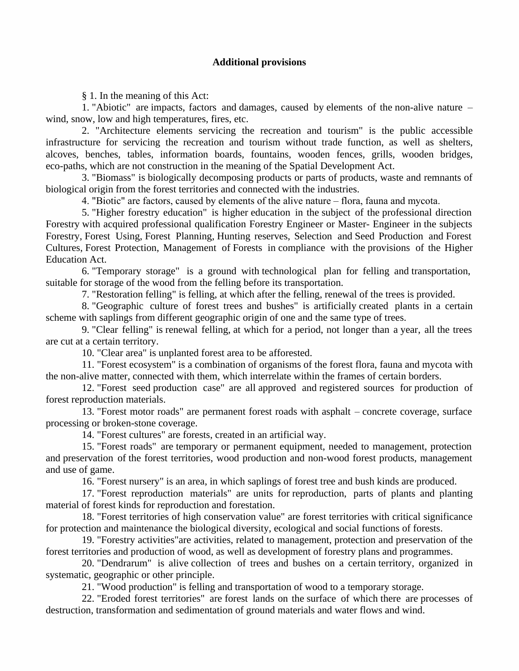### **Additional provisions**

§ 1. In the meaning of this Act:

1. "Abiotic" are impacts, factors and damages, caused by elements of the non-alive nature – wind, snow, low and high temperatures, fires, etc.

2. "Architecture elements servicing the recreation and tourism" is the public accessible infrastructure for servicing the recreation and tourism without trade function, as well as shelters, alcoves, benches, tables, information boards, fountains, wooden fences, grills, wooden bridges, eco-paths, which are not construction in the meaning of the Spatial Development Act.

3. "Biomass" is biologically decomposing products or parts of products, waste and remnants of biological origin from the forest territories and connected with the industries.

4. "Biotic" are factors, caused by elements of the alive nature – flora, fauna and mycota.

5. "Higher forestry education" is higher education in the subject of the professional direction Forestry with acquired professional qualification Forestry Engineer or Master- Engineer in the subjects Forestry, Forest Using, Forest Planning, Hunting reserves, Selection and Seed Production and Forest Cultures, Forest Protection, Management of Forests in compliance with the provisions of the Higher Education Act.

6. "Temporary storage" is a ground with technological plan for felling and transportation, suitable for storage of the wood from the felling before its transportation.

7. "Restoration felling" is felling, at which after the felling, renewal of the trees is provided.

8. "Geographic culture of forest trees and bushes" is artificially created plants in a certain scheme with saplings from different geographic origin of one and the same type of trees.

9. "Clear felling" is renewal felling, at which for a period, not longer than a year, all the trees are cut at a certain territory.

10. "Clear area" is unplanted forest area to be afforested.

11. "Forest ecosystem" is a combination of organisms of the forest flora, fauna and mycota with the non-alive matter, connected with them, which interrelate within the frames of certain borders.

12. "Forest seed production case" are all approved and registered sources for production of forest reproduction materials.

13. "Forest motor roads" are permanent forest roads with asphalt – concrete coverage, surface processing or broken-stone coverage.

14. "Forest cultures" are forests, created in an artificial way.

15. "Forest roads" are temporary or permanent equipment, needed to management, protection and preservation of the forest territories, wood production and non-wood forest products, management and use of game.

16. "Forest nursery" is an area, in which saplings of forest tree and bush kinds are produced.

17. "Forest reproduction materials" are units for reproduction, parts of plants and planting material of forest kinds for reproduction and forestation.

18. "Forest territories of high conservation value" are forest territories with critical significance for protection and maintenance the biological diversity, ecological and social functions of forests.

19. "Forestry activities"are activities, related to management, protection and preservation of the forest territories and production of wood, as well as development of forestry plans and programmes.

20. "Dendrarum" is alive collection of trees and bushes on a certain territory, organized in systematic, geographic or other principle.

21. "Wood production" is felling and transportation of wood to a temporary storage.

22. "Eroded forest territories" are forest lands on the surface of which there are processes of destruction, transformation and sedimentation of ground materials and water flows and wind.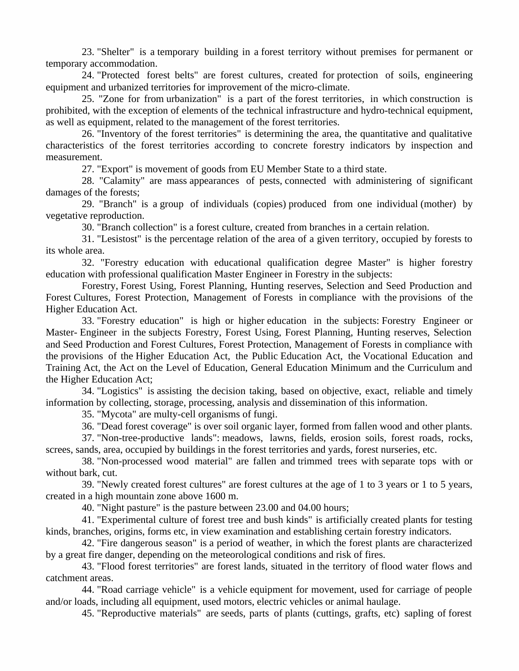23. "Shelter" is a temporary building in a forest territory without premises for permanent or temporary accommodation.

24. "Protected forest belts" are forest cultures, created for protection of soils, engineering equipment and urbanized territories for improvement of the micro-climate.

25. "Zone for from urbanization" is a part of the forest territories, in which construction is prohibited, with the exception of elements of the technical infrastructure and hydro-technical equipment, as well as equipment, related to the management of the forest territories.

26. "Inventory of the forest territories" is determining the area, the quantitative and qualitative characteristics of the forest territories according to concrete forestry indicators by inspection and measurement.

27. "Export" is movement of goods from EU Member State to a third state.

28. "Calamity" are mass appearances of pests, connected with administering of significant damages of the forests;

29. "Branch" is a group of individuals (copies) produced from one individual (mother) by vegetative reproduction.

30. "Branch collection" is a forest culture, created from branches in a certain relation.

31. "Lesistost" is the percentage relation of the area of a given territory, occupied by forests to its whole area.

32. "Forestry education with educational qualification degree Master" is higher forestry education with professional qualification Master Engineer in Forestry in the subjects:

Forestry, Forest Using, Forest Planning, Hunting reserves, Selection and Seed Production and Forest Cultures, Forest Protection, Management of Forests in compliance with the provisions of the Higher Education Act.

33. "Forestry education" is high or higher education in the subjects: Forestry Engineer or Master- Engineer in the subjects Forestry, Forest Using, Forest Planning, Hunting reserves, Selection and Seed Production and Forest Cultures, Forest Protection, Management of Forests in compliance with the provisions of the Higher Education Act, the Public Education Act, the Vocational Education and Training Act, the Act on the Level of Education, General Education Minimum and the Curriculum and the Higher Education Act;

34. "Logistics" is assisting the decision taking, based on objective, exact, reliable and timely information by collecting, storage, processing, analysis and dissemination of this information.

35. "Mycota" are multy-cell organisms of fungi.

36. "Dead forest coverage" is over soil organic layer, formed from fallen wood and other plants.

37. "Non-tree-productive lands": meadows, lawns, fields, erosion soils, forest roads, rocks, screes, sands, area, occupied by buildings in the forest territories and yards, forest nurseries, etc.

38. "Non-processed wood material" are fallen and trimmed trees with separate tops with or without bark, cut.

39. "Newly created forest cultures" are forest cultures at the age of 1 to 3 years or 1 to 5 years, created in a high mountain zone above 1600 m.

40. "Night pasture" is the pasture between 23.00 and 04.00 hours;

41. "Experimental culture of forest tree and bush kinds" is artificially created plants for testing kinds, branches, origins, forms etc, in view examination and establishing certain forestry indicators.

42. "Fire dangerous season" is a period of weather, in which the forest plants are characterized by a great fire danger, depending on the meteorological conditions and risk of fires.

43. "Flood forest territories" are forest lands, situated in the territory of flood water flows and catchment areas.

44. "Road carriage vehicle" is a vehicle equipment for movement, used for carriage of people and/or loads, including all equipment, used motors, electric vehicles or animal haulage.

45. "Reproductive materials" are seeds, parts of plants (cuttings, grafts, etc) sapling of forest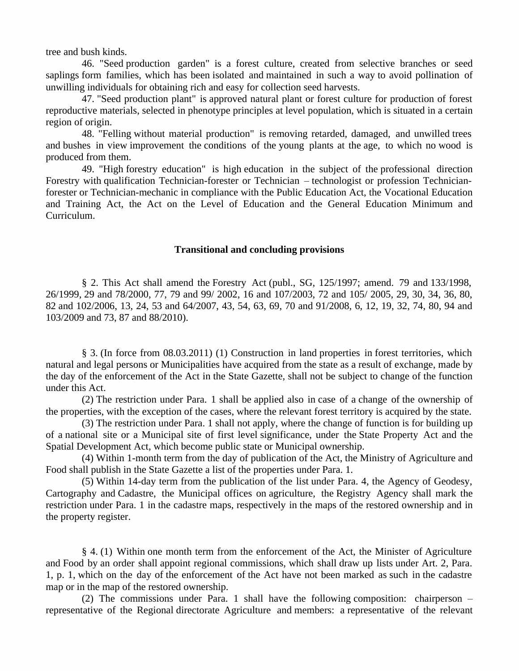tree and bush kinds.

46. "Seed production garden" is a forest culture, created from selective branches or seed saplings form families, which has been isolated and maintained in such a way to avoid pollination of unwilling individuals for obtaining rich and easy for collection seed harvests.

47. "Seed production plant" is approved natural plant or forest culture for production of forest reproductive materials, selected in phenotype principles at level population, which is situated in a certain region of origin.

48. "Felling without material production" is removing retarded, damaged, and unwilled trees and bushes in view improvement the conditions of the young plants at the age, to which no wood is produced from them.

49. "High forestry education" is high education in the subject of the professional direction Forestry with qualification Technician-forester or Technician – technologist or profession Technicianforester or Technician-mechanic in compliance with the Public Education Act, the Vocational Education and Training Act, the Act on the Level of Education and the General Education Minimum and Curriculum.

#### **Transitional and concluding provisions**

§ 2. This Act shall amend the Forestry Act (publ., SG, 125/1997; amend. 79 and 133/1998, 26/1999, 29 and 78/2000, 77, 79 and 99/ 2002, 16 and 107/2003, 72 and 105/ 2005, 29, 30, 34, 36, 80, 82 and 102/2006, 13, 24, 53 and 64/2007, 43, 54, 63, 69, 70 and 91/2008, 6, 12, 19, 32, 74, 80, 94 and 103/2009 and 73, 87 and 88/2010).

§ 3. (In force from 08.03.2011) (1) Construction in land properties in forest territories, which natural and legal persons or Municipalities have acquired from the state as a result of exchange, made by the day of the enforcement of the Act in the State Gazette, shall not be subject to change of the function under this Act.

(2) The restriction under Para. 1 shall be applied also in case of a change of the ownership of the properties, with the exception of the cases, where the relevant forest territory is acquired by the state.

(3) The restriction under Para. 1 shall not apply, where the change of function is for building up of a national site or a Municipal site of first level significance, under the State Property Act and the Spatial Development Act, which become public state or Municipal ownership.

(4) Within 1-month term from the day of publication of the Act, the Ministry of Agriculture and Food shall publish in the State Gazette a list of the properties under Para. 1.

(5) Within 14-day term from the publication of the list under Para. 4, the Agency of Geodesy, Cartography and Cadastre, the Municipal offices on agriculture, the Registry Agency shall mark the restriction under Para. 1 in the cadastre maps, respectively in the maps of the restored ownership and in the property register.

§ 4. (1) Within one month term from the enforcement of the Act, the Minister of Agriculture and Food by an order shall appoint regional commissions, which shall draw up lists under Art. 2, Para. 1, p. 1, which on the day of the enforcement of the Act have not been marked as such in the cadastre map or in the map of the restored ownership.

(2) The commissions under Para. 1 shall have the following composition: chairperson – representative of the Regional directorate Agriculture and members: a representative of the relevant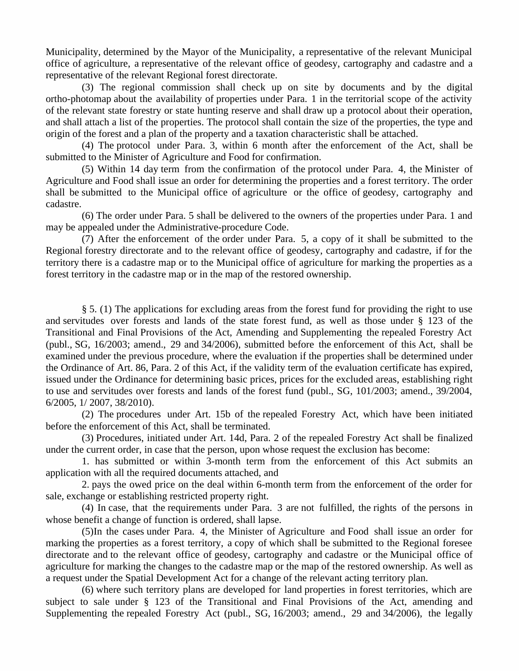Municipality, determined by the Mayor of the Municipality, a representative of the relevant Municipal office of agriculture, a representative of the relevant office of geodesy, cartography and cadastre and a representative of the relevant Regional forest directorate.

(3) The regional commission shall check up on site by documents and by the digital ortho-photomap about the availability of properties under Para. 1 in the territorial scope of the activity of the relevant state forestry or state hunting reserve and shall draw up a protocol about their operation, and shall attach a list of the properties. The protocol shall contain the size of the properties, the type and origin of the forest and a plan of the property and a taxation characteristic shall be attached.

(4) The protocol under Para. 3, within 6 month after the enforcement of the Act, shall be submitted to the Minister of Agriculture and Food for confirmation.

(5) Within 14 day term from the confirmation of the protocol under Para. 4, the Minister of Agriculture and Food shall issue an order for determining the properties and a forest territory. The order shall be submitted to the Municipal office of agriculture or the office of geodesy, cartography and cadastre.

(6) The order under Para. 5 shall be delivered to the owners of the properties under Para. 1 and may be appealed under the Administrative-procedure Code.

(7) After the enforcement of the order under Para. 5, a copy of it shall be submitted to the Regional forestry directorate and to the relevant office of geodesy, cartography and cadastre, if for the territory there is a cadastre map or to the Municipal office of agriculture for marking the properties as a forest territory in the cadastre map or in the map of the restored ownership.

§ 5. (1) The applications for excluding areas from the forest fund for providing the right to use and servitudes over forests and lands of the state forest fund, as well as those under § 123 of the Transitional and Final Provisions of the Act, Amending and Supplementing the repealed Forestry Act (publ., SG, 16/2003; amend., 29 and 34/2006), submitted before the enforcement of this Act, shall be examined under the previous procedure, where the evaluation if the properties shall be determined under the Ordinance of Art. 86, Para. 2 of this Act, if the validity term of the evaluation certificate has expired, issued under the Ordinance for determining basic prices, prices for the excluded areas, establishing right to use and servitudes over forests and lands of the forest fund (publ., SG, 101/2003; amend., 39/2004, 6/2005, 1/ 2007, 38/2010).

(2) The procedures under Art. 15b of the repealed Forestry Act, which have been initiated before the enforcement of this Act, shall be terminated.

(3) Procedures, initiated under Art. 14d, Para. 2 of the repealed Forestry Act shall be finalized under the current order, in case that the person, upon whose request the exclusion has become:

1. has submitted or within 3-month term from the enforcement of this Act submits an application with all the required documents attached, and

2. pays the owed price on the deal within 6-month term from the enforcement of the order for sale, exchange or establishing restricted property right.

(4) In case, that the requirements under Para. 3 are not fulfilled, the rights of the persons in whose benefit a change of function is ordered, shall lapse.

(5)In the cases under Para. 4, the Minister of Agriculture and Food shall issue an order for marking the properties as a forest territory, a copy of which shall be submitted to the Regional foresee directorate and to the relevant office of geodesy, cartography and cadastre or the Municipal office of agriculture for marking the changes to the cadastre map or the map of the restored ownership. As well as a request under the Spatial Development Act for a change of the relevant acting territory plan.

(6) where such territory plans are developed for land properties in forest territories, which are subject to sale under § 123 of the Transitional and Final Provisions of the Act, amending and Supplementing the repealed Forestry Act (publ., SG, 16/2003; amend., 29 and 34/2006), the legally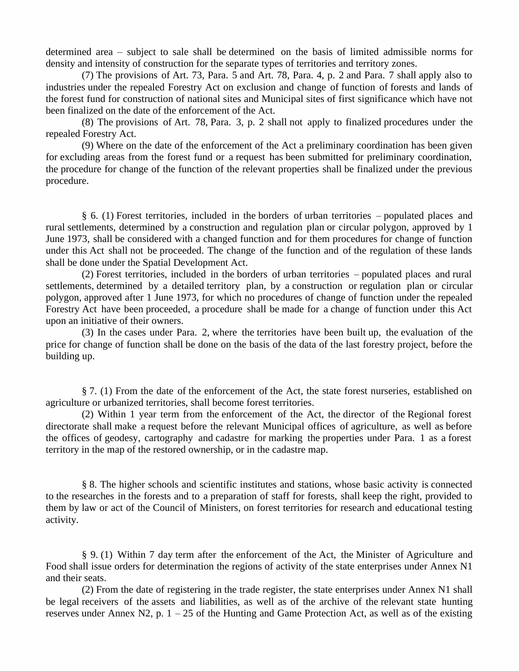determined area – subject to sale shall be determined on the basis of limited admissible norms for density and intensity of construction for the separate types of territories and territory zones.

(7) The provisions of Art. 73, Para. 5 and Art. 78, Para. 4, p. 2 and Para. 7 shall apply also to industries under the repealed Forestry Act on exclusion and change of function of forests and lands of the forest fund for construction of national sites and Municipal sites of first significance which have not been finalized on the date of the enforcement of the Act.

(8) The provisions of Art. 78, Para. 3, p. 2 shall not apply to finalized procedures under the repealed Forestry Act.

(9) Where on the date of the enforcement of the Act a preliminary coordination has been given for excluding areas from the forest fund or a request has been submitted for preliminary coordination, the procedure for change of the function of the relevant properties shall be finalized under the previous procedure.

§ 6. (1) Forest territories, included in the borders of urban territories – populated places and rural settlements, determined by a construction and regulation plan or circular polygon, approved by 1 June 1973, shall be considered with a changed function and for them procedures for change of function under this Act shall not be proceeded. The change of the function and of the regulation of these lands shall be done under the Spatial Development Act.

(2) Forest territories, included in the borders of urban territories – populated places and rural settlements, determined by a detailed territory plan, by a construction or regulation plan or circular polygon, approved after 1 June 1973, for which no procedures of change of function under the repealed Forestry Act have been proceeded, a procedure shall be made for a change of function under this Act upon an initiative of their owners.

(3) In the cases under Para. 2, where the territories have been built up, the evaluation of the price for change of function shall be done on the basis of the data of the last forestry project, before the building up.

§ 7. (1) From the date of the enforcement of the Act, the state forest nurseries, established on agriculture or urbanized territories, shall become forest territories.

(2) Within 1 year term from the enforcement of the Act, the director of the Regional forest directorate shall make a request before the relevant Municipal offices of agriculture, as wellas before the offices of geodesy, cartography and cadastre for marking the properties under Para. 1 as a forest territory in the map of the restored ownership, or in the cadastre map.

§ 8. The higher schools and scientific institutes and stations, whose basic activity is connected to the researches in the forests and to a preparation of staff for forests, shall keep the right, provided to them by law or act of the Council of Ministers, on forest territories for research and educational testing activity.

§ 9. (1) Within 7 day term after the enforcement of the Act, the Minister of Agriculture and Food shall issue orders for determination the regions of activity of the state enterprises under Annex N1 and their seats.

(2) From the date of registering in the trade register, the state enterprises under Annex N1 shall be legal receivers of the assets and liabilities, as well as of the archive of the relevant state hunting reserves under Annex N2, p.  $1 - 25$  of the Hunting and Game Protection Act, as well as of the existing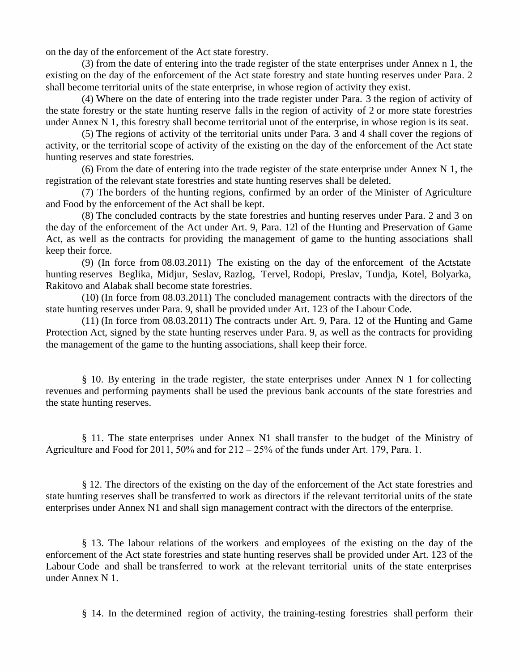on the day of the enforcement of the Act state forestry.

(3) from the date of entering into the trade register of the state enterprises under Annex n 1, the existing on the day of the enforcement of the Act state forestry and state hunting reserves under Para. 2 shall become territorial units of the state enterprise, in whose region of activity they exist.

(4) Where on the date of entering into the trade register under Para. 3 the region of activity of the state forestry or the state hunting reserve falls in the region of activity of 2 or more state forestries under Annex N 1, this forestry shall become territorial unot of the enterprise, in whose region is its seat.

(5) The regions of activity of the territorial units under Para. 3 and 4 shall cover the regions of activity, or the territorial scope of activity of the existing on the day of the enforcement of the Act state hunting reserves and state forestries.

(6) From the date of entering into the trade register of the state enterprise under Annex N 1, the registration of the relevant state forestries and state hunting reserves shall be deleted.

(7) The borders of the hunting regions, confirmed by an order of the Minister of Agriculture and Food by the enforcement of the Act shall be kept.

(8) The concluded contracts by the state forestries and hunting reserves under Para. 2 and 3 on the day of the enforcement of the Act under Art. 9, Para. 12l of the Hunting and Preservation of Game Act, as well as the contracts for providing the management of game to the hunting associations shall keep their force.

(9) (In force from 08.03.2011) The existing on the day of the enforcement of the Actstate hunting reserves Beglika, Midjur, Seslav, Razlog, Tervel, Rodopi, Preslav, Tundja, Kotel, Bolyarka, Rakitovo and Alabak shall become state forestries.

(10) (In force from 08.03.2011) The concluded management contracts with the directors of the state hunting reserves under Para. 9, shall be provided under Art. 123 of the Labour Code.

(11) (In force from 08.03.2011) The contracts under Art. 9, Para. 12 of the Hunting and Game Protection Act, signed by the state hunting reserves under Para. 9, as well as the contracts for providing the management of the game to the hunting associations, shall keep their force.

§ 10. By entering in the trade register, the state enterprises under Annex N 1 for collecting revenues and performing payments shall be used the previous bank accounts of the state forestries and the state hunting reserves.

§ 11. The state enterprises under Annex N1 shall transfer to the budget of the Ministry of Agriculture and Food for 2011, 50% and for  $212-25%$  of the funds under Art. 179, Para. 1.

§ 12. The directors of the existing on the day of the enforcement of the Act state forestries and state hunting reserves shall be transferred to work as directors if the relevant territorial units of the state enterprises under Annex N1 and shall sign management contract with the directors of the enterprise.

§ 13. The labour relations of the workers and employees of the existing on the day of the enforcement of the Act state forestries and state hunting reserves shall be provided under Art. 123 of the Labour Code and shall be transferred to work at the relevant territorial units of the state enterprises under Annex N 1.

§ 14. In the determined region of activity, the training-testing forestries shall perform their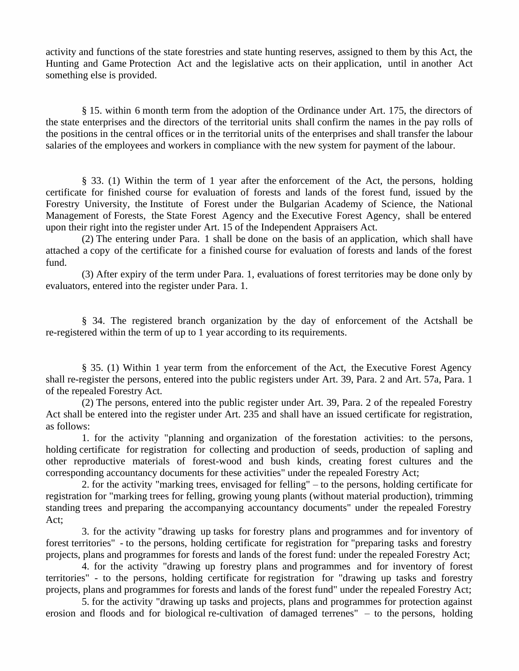activity and functions of the state forestries and state hunting reserves, assigned to them by this Act, the Hunting and Game Protection Act and the legislative acts on their application, until in another Act something else is provided.

§ 15. within 6 month term from the adoption of the Ordinance under Art. 175, the directors of the state enterprises and the directors of the territorial units shall confirm the names in the pay rolls of the positions in the central offices or in the territorial units of the enterprises and shall transfer the labour salaries of the employees and workers in compliance with the new system for payment of the labour.

§ 33. (1) Within the term of 1 year after the enforcement of the Act, the persons, holding certificate for finished course for evaluation of forests and lands of the forest fund, issued by the Forestry University, the Institute of Forest under the Bulgarian Academy of Science, the National Management of Forests, the State Forest Agency and the Executive Forest Agency, shall be entered upon their right into the register under Art. 15 of the Independent Appraisers Act.

(2) The entering under Para. 1 shall be done on the basis of an application, which shall have attached a copy of the certificate for a finished course for evaluation of forests and lands of the forest fund.

(3) After expiry of the term under Para. 1, evaluations of forest territories may be done only by evaluators, entered into the register under Para. 1.

§ 34. The registered branch organization by the day of enforcement of the Actshall be re-registered within the term of up to 1 year according to its requirements.

§ 35. (1) Within 1 year term from the enforcement of the Act, the Executive Forest Agency shall re-register the persons, entered into the public registers under Art. 39, Para. 2 and Art. 57a, Para. 1 of the repealed Forestry Act.

(2) The persons, entered into the public register under Art. 39, Para. 2 of the repealed Forestry Act shall be entered into the register under Art. 235 and shall have an issued certificate for registration, as follows:

1. for the activity "planning and organization of the forestation activities: to the persons, holding certificate for registration for collecting and production of seeds, production of sapling and other reproductive materials of forest-wood and bush kinds, creating forest cultures and the corresponding accountancy documents for these activities" under the repealed Forestry Act;

2. for the activity "marking trees, envisaged for felling" – to the persons, holding certificate for registration for "marking trees for felling, growing young plants (without material production), trimming standing trees and preparing the accompanying accountancy documents" under the repealed Forestry Act;

3. for the activity "drawing up tasks for forestry plans and programmes and for inventory of forest territories" - to the persons, holding certificate for registration for "preparing tasks and forestry projects, plans and programmes for forests and lands of the forest fund: under the repealed Forestry Act;

4. for the activity "drawing up forestry plans and programmes and for inventory of forest territories" - to the persons, holding certificate for registration for "drawing up tasks and forestry projects, plans and programmes for forests and lands of the forest fund" under the repealed Forestry Act;

5. for the activity "drawing up tasks and projects, plans and programmes for protection against erosion and floods and for biological re-cultivation of damaged terrenes"  $-$  to the persons, holding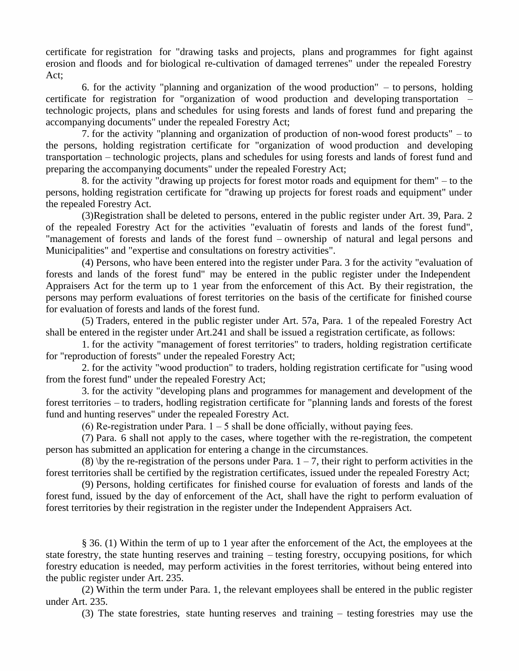certificate for registration for "drawing tasks and projects, plans and programmes for fight against erosion and floods and for biological re-cultivation of damaged terrenes" under the repealed Forestry Act;

6. for the activity "planning and organization of the wood production"  $-$  to persons, holding certificate for registration for "organization of wood production and developing transportation – technologic projects, plans and schedules for using forests and lands of forest fund and preparing the accompanying documents" under the repealed Forestry Act;

7. for the activity "planning and organization of production of non-wood forest products" – to the persons, holding registration certificate for "organization of wood production and developing transportation – technologic projects, plans and schedules for using forests and lands of forest fund and preparing the accompanying documents" under the repealed Forestry Act;

8. for the activity "drawing up projects for forest motor roads and equipment for them" – to the persons, holding registration certificate for "drawing up projects for forest roads and equipment" under the repealed Forestry Act.

(3)Registration shall be deleted to persons, entered in the public register under Art. 39, Para. 2 of the repealed Forestry Act for the activities "evaluatin of forests and lands of the forest fund", "management of forests and lands of the forest fund – ownership of natural and legal persons and Municipalities" and "expertise and consultations on forestry activities".

(4) Persons, who have been entered into the register under Para. 3 for the activity "evaluation of forests and lands of the forest fund" may be entered in the public register under the Independent Appraisers Act for the term up to 1 year from the enforcement of this Act. By their registration, the persons may perform evaluations of forest territories on the basis of the certificate for finished course for evaluation of forests and lands of the forest fund.

(5) Traders, entered in the public register under Art. 57a, Para. 1 of the repealed Forestry Act shall be entered in the register under Art.241 and shall be issued a registration certificate, as follows:

1. for the activity "management of forest territories" to traders, holding registration certificate for "reproduction of forests" under the repealed Forestry Act;

2. for the activity "wood production" to traders, holding registration certificate for "using wood from the forest fund" under the repealed Forestry Act;

3. for the activity "developing plans and programmes for management and development of the forest territories – to traders, hodling registration certificate for "planning lands and forests of the forest fund and hunting reserves" under the repealed Forestry Act.

(6) Re-registration under Para.  $1-5$  shall be done officially, without paying fees.

(7) Para. 6 shall not apply to the cases, where together with the re-registration, the competent person has submitted an application for entering a change in the circumstances.

(8) \by the re-registration of the persons under Para.  $1 - 7$ , their right to perform activities in the forest territories shall be certified by the registration certificates, issued under the repealed Forestry Act;

(9) Persons, holding certificates for finished course for evaluation of forests and lands of the forest fund, issued by the day of enforcement of the Act, shall have the right to perform evaluation of forest territories by their registration in the register under the Independent Appraisers Act.

§ 36. (1) Within the term of up to 1 year after the enforcement of the Act, the employees at the state forestry, the state hunting reserves and training – testing forestry, occupying positions, for which forestry education is needed, may perform activities in the forest territories, without being entered into the public register under Art. 235.

(2) Within the term under Para. 1, the relevant employees shall be entered in the public register under Art. 235.

(3) The state forestries, state hunting reserves and training  $-$  testing forestries may use the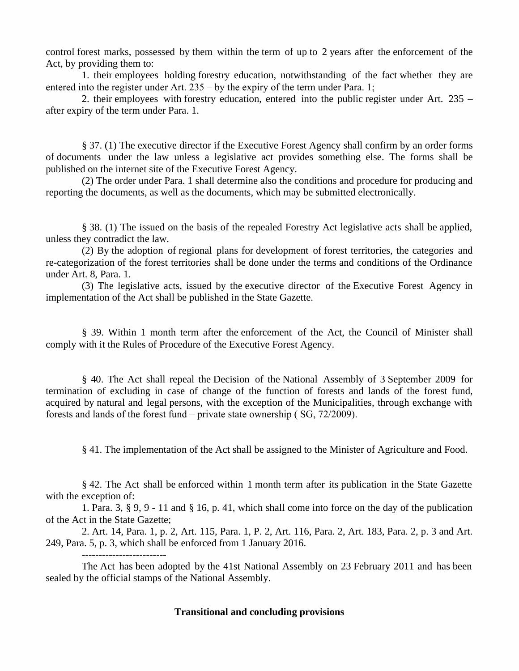control forest marks, possessed by them within the term of up to 2 years after the enforcement of the Act, by providing them to:

1. their employees holding forestry education, notwithstanding of the fact whether they are entered into the register under Art.  $235 - by$  the expiry of the term under Para. 1;

2. their employees with forestry education, entered into the public register under Art. 235 – after expiry of the term under Para. 1.

§ 37. (1) The executive director if the Executive Forest Agency shall confirm by an order forms of documents under the law unless a legislative act provides something else. The forms shall be published on the internet site of the Executive Forest Agency.

(2) The order under Para. 1 shall determine also the conditions and procedure for producing and reporting the documents, as well as the documents, which may be submitted electronically.

§ 38. (1) The issued on the basis of the repealed Forestry Act legislative acts shall be applied, unless they contradict the law.

(2) By the adoption of regional plans for development of forest territories, the categories and re-categorization of the forest territories shall be done under the terms and conditions of the Ordinance under Art. 8, Para. 1.

(3) The legislative acts, issued by the executive director of the Executive Forest Agency in implementation of the Act shall be published in the State Gazette.

§ 39. Within 1 month term after the enforcement of the Act, the Council of Minister shall comply with it the Rules of Procedure of the Executive Forest Agency.

§ 40. The Act shall repeal the Decision of the National Assembly of 3 September 2009 for termination of excluding in case of change of the function of forests and lands of the forest fund, acquired by natural and legal persons, with the exception of the Municipalities, through exchange with forests and lands of the forest fund – private state ownership ( $SG$ ,  $72/2009$ ).

§ 41. The implementation of the Act shall be assigned to the Minister of Agriculture and Food.

§ 42. The Act shall be enforced within 1 month term after its publication in the State Gazette with the exception of:

1. Para. 3, § 9, 9 - 11 and § 16, p. 41, which shall come into force on the day of the publication of the Act in the State Gazette;

2. Art. 14, Para. 1, p. 2, Art. 115, Para. 1, P. 2, Art. 116, Para. 2, Art. 183, Para. 2, p. 3 and Art. 249, Para. 5, p. 3, which shall be enforced from 1 January 2016.

-------------------------

The Act has been adopted by the 41st National Assembly on 23 February 2011 and has been sealed by the official stamps of the National Assembly.

# **Transitional and concluding provisions**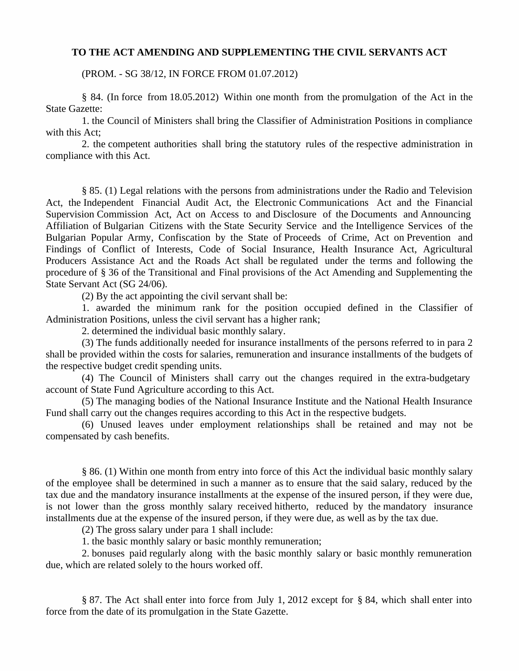### **TO THE ACT AMENDING AND SUPPLEMENTING THE CIVIL SERVANTS ACT**

(PROM. - SG 38/12, IN FORCE FROM 01.07.2012)

§ 84. (In force from 18.05.2012) Within one month from the promulgation of the Act in the State Gazette:

1. the Council of Ministers shall bring the Classifier of Administration Positions in compliance with this Act:

2. the competent authorities shall bring the statutory rules of the respective administration in compliance with this Act.

§ 85. (1) Legal relations with the persons from administrations under the Radio and Television Act, the Independent Financial Audit Act, the Electronic Communications Act and the Financial Supervision Commission Act, Act on Access to and Disclosure of the Documents and Announcing Affiliation of Bulgarian Citizens with the State Security Service and the Intelligence Services of the Bulgarian Popular Army, Confiscation by the State of Proceeds of Crime, Act on Prevention and Findings of Conflict of Interests, Code of Social Insurance, Health Insurance Act, Agricultural Producers Assistance Act and the Roads Act shall be regulated under the terms and following the procedure of § 36 of the Transitional and Final provisions of the Act Amending and Supplementing the State Servant Act (SG 24/06).

(2) By the act appointing the civil servant shall be:

1. awarded the minimum rank for the position occupied defined in the Classifier of Administration Positions, unless the civil servant has a higher rank;

2. determined the individual basic monthly salary.

(3) The funds additionally needed for insurance installments of the persons referred to in para 2 shall be provided within the costs for salaries, remuneration and insurance installments of the budgets of the respective budget credit spending units.

(4) The Council of Ministers shall carry out the changes required in the extra-budgetary account of State Fund Agriculture according to this Act.

(5) The managing bodies of the National Insurance Institute and the National Health Insurance Fund shall carry out the changes requires according to this Act in the respective budgets.

(6) Unused leaves under employment relationships shall be retained and may not be compensated by cash benefits.

§ 86. (1) Within one month from entry into force of this Act the individual basic monthly salary of the employee shall be determined in such a manner as to ensure that the said salary, reduced by the tax due and the mandatory insurance installments at the expense of the insured person, if they were due, is not lower than the gross monthly salary received hitherto, reduced by the mandatory insurance installments due at the expense of the insured person, if they were due, as well as by the tax due.

(2) The gross salary under para 1 shall include:

1. the basic monthly salary or basic monthly remuneration;

2. bonuses paid regularly along with the basic monthly salary or basic monthly remuneration due, which are related solely to the hours worked off.

§ 87. The Act shall enter into force from July 1, 2012 except for § 84, which shall enter into force from the date of its promulgation in the State Gazette.